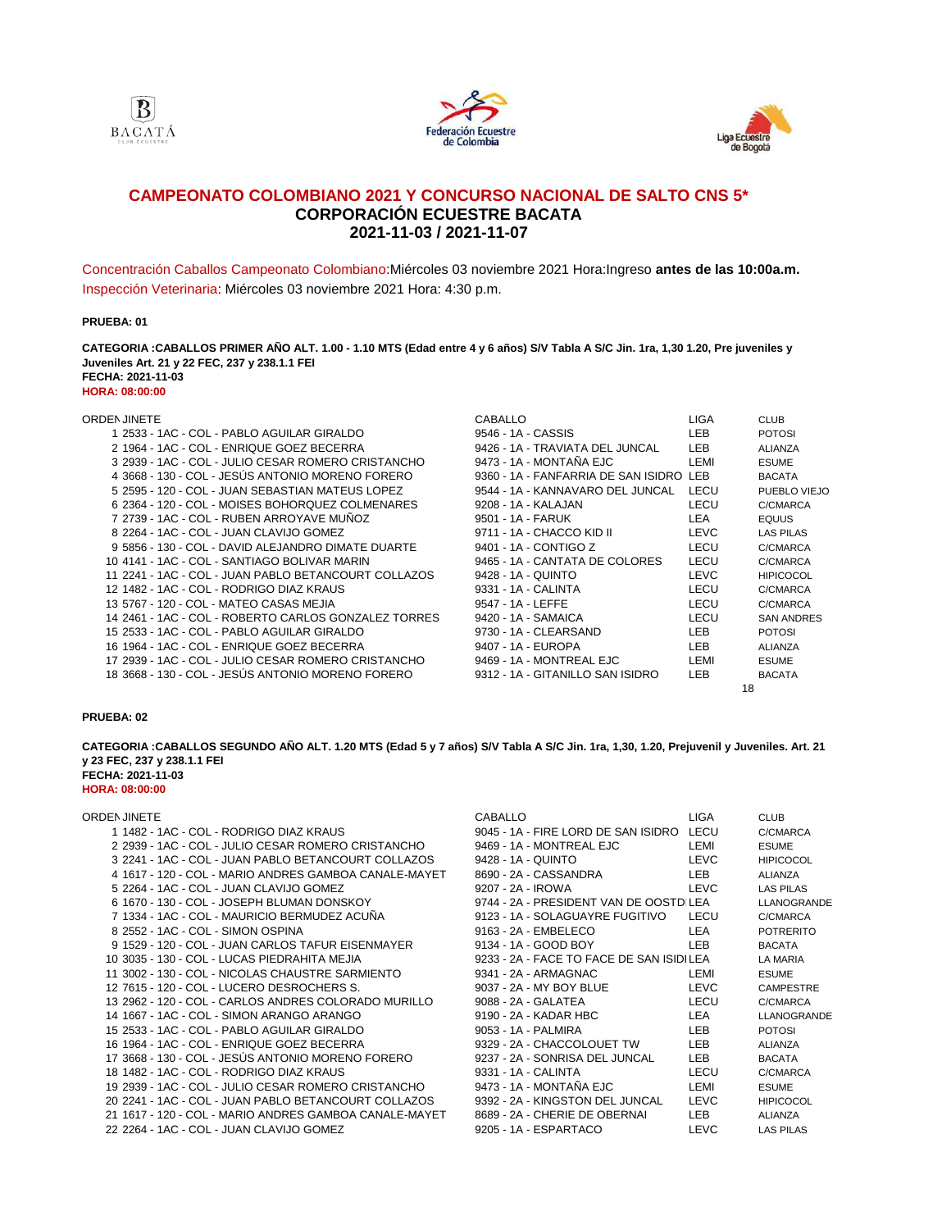





# **2021-11-03 / 2021-11-07 CAMPEONATO COLOMBIANO 2021 Y CONCURSO NACIONAL DE SALTO CNS 5\* CORPORACIÓN ECUESTRE BACATA**

Concentración Caballos Campeonato Colombiano:Miércoles 03 noviembre 2021 Hora:Ingreso **antes de las 10:00a.m.** Inspección Veterinaria: Miércoles 03 noviembre 2021 Hora: 4:30 p.m.

### **PRUEBA: 01**

**FECHA: 2021-11-03 HORA: 08:00:00 CATEGORIA :CABALLOS PRIMER AÑO ALT. 1.00 - 1.10 MTS (Edad entre 4 y 6 años) S/V Tabla A S/C Jin. 1ra, 1,30 1.20, Pre juveniles y Juveniles Art. 21 y 22 FEC, 237 y 238.1.1 FEI**

| ORDEN JINETE                                        | CABALLO                                 | <b>LIGA</b> | <b>CLUB</b>       |
|-----------------------------------------------------|-----------------------------------------|-------------|-------------------|
| 1 2533 - 1AC - COL - PABLO AGUILAR GIRALDO          | 9546 - 1A - CASSIS                      | LEB         | <b>POTOSI</b>     |
| 2 1964 - 1AC - COL - ENRIQUE GOEZ BECERRA           | 9426 - 1A - TRAVIATA DEL JUNCAL         | <b>LEB</b>  | <b>ALIANZA</b>    |
| 3 2939 - 1AC - COL - JULIO CESAR ROMERO CRISTANCHO  | 9473 - 1A - MONTAÑA EJC                 | LEMI        | <b>ESUME</b>      |
| 4 3668 - 130 - COL - JESUS ANTONIO MORENO FORERO    | 9360 - 1A - FANFARRIA DE SAN ISIDRO LEB |             | <b>BACATA</b>     |
| 5 2595 - 120 - COL - JUAN SEBASTIAN MATEUS LOPEZ    | 9544 - 1A - KANNAVARO DEL JUNCAL        | LECU        | PUEBLO VIEJO      |
| 6 2364 - 120 - COL - MOISES BOHORQUEZ COLMENARES    | 9208 - 1A - KALAJAN                     | LECU        | C/CMARCA          |
| 7 2739 - 1AC - COL - RUBEN ARROYAVE MUNOZ           | 9501 - 1A - FARUK                       | LEA         | <b>EQUUS</b>      |
| 8 2264 - 1AC - COL - JUAN CLAVIJO GOMEZ             | 9711 - 1A - CHACCO KID II               | <b>LEVC</b> | <b>LAS PILAS</b>  |
| 9 5856 - 130 - COL - DAVID ALEJANDRO DIMATE DUARTE  | 9401 - 1A - CONTIGO Z                   | LECU        | C/CMARCA          |
| 10 4141 - 1AC - COL - SANTIAGO BOLIVAR MARIN        | 9465 - 1A - CANTATA DE COLORES          | LECU        | C/CMARCA          |
|                                                     | 9428 - 1A - QUINTO                      | <b>LEVC</b> | <b>HIPICOCOL</b>  |
| 12 1482 - 1AC - COL - RODRIGO DIAZ KRAUS            | 9331 - 1A - CALINTA                     | LECU        | C/CMARCA          |
| 13 5767 - 120 - COL - MATEO CASAS MEJIA             | 9547 - 1A - LEFFE                       | LECU        | C/CMARCA          |
|                                                     | 9420 - 1A - SAMAICA                     | LECU        | <b>SAN ANDRES</b> |
| 15 2533 - 1AC - COL - PABLO AGUILAR GIRALDO         | 9730 - 1A - CLEARSAND                   | LEB         | <b>POTOSI</b>     |
| 16 1964 - 1AC - COL - ENRIQUE GOEZ BECERRA          | 9407 - 1A - EUROPA                      | LEB         | <b>ALIANZA</b>    |
| 17 2939 - 1AC - COL - JULIO CESAR ROMERO CRISTANCHO | 9469 - 1A - MONTREAL EJC                | LEMI        | <b>ESUME</b>      |
| 18 3668 - 130 - COL - JESÚS ANTONIO MORENO FORERO   | 9312 - 1A - GITANILLO SAN ISIDRO        | LEB         | <b>BACATA</b>     |

### **PRUEBA: 02**

**FECHA: 2021-11-03 HORA: 08:00:00 CATEGORIA :CABALLOS SEGUNDO AÑO ALT. 1.20 MTS (Edad 5 y 7 años) S/V Tabla A S/C Jin. 1ra, 1,30, 1.20, Prejuvenil y Juveniles. Art. 21 y 23 FEC, 237 y 238.1.1 FEI**

### ORDEN JINETE CABALLO LIGA CABALLO LIGA CABALLO LIGA CABALLO LIGA CABALLO LIGA CABALLO LIGA CABALLO LIGA CABALLO LIGA CABALLO LIGA CABALLO LIGA CABALLO LIGA CABALLO LIGA CABALLO LIGA CABALLO LIGA CABALLO LIGA CABALLO LIGA C

| 1 1482 - 1AC - COL - RODRIGO DIAZ KRAUS                | 9045 - 1A - FIRE LORD DE SAN ISIDRO LECU |             | C/CMARCA         |
|--------------------------------------------------------|------------------------------------------|-------------|------------------|
| 2 2939 - 1AC - COL - JULIO CESAR ROMERO CRISTANCHO     | 9469 - 1A - MONTREAL EJC                 | LEMI        | <b>ESUME</b>     |
| 3 2241 - 1AC - COL - JUAN PABLO BETANCOURT COLLAZOS    | 9428 - 1A - QUINTO                       | <b>LEVC</b> | <b>HIPICOCOL</b> |
| 4 1617 - 120 - COL - MARIO ANDRES GAMBOA CANALE-MAYET  | 8690 - 2A - CASSANDRA                    | LEB         | <b>ALIANZA</b>   |
| 5 2264 - 1AC - COL - JUAN CLAVIJO GOMEZ                | 9207 - 2A - IROWA                        | <b>LEVC</b> | LAS PILAS        |
| 6 1670 - 130 - COL - JOSEPH BLUMAN DONSKOY             | 9744 - 2A - PRESIDENT VAN DE OOSTD LEA   |             | LLANOGRANDE      |
| 7 1334 - 1AC - COL - MAURICIO BERMUDEZ ACUNA           | 9123 - 1A - SOLAGUAYRE FUGITIVO          | LECU        | C/CMARCA         |
| 8 2552 - 1AC - COL - SIMON OSPINA                      | 9163 - 2A - EMBELECO                     | LEA         | <b>POTRERITO</b> |
| 9 1529 - 120 - COL - JUAN CARLOS TAFUR EISENMAYER      | 9134 - 1A - GOOD BOY                     | LEB.        | <b>BACATA</b>    |
| 10 3035 - 130 - COL - LUCAS PIEDRAHITA MEJIA           | 9233 - 2A - FACE TO FACE DE SAN ISIDILEA |             | LA MARIA         |
| 11 3002 - 130 - COL - NICOLAS CHAUSTRE SARMIENTO       | 9341 - 2A - ARMAGNAC                     | LEMI        | <b>ESUME</b>     |
| 12 7615 - 120 - COL - LUCERO DESROCHERS S.             | 9037 - 2A - MY BOY BLUE                  | <b>LEVC</b> | <b>CAMPESTRE</b> |
| 13 2962 - 120 - COL - CARLOS ANDRES COLORADO MURILLO   | 9088 - 2A - GALATEA                      | LECU        | C/CMARCA         |
| 14 1667 - 1AC - COL - SIMON ARANGO ARANGO              | 9190 - 2A - KADAR HBC                    | LEA         | LLANOGRANDE      |
| 15 2533 - 1AC - COL - PABLO AGUILAR GIRALDO            | 9053 - 1A - PALMIRA                      | LEB.        | <b>POTOSI</b>    |
| 16 1964 - 1AC - COL - ENRIQUE GOEZ BECERRA             | 9329 - 2A - CHACCOLOUET TW               | LEB         | ALIANZA          |
| 17 3668 - 130 - COL - JESUS ANTONIO MORENO FORERO      | 9237 - 2A - SONRISA DEL JUNCAL           | LEB.        | <b>BACATA</b>    |
| 18 1482 - 1AC - COL - RODRIGO DIAZ KRAUS               | 9331 - 1A - CALINTA                      | LECU        | C/CMARCA         |
| 19 2939 - 1AC - COL - JULIO CESAR ROMERO CRISTANCHO    | 9473 - 1A - MONTANA EJC                  | LEMI        | <b>ESUME</b>     |
| 20 2241 - 1AC - COL - JUAN PABLO BETANCOURT COLLAZOS   | 9392 - 2A - KINGSTON DEL JUNCAL          | <b>LEVC</b> | <b>HIPICOCOL</b> |
| 21 1617 - 120 - COL - MARIO ANDRES GAMBOA CANALE-MAYET | 8689 - 2A - CHERIE DE OBERNAI            | LEB         | ALIANZA          |
| 22 2264 - 1AC - COL - JUAN CLAVIJO GOMEZ               | 9205 - 1A - ESPARTACO                    | <b>LEVC</b> | <b>LAS PILAS</b> |
|                                                        |                                          |             |                  |

| CABALLO                                  | LIGA        | <b>CLUB</b>        |
|------------------------------------------|-------------|--------------------|
| 9045 - 1A - FIRE LORD DE SAN ISIDRO LECU |             | C/CMARCA           |
| 9469 - 1A - MONTREAL EJC                 | LEMI        | <b>ESUME</b>       |
| 9428 - 1A - QUINTO                       | LEVC        | <b>HIPICOCOL</b>   |
| 3690 - 2A - CASSANDRA                    | LEB         | ALIANZA            |
| 9207 - 2A - IROWA                        | LEVC        | <b>LAS PILAS</b>   |
| 9744 - 2A - PRESIDENT VAN DE OOSTD LEA   |             | <b>LLANOGRANDE</b> |
| 9123 - 1A - SOLAGUAYRE FUGITIVO          | LECU        | C/CMARCA           |
| 9163 - 2A - EMBELECO                     | LEA         | <b>POTRERITO</b>   |
| 9134 - 1A - GOOD BOY                     | LEB         | <b>BACATA</b>      |
| 9233 - 2A - FACE TO FACE DE SAN ISIDILEA |             | LA MARIA           |
| 9341 - 2A - ARMAGNAC                     | LEMI        | <b>ESUME</b>       |
| 9037 - 2A - MY BOY BLUE                  | LEVC        | <b>CAMPESTRE</b>   |
| 9088 - 2A - GALATEA                      | LECU        | C/CMARCA           |
| 9190 - 2A - KADAR HBC                    | LEA         | <b>LLANOGRANDE</b> |
| 9053 - 1A - PALMIRA                      | LEB         | <b>POTOSI</b>      |
| 9329 - 2A - CHACCOLOUET TW               | LEB         | ALIANZA            |
| 9237 - 2A - SONRISA DEL JUNCAL           | LEB         | <b>BACATA</b>      |
| 9331 - 1A - CALINTA                      | LECU        | C/CMARCA           |
| 9473 - 1A - MONTAÑA EJC                  | LEMI        | <b>ESUME</b>       |
| 9392 - 2A - KINGSTON DEL JUNCAL          | LEVC        | <b>HIPICOCOL</b>   |
| 3689 - 2A - CHERIE DE OBERNAI            | LEB         | <b>ALIANZA</b>     |
| 9205 - 1A - ESPARTACO                    | <b>LEVC</b> | <b>LAS PILAS</b>   |
|                                          |             |                    |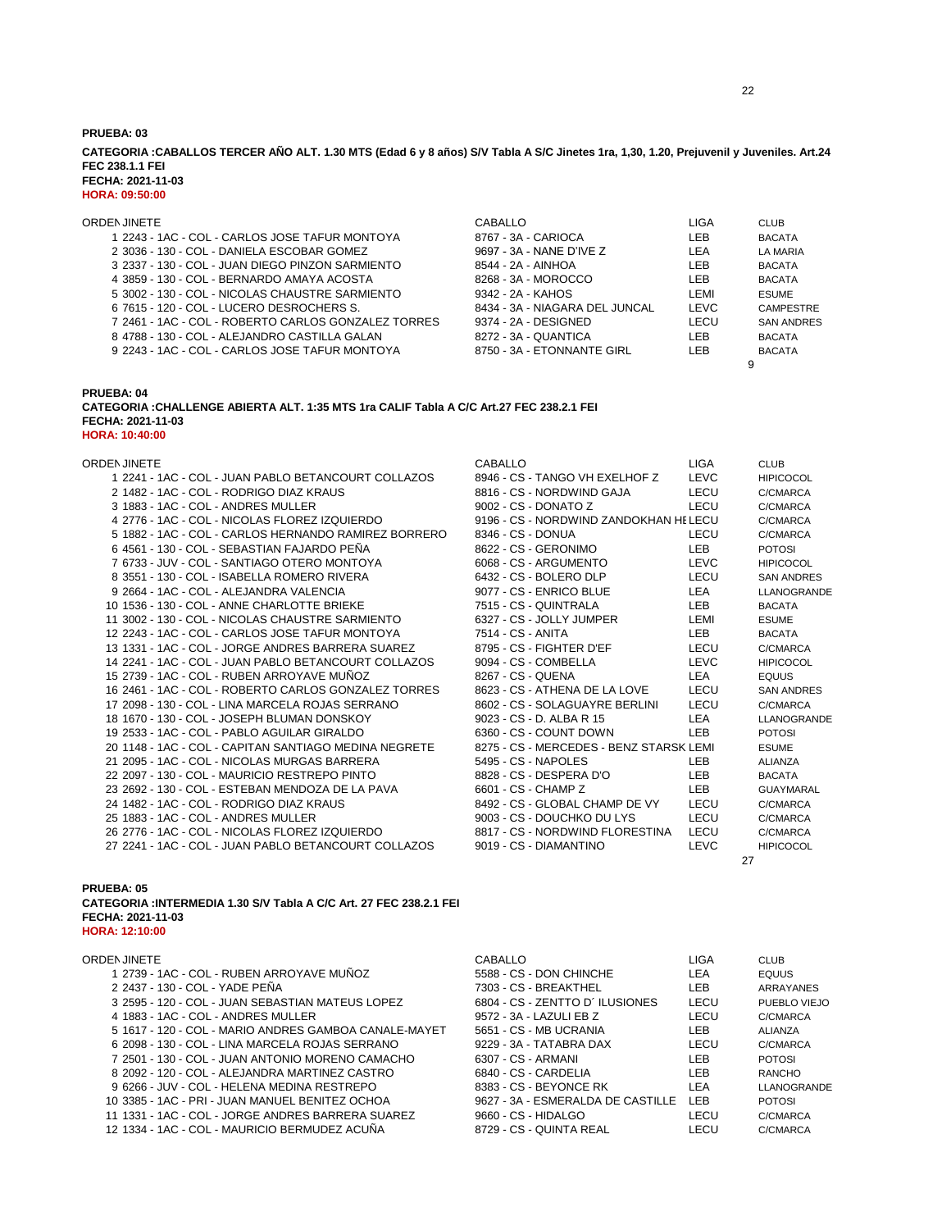**CATEGORIA :CABALLOS TERCER AÑO ALT. 1.30 MTS (Edad 6 y 8 años) S/V Tabla A S/C Jinetes 1ra, 1,30, 1.20, Prejuvenil y Juveniles. Art.24 FEC 238.1.1 FEI**

**FECHA: 2021-11-03 HORA: 09:50:00**

| ORDEN JINETE                                        | CABALLO                        | LIGA        | <b>CLUB</b>       |
|-----------------------------------------------------|--------------------------------|-------------|-------------------|
| 1 2243 - 1AC - COL - CARLOS JOSE TAFUR MONTOYA      | 8767 - 3A - CARIOCA            | LEB         | <b>BACATA</b>     |
| 2 3036 - 130 - COL - DANIELA ESCOBAR GOMEZ          | 9697 - 3A - NANE D'IVE Z       | LEA         | LA MARIA          |
| 3 2337 - 130 - COL - JUAN DIEGO PINZON SARMIENTO    | 8544 - 2A - AINHOA             | LEB         | <b>BACATA</b>     |
| 4 3859 - 130 - COL - BERNARDO AMAYA ACOSTA          | 8268 - 3A - MOROCCO            | LEB         | <b>BACATA</b>     |
| 5 3002 - 130 - COL - NICOLAS CHAUSTRE SARMIENTO     | 9342 - 2A - KAHOS              | I EMI       | <b>ESUME</b>      |
| 6 7615 - 120 - COL - LUCERO DESROCHERS S.           | 8434 - 3A - NIAGARA DEL JUNCAL | <b>LEVC</b> | <b>CAMPESTRE</b>  |
| 7 2461 - 1AC - COL - ROBERTO CARLOS GONZALEZ TORRES | 9374 - 2A - DESIGNED           | LECU        | <b>SAN ANDRES</b> |
| 8 4788 - 130 - COL - ALEJANDRO CASTILLA GALAN       | 8272 - 3A - QUANTICA           | LEB         | <b>BACATA</b>     |
| 9 2243 - 1AC - COL - CARLOS JOSE TAFUR MONTOYA      | 8750 - 3A - ETONNANTE GIRL     | I FB        | <b>BACATA</b>     |
|                                                     |                                |             |                   |

### **PRUEBA: 04 CATEGORIA :CHALLENGE ABIERTA ALT. 1:35 MTS 1ra CALIF Tabla A C/C Art.27 FEC 238.2.1 FEI FECHA: 2021-11-03 HORA: 10:40:00**

ORDENJINETE CABALLO LIGA CLUB

| 1 2241 - 1AC - COL - JUAN PABLO BETANCOURT COLLAZOS   |  |
|-------------------------------------------------------|--|
| 2 1482 - 1AC - COL - RODRIGO DIAZ KRAUS               |  |
| 3 1883 - 1AC - COL - ANDRES MULLER                    |  |
| 4 2776 - 1AC - COL - NICOLAS FLOREZ IZQUIERDO         |  |
| 5 1882 - 1AC - COL - CARLOS HERNANDO RAMIREZ BORRERO  |  |
| 6 4561 - 130 - COL - SEBASTIAN FAJARDO PEÑA           |  |
| 7 6733 - JUV - COL - SANTIAGO OTERO MONTOYA           |  |
| 8 3551 - 130 - COL - ISABELLA ROMERO RIVERA           |  |
| 9 2664 - 1AC - COL - ALEJANDRA VALENCIA               |  |
| 10 1536 - 130 - COL - ANNE CHARLOTTE BRIEKE           |  |
| 11 3002 - 130 - COL - NICOLAS CHAUSTRE SARMIENTO      |  |
| 12 2243 - 1AC - COL - CARLOS JOSE TAFUR MONTOYA       |  |
| 13 1331 - 1AC - COL - JORGE ANDRES BARRERA SUAREZ     |  |
| 14 2241 - 1AC - COL - JUAN PABLO BETANCOURT COLLAZOS  |  |
| 15 2739 - 1AC - COL - RUBEN ARROYAVE MUÑOZ            |  |
| 16 2461 - 1AC - COL - ROBERTO CARLOS GONZALEZ TORRES  |  |
| 17 2098 - 130 - COL - LINA MARCELA ROJAS SERRANO      |  |
| 18 1670 - 130 - COL - JOSEPH BLUMAN DONSKOY           |  |
| 19 2533 - 1AC - COL - PABLO AGUILAR GIRALDO           |  |
| 20 1148 - 1AC - COL - CAPITAN SANTIAGO MEDINA NEGRETE |  |
| 21 2095 - 1AC - COL - NICOLAS MURGAS BARRERA          |  |
| 22 2097 - 130 - COL - MAURICIO RESTREPO PINTO         |  |
| 23 2692 - 130 - COL - ESTEBAN MENDOZA DE LA PAVA      |  |
| 24 1482 - 1AC - COL - RODRIGO DIAZ KRAUS              |  |
| 25 1883 - 1AC - COL - ANDRES MULLER                   |  |
| 26 2776 - 1AC - COL - NICOLAS ELOREZ IZOUJERDO        |  |
| 27 2241 - 1AC - COL - JUAN PABLO BETANCOURT COLLAZOS  |  |

### 1 2246 - CS - TANGO VH EXELHOF Z LEVC HIPICOCOL 2816 - CS - NORDWIND GAJA LECU C/CMARCA 3002 - CS - DONATO Z LECU C/CMARCA 9196 - CS - NORDWIND ZANDOKHAN HELECU C/CMARCA 8346 - CS - DONUA LECU C/CMARCA 8622 - CS - GERONIMO LEB POTOSI 7 6733 - JUV - COL - SANTIAGO OTERO MONTOYA 6068 - CS - ARGUMENTO LEVC HIPICOCOL 6432 - CS - BOLERO DLP LECU SAN ANDRES 9077 - CS - ENRICO BLUE LEA LLANOGRANDE 10 1535 - 130 - 130 - 130 - 130 - 1315 - 1315 - CS - 2011 - CHARLOT ERMI<br>10 - 1315 - 2021 - CS - 2015 - 2015 - 2016 - 2016 - 2016 - 2016 - 2016 - 2016 - 2016 - 2016 - 2016 - 2016 - 20 6327 - CS - JOLLY JUMPER 12 12 224 2244 - 12 2344 - 12 2344 - 12 2345 - 12 2345 - 12 2345 - 12 2345 - 12 2345 - 12 2345 - 12 2345 - 12 23 13795 - CS - FIGHTER D'EF LECU C/CMARCA 14 2241 - 1AC - COL - JUAN PABLO BETANCOURT COLLAZOS 9094 - CS - COMBELLA LEVC HIPICOCOL 15 15 267 - 1259 - 1259 - 1259 - 1259 - 1259 - 1259 - 2367 - CS - ATHENA DE LA LOVE 1250 - 2267 - CS - ATHENA <br>15 269 - 2367 - CS - ATHENA DE LA LOVE 1250 - 1250 - 1250 - 1250 - 1250 - 1250 - 1250 - 1250 - 1250 - 1250 - 1 16 16 23 - 25 - 14 AC - 1AC DE LA LOVE LECU SAN ANDRES 8602 - CS - SOLAGUAYRE BERLINI LECU C/CMARCA 18 1670 - 130 - 130 - 130 - 130 - 130 - 130 - 140 - 140 - 140 - 140 - 140 - 140 - 140 - 140 - 140 - 140 - 140 - 140 - 140 - 140 - 140 - 140 - 140 - 140 - 140 - 140 - 140 - 140 - 140 - 140 - 140 - 140 - 140 - 140 - 140 - 14 19 6360 - CS - COUNT DOWN LEB POTOSI 8275 - CS - MERCEDES - BENZ STARSK LEMI ESUME 21 2095 - 2095 - 1099 - 1099 - 2009 - 2009 - 2014 - 2020 - 2020 - 2020 - 2020 - 2020 - 2020 - 2020 - 2020 - 20 228 - CS - DESPERA D'O LEB BACATA 6601 - CS - CHAMP Z LEB GUAYMARAL 8492 - CS - GLOBAL CHAMP DE VY LECU C/CMARCA 9003 - CS - DOUCHKO DU LYS LECU C/CMARCA 8817 - CS - NORDWIND FLORESTINA LECU C/CMARCA 2019 - CS - DIAMANTINO LEVC HIPICOCOL

27

### **PRUEBA: 05**

### **CATEGORIA :INTERMEDIA 1.30 S/V Tabla A C/C Art. 27 FEC 238.2.1 FEI FECHA: 2021-11-03 HORA: 12:10:00**

| ORDEN JINETE                                          | CABALLO                           | LIGA | <b>CLUB</b>   |
|-------------------------------------------------------|-----------------------------------|------|---------------|
| 1 2739 - 1AC - COL - RUBEN ARROYAVE MUÑOZ             | 5588 - CS - DON CHINCHE           | LEA  | <b>EQUUS</b>  |
| 2 2437 - 130 - COL - YADE PENA                        | 7303 - CS - BREAKTHEL             | LEB  | ARRAYANES     |
| 3 2595 - 120 - COL - JUAN SEBASTIAN MATEUS LOPEZ      | 6804 - CS - ZENTTO D'ILUSIONES    | LECU | PUEBLO VIEJO  |
| 4 1883 - 1AC - COL - ANDRES MULLER                    | 9572 - 3A - LAZULI EB Z           | LECU | C/CMARCA      |
| 5 1617 - 120 - COL - MARIO ANDRES GAMBOA CANALE-MAYET | 5651 - CS - MB UCRANIA            | LEB  | ALIANZA       |
| 6 2098 - 130 - COL - LINA MARCELA ROJAS SERRANO       | 9229 - 3A - TATABRA DAX           | LECU | C/CMARCA      |
| 7 2501 - 130 - COL - JUAN ANTONIO MORENO CAMACHO      | 6307 - CS - ARMANI                | LEB  | <b>POTOSI</b> |
| 8 2092 - 120 - COL - ALEJANDRA MARTINEZ CASTRO        | 6840 - CS - CARDELIA              | LEB  | <b>RANCHO</b> |
| 9 6266 - JUV - COL - HELENA MEDINA RESTREPO           | 8383 - CS - BEYONCE RK            | LEA  | LLANOGRANDE   |
| 10 3385 - 1AC - PRI - JUAN MANUEL BENITEZ OCHOA       | 9627 - 3A - ESMERALDA DE CASTILLE | LEB. | <b>POTOSI</b> |
| 11 1331 - 1AC - COL - JORGE ANDRES BARRERA SUAREZ     | 9660 - CS - HIDALGO               | LECU | C/CMARCA      |
| 12 1334 - 1AC - COL - MAURICIO BERMUDEZ ACUNA         | 8729 - CS - QUINTA REAL           | LECU | C/CMARCA      |
|                                                       |                                   |      |               |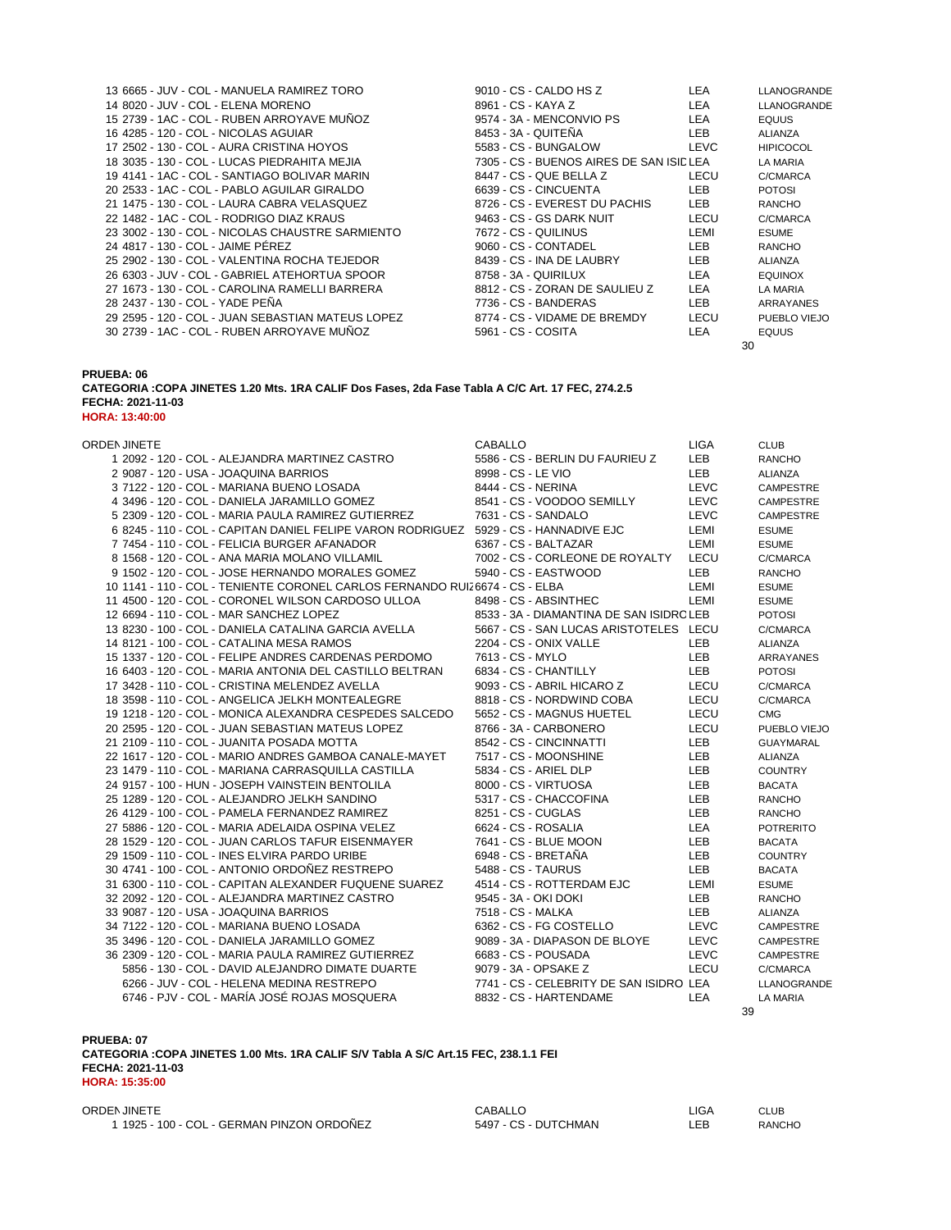| 13 6665 - JUV - COL - MANUELA RAMIREZ TORO<br>14 8020 - JUV - COL - ELENA MORENO | 9010 - CS - CALDO HS Z<br>8961 - CS - KAYA Z | LEA<br>LEA | LLANOGRANDE<br>LLANOGRANDE |
|----------------------------------------------------------------------------------|----------------------------------------------|------------|----------------------------|
| 15 2739 - 1AC - COL - RUBEN ARROYAVE MUNOZ                                       | 9574 - 3A - MENCONVIO PS                     | LEA        | <b>EQUUS</b>               |
| 16 4285 - 120 - COL - NICOLAS AGUIAR                                             | 8453 - 3A - QUITENA                          | <b>LEB</b> | <b>ALIANZA</b>             |
| 17 2502 - 130 - COL - AURA CRISTINA HOYOS                                        | 5583 - CS - BUNGALOW                         | LEVC       | <b>HIPICOCOL</b>           |
| 18 3035 - 130 - COL - LUCAS PIEDRAHITA MEJIA                                     | 7305 - CS - BUENOS AIRES DE SAN ISID LEA     |            | <b>LA MARIA</b>            |
| 19 4141 - 1AC - COL - SANTIAGO BOLIVAR MARIN                                     | 8447 - CS - QUE BELLA Z                      | LECU       | C/CMARCA                   |
| 20 2533 - 1AC - COL - PABLO AGUILAR GIRALDO                                      | 6639 - CS - CINCUENTA                        | <b>LEB</b> | <b>POTOSI</b>              |
| 21 1475 - 130 - COL - LAURA CABRA VELASQUEZ                                      | 8726 - CS - EVEREST DU PACHIS                | <b>LEB</b> | <b>RANCHO</b>              |
| 22 1482 - 1AC - COL - RODRIGO DIAZ KRAUS                                         | 9463 - CS - GS DARK NUIT                     | LECU       | C/CMARCA                   |
| 23 3002 - 130 - COL - NICOLAS CHAUSTRE SARMIENTO                                 | 7672 - CS - QUILINUS                         | LEMI       | <b>ESUME</b>               |
| 24 4817 - 130 - COL - JAIME PEREZ                                                | 9060 - CS - CONTADEL                         | <b>LEB</b> | <b>RANCHO</b>              |
| 25 2902 - 130 - COL - VALENTINA ROCHA TEJEDOR                                    | 8439 - CS - INA DE LAUBRY                    | <b>LEB</b> | <b>ALIANZA</b>             |
| 26 6303 - JUV - COL - GABRIEL ATEHORTUA SPOOR                                    | 8758 - 3A - QUIRILUX                         | LEA        | <b>EQUINOX</b>             |
| 27 1673 - 130 - COL - CAROLINA RAMELLI BARRERA                                   | 8812 - CS - ZORAN DE SAULIEU Z               | LEA        | <b>LA MARIA</b>            |
| 28 2437 - 130 - COL - YADE PENA                                                  | 7736 - CS - BANDERAS                         | <b>LEB</b> | ARRAYANES                  |
| 29 2595 - 120 - COL - JUAN SEBASTIAN MATEUS LOPEZ                                | 8774 - CS - VIDAME DE BREMDY                 | LECU       | PUEBLO VIEJO               |
| 30 2739 - 1AC - COL - RUBEN ARROYAVE MUNOZ                                       | 5961 - CS - COSITA                           | LEA        | <b>EQUUS</b>               |
|                                                                                  |                                              |            |                            |

| 9010 - CS - CALDO HS Z    |                                          | LEA   | LLANOGRANDE      |
|---------------------------|------------------------------------------|-------|------------------|
| 3961 - CS - KAYA Z        |                                          | LEA   | LLANOGRANDE      |
| 9574 - 3A - MENCONVIO PS  |                                          | LEA   | <b>EQUUS</b>     |
| 3453 - 3A - QUITEÑA       |                                          | LEB   | ALIANZA          |
| 5583 - CS - BUNGALOW      |                                          | LEVC. | <b>HIPICOCOL</b> |
|                           | 7305 - CS - BUENOS AIRES DE SAN ISID LEA |       | LA MARIA         |
| 3447 - CS - QUE BELLA Z   |                                          | LECU  | C/CMARCA         |
| 6639 - CS - CINCUENTA     |                                          | LEB   | <b>POTOSI</b>    |
|                           | 3726 - CS - EVEREST DU PACHIS            | LEB   | <b>RANCHO</b>    |
| 9463 - CS - GS DARK NUIT  |                                          | LECU  | C/CMARCA         |
| 7672 - CS - QUILINUS      |                                          | LEMI  | <b>ESUME</b>     |
| 9060 - CS - CONTADEL      |                                          | LEB   | <b>RANCHO</b>    |
| 3439 - CS - INA DE LAUBRY |                                          | LEB   | ALIANZA          |
| 3758 - 3A - QUIRILUX      |                                          | LEA   | <b>EQUINOX</b>   |
|                           | 3812 - CS - ZORAN DE SAULIEU Z           | LEA   | LA MARIA         |
| 7736 - CS - BANDERAS      |                                          | LEB   | ARRAYANES        |
|                           | 3774 - CS - VIDAME DE BREMDY             | LECU  | PUEBLO VIEJO     |
| 5961 - CS - COSITA        |                                          | LEA   | <b>EQUUS</b>     |
|                           |                                          | 30    |                  |

**CATEGORIA :COPA JINETES 1.20 Mts. 1RA CALIF Dos Fases, 2da Fase Tabla A C/C Art. 17 FEC, 274.2.5 FECHA: 2021-11-03 HORA: 13:40:00**

| ORDEN JINETE                                                                         | <b>CABALLO</b>                           | <b>LIGA</b> | <b>CLUB</b>      |
|--------------------------------------------------------------------------------------|------------------------------------------|-------------|------------------|
| 1 2092 - 120 - COL - ALEJANDRA MARTINEZ CASTRO                                       | 5586 - CS - BERLIN DU FAURIEU Z          | <b>LEB</b>  | <b>RANCHO</b>    |
| 2 9087 - 120 - USA - JOAQUINA BARRIOS                                                | 8998 - CS - LE VIO                       | <b>LEB</b>  | <b>ALIANZA</b>   |
| 3 7122 - 120 - COL - MARIANA BUENO LOSADA                                            | 8444 - CS - NERINA                       | <b>LEVC</b> | <b>CAMPESTRE</b> |
| 4 3496 - 120 - COL - DANIELA JARAMILLO GOMEZ                                         | 8541 - CS - VOODOO SEMILLY               | <b>LEVC</b> | <b>CAMPESTRE</b> |
| 5 2309 - 120 - COL - MARIA PAULA RAMIREZ GUTIERREZ                                   | 7631 - CS - SANDALO                      | <b>LEVC</b> | <b>CAMPESTRE</b> |
| 6 8245 - 110 - COL - CAPITAN DANIEL FELIPE VARON RODRIGUEZ 5929 - CS - HANNADIVE EJC |                                          | LEMI        | <b>ESUME</b>     |
| 7 7454 - 110 - COL - FELICIA BURGER AFANADOR                                         | 6367 - CS - BALTAZAR                     | LEMI        | <b>ESUME</b>     |
| 8 1568 - 120 - COL - ANA MARIA MOLANO VILLAMIL                                       | 7002 - CS - CORLEONE DE ROYALTY          | LECU        | C/CMARCA         |
| 9 1502 - 120 - COL - JOSE HERNANDO MORALES GOMEZ                                     | 5940 - CS - EASTWOOD                     | <b>LEB</b>  | <b>RANCHO</b>    |
| 10 1141 - 110 - COL - TENIENTE CORONEL CARLOS FERNANDO RUIZ 6674 - CS - ELBA         |                                          | LEMI        | <b>ESUME</b>     |
| 11 4500 - 120 - COL - CORONEL WILSON CARDOSO ULLOA                                   | 8498 - CS - ABSINTHEC                    | LEMI        | <b>ESUME</b>     |
| 12 6694 - 110 - COL - MAR SANCHEZ LOPEZ                                              | 8533 - 3A - DIAMANTINA DE SAN ISIDRC LEB |             | <b>POTOSI</b>    |
| 13 8230 - 100 - COL - DANIELA CATALINA GARCIA AVELLA                                 | 5667 - CS - SAN LUCAS ARISTOTELES LECU   |             | C/CMARCA         |
| 14 8121 - 100 - COL - CATALINA MESA RAMOS                                            | 2204 - CS - ONIX VALLE                   | <b>LEB</b>  | <b>ALIANZA</b>   |
| 15 1337 - 120 - COL - FELIPE ANDRES CARDENAS PERDOMO                                 | 7613 - CS - MYLO                         | <b>LEB</b>  | <b>ARRAYANES</b> |
| 16 6403 - 120 - COL - MARIA ANTONIA DEL CASTILLO BELTRAN                             | 6834 - CS - CHANTILLY                    | <b>LEB</b>  | <b>POTOSI</b>    |
| 17 3428 - 110 - COL - CRISTINA MELENDEZ AVELLA                                       | 9093 - CS - ABRIL HICARO Z               | LECU        | C/CMARCA         |
| 18 3598 - 110 - COL - ANGELICA JELKH MONTEALEGRE                                     | 8818 - CS - NORDWIND COBA                | LECU        | C/CMARCA         |
| 19 1218 - 120 - COL - MONICA ALEXANDRA CESPEDES SALCEDO                              | 5652 - CS - MAGNUS HUETEL                | LECU        | <b>CMG</b>       |
| 20 2595 - 120 - COL - JUAN SEBASTIAN MATEUS LOPEZ                                    | 8766 - 3A - CARBONERO                    | LECU        | PUEBLO VIEJO     |
| 21 2109 - 110 - COL - JUANITA POSADA MOTTA                                           | 8542 - CS - CINCINNATTI                  | LEB         | <b>GUAYMARAL</b> |
| 22 1617 - 120 - COL - MARIO ANDRES GAMBOA CANALE-MAYET                               | 7517 - CS - MOONSHINE                    | <b>LEB</b>  | <b>ALIANZA</b>   |
| 23 1479 - 110 - COL - MARIANA CARRASQUILLA CASTILLA                                  | 5834 - CS - ARIEL DLP                    | LEB.        | <b>COUNTRY</b>   |
| 24 9157 - 100 - HUN - JOSEPH VAINSTEIN BENTOLILA                                     | 8000 - CS - VIRTUOSA                     | <b>LEB</b>  | <b>BACATA</b>    |
| 25 1289 - 120 - COL - ALEJANDRO JELKH SANDINO                                        | 5317 - CS - CHACCOFINA                   | <b>LEB</b>  | <b>RANCHO</b>    |
| 26 4129 - 100 - COL - PAMELA FERNANDEZ RAMIREZ                                       | 8251 - CS - CUGLAS                       | LEB.        | <b>RANCHO</b>    |
| 27 5886 - 120 - COL - MARIA ADELAIDA OSPINA VELEZ                                    | 6624 - CS - ROSALIA                      | <b>LEA</b>  | <b>POTRERITO</b> |
| 28 1529 - 120 - COL - JUAN CARLOS TAFUR EISENMAYER                                   | 7641 - CS - BLUE MOON                    | LEB.        | <b>BACATA</b>    |
| 29 1509 - 110 - COL - INES ELVIRA PARDO URIBE                                        | 6948 - CS - BRETAÑA                      | LEB         | <b>COUNTRY</b>   |
| 30 4741 - 100 - COL - ANTONIO ORDOÑEZ RESTREPO                                       | 5488 - CS - TAURUS                       | <b>LEB</b>  | <b>BACATA</b>    |
| 31 6300 - 110 - COL - CAPITAN ALEXANDER FUQUENE SUAREZ                               | 4514 - CS - ROTTERDAM EJC                | LEMI        | <b>ESUME</b>     |
| 32 2092 - 120 - COL - ALEJANDRA MARTINEZ CASTRO                                      | 9545 - 3A - OKI DOKI                     | <b>LEB</b>  | <b>RANCHO</b>    |
| 33 9087 - 120 - USA - JOAQUINA BARRIOS                                               | 7518 - CS - MALKA                        | <b>LEB</b>  | <b>ALIANZA</b>   |
| 34 7122 - 120 - COL - MARIANA BUENO LOSADA                                           | 6362 - CS - FG COSTELLO                  | <b>LEVC</b> | <b>CAMPESTRE</b> |
| 35 3496 - 120 - COL - DANIELA JARAMILLO GOMEZ                                        | 9089 - 3A - DIAPASON DE BLOYE            | <b>LEVC</b> | <b>CAMPESTRE</b> |
| 36 2309 - 120 - COL - MARIA PAULA RAMIREZ GUTIERREZ                                  | 6683 - CS - POUSADA                      | <b>LEVC</b> | <b>CAMPESTRE</b> |
| 5856 - 130 - COL - DAVID ALEJANDRO DIMATE DUARTE                                     | 9079 - 3A - OPSAKE Z                     | <b>LECU</b> | C/CMARCA         |
| 6266 - JUV - COL - HELENA MEDINA RESTREPO                                            | 7741 - CS - CELEBRITY DE SAN ISIDRO LEA  |             | LLANOGRANDE      |
| 6746 - PJV - COL - MARÍA JOSÉ ROJAS MOSQUERA                                         | 8832 - CS - HARTENDAME                   | <b>LEA</b>  | <b>LA MARIA</b>  |
|                                                                                      |                                          | 39          |                  |
|                                                                                      |                                          |             |                  |

**PRUEBA: 07 CATEGORIA :COPA JINETES 1.00 Mts. 1RA CALIF S/V Tabla A S/C Art.15 FEC, 238.1.1 FEI FECHA: 2021-11-03 HORA: 15:35:00**

ORDENJINETE CABALLO LIGA CLUB 1925 - 100 - COL - GERMAN PINZON ORDOÑEZ 5497 - CS - DUTCHMAN LEB RANCHO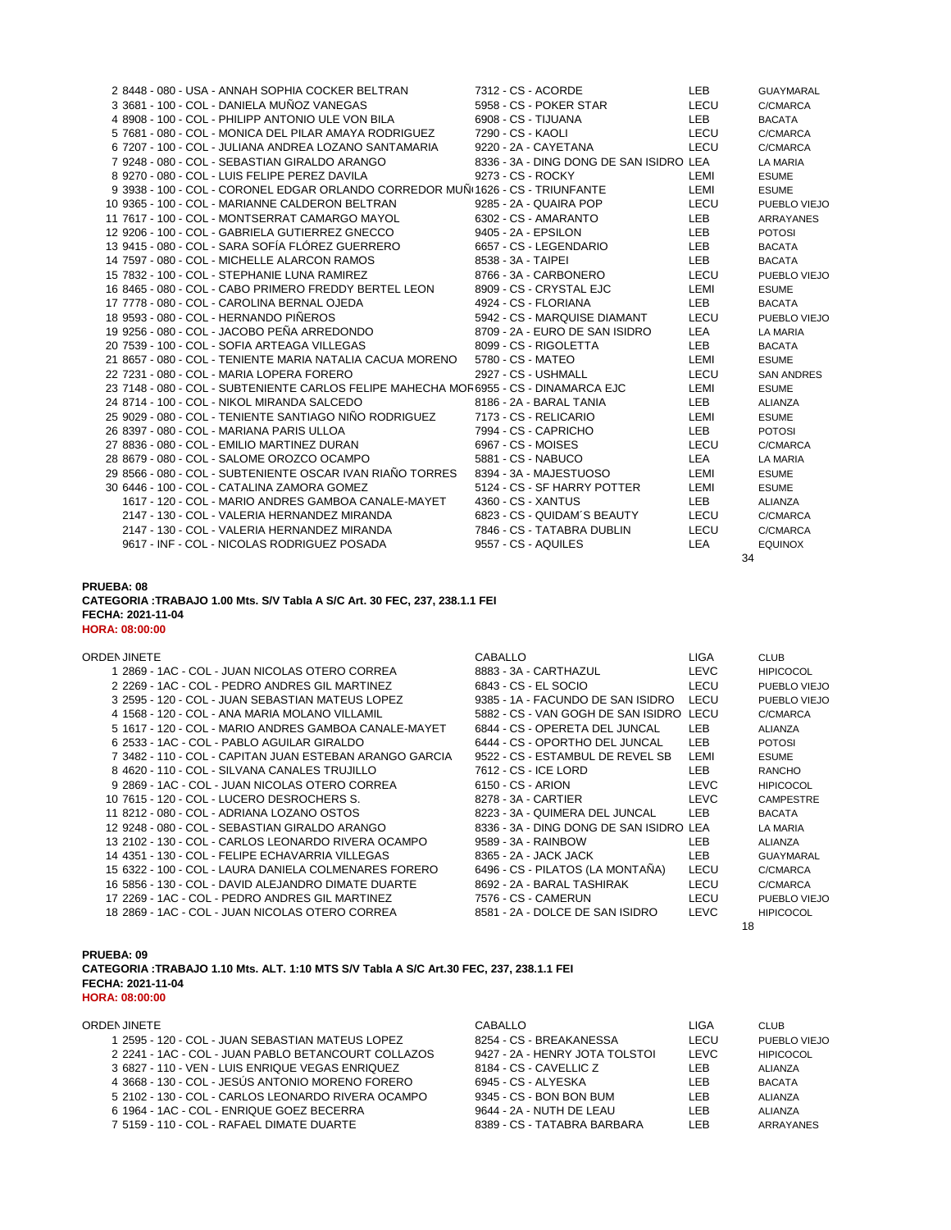| 2 8448 - 080 - USA - ANNAH SOPHIA COCKER BELTRAN                                      |  | 7312 - CS - ACORDE                      | LEB        | <b>GUAYMARAL</b>  |
|---------------------------------------------------------------------------------------|--|-----------------------------------------|------------|-------------------|
| 3 3681 - 100 - COL - DANIELA MUÑOZ VANEGAS                                            |  | 5958 - CS - POKER STAR                  | LECU       | C/CMARCA          |
| 4 8908 - 100 - COL - PHILIPP ANTONIO ULE VON BILA                                     |  | 6908 - CS - TIJUANA                     | LEB        | <b>BACATA</b>     |
| 5 7681 - 080 - COL - MONICA DEL PILAR AMAYA RODRIGUEZ                                 |  | 7290 - CS - KAOLI                       | LECU       | C/CMARCA          |
| 6 7207 - 100 - COL - JULIANA ANDREA LOZANO SANTAMARIA                                 |  | 9220 - 2A - CAYETANA                    | LECU       | C/CMARCA          |
| 7 9248 - 080 - COL - SEBASTIAN GIRALDO ARANGO                                         |  | 8336 - 3A - DING DONG DE SAN ISIDRO LEA |            | LA MARIA          |
| 8 9270 - 080 - COL - LUIS FELIPE PEREZ DAVILA                                         |  | 9273 - CS - ROCKY                       | LEMI       | <b>ESUME</b>      |
| 9 3938 - 100 - COL - CORONEL EDGAR ORLANDO CORREDOR MUN 1626 - CS - TRIUNFANTE        |  |                                         | LEMI       | <b>ESUME</b>      |
| 10 9365 - 100 - COL - MARIANNE CALDERON BELTRAN                                       |  | 9285 - 2A - QUAIRA POP                  | LECU       | PUEBLO VIEJO      |
| 11 7617 - 100 - COL - MONTSERRAT CAMARGO MAYOL                                        |  | 6302 - CS - AMARANTO                    | <b>LEB</b> | <b>ARRAYANES</b>  |
| 12 9206 - 100 - COL - GABRIELA GUTIERREZ GNECCO                                       |  | 9405 - 2A - EPSILON                     | LEB        | <b>POTOSI</b>     |
| 13 9415 - 080 - COL - SARA SOFÍA FLÓREZ GUERRERO                                      |  | 6657 - CS - LEGENDARIO                  | <b>LEB</b> | <b>BACATA</b>     |
| 14 7597 - 080 - COL - MICHELLE ALARCON RAMOS                                          |  | 8538 - 3A - TAIPEI                      | LEB        | <b>BACATA</b>     |
| 15 7832 - 100 - COL - STEPHANIE LUNA RAMIREZ                                          |  | 8766 - 3A - CARBONERO                   | LECU       | PUEBLO VIEJO      |
| 16 8465 - 080 - COL - CABO PRIMERO FREDDY BERTEL LEON                                 |  | 8909 - CS - CRYSTAL EJC                 | LEMI       | <b>ESUME</b>      |
| 17 7778 - 080 - COL - CAROLINA BERNAL OJEDA                                           |  | 4924 - CS - FLORIANA                    | <b>LEB</b> | <b>BACATA</b>     |
| 18 9593 - 080 - COL - HERNANDO PIÑEROS                                                |  | 5942 - CS - MARQUISE DIAMANT            | LECU       | PUEBLO VIEJO      |
| 19 9256 - 080 - COL - JACOBO PEÑA ARREDONDO                                           |  | 8709 - 2A - EURO DE SAN ISIDRO          | LEA        | LA MARIA          |
| 20 7539 - 100 - COL - SOFIA ARTEAGA VILLEGAS                                          |  | 8099 - CS - RIGOLETTA                   | LEB        | <b>BACATA</b>     |
| 21 8657 - 080 - COL - TENIENTE MARIA NATALIA CACUA MORENO                             |  | 5780 - CS - MATEO                       | LEMI       | <b>ESUME</b>      |
| 22 7231 - 080 - COL - MARIA LOPERA FORERO                                             |  | 2927 - CS - USHMALL                     | LECU       | <b>SAN ANDRES</b> |
| 23 7148 - 080 - COL - SUBTENIENTE CARLOS FELIPE MAHECHA MOF 6955 - CS - DINAMARCA EJC |  |                                         | LEMI       | <b>ESUME</b>      |
| 24 8714 - 100 - COL - NIKOL MIRANDA SALCEDO                                           |  | 8186 - 2A - BARAL TANIA                 | <b>LEB</b> | <b>ALIANZA</b>    |
| 25 9029 - 080 - COL - TENIENTE SANTIAGO NIÑO RODRIGUEZ                                |  | 7173 - CS - RELICARIO                   | LEMI       | <b>ESUME</b>      |
| 26 8397 - 080 - COL - MARIANA PARIS ULLOA                                             |  | 7994 - CS - CAPRICHO                    | LEB        | <b>POTOSI</b>     |
| 27 8836 - 080 - COL - EMILIO MARTINEZ DURAN                                           |  | 6967 - CS - MOISES                      | LECU       | C/CMARCA          |
| 28 8679 - 080 - COL - SALOME OROZCO OCAMPO                                            |  | 5881 - CS - NABUCO                      | LEA        | LA MARIA          |
| 29 8566 - 080 - COL - SUBTENIENTE OSCAR IVAN RIAÑO TORRES                             |  | 8394 - 3A - MAJESTUOSO                  | LEMI       | <b>ESUME</b>      |
| 30 6446 - 100 - COL - CATALINA ZAMORA GOMEZ                                           |  | 5124 - CS - SF HARRY POTTER             | LEMI       | <b>ESUME</b>      |
| 1617 - 120 - COL - MARIO ANDRES GAMBOA CANALE-MAYET                                   |  | 4360 - CS - XANTUS                      | LEB        | ALIANZA           |
| 2147 - 130 - COL - VALERIA HERNANDEZ MIRANDA                                          |  | 6823 - CS - QUIDAM'S BEAUTY             | LECU       | C/CMARCA          |
| 2147 - 130 - COL - VALERIA HERNANDEZ MIRANDA                                          |  | 7846 - CS - TATABRA DUBLIN              | LECU       | C/CMARCA          |
| 9617 - INF - COL - NICOLAS RODRIGUEZ POSADA                                           |  | 9557 - CS - AQUILES                     | <b>LEA</b> | <b>EQUINOX</b>    |
|                                                                                       |  |                                         | 34         |                   |

### **PRUEBA: 08 CATEGORIA :TRABAJO 1.00 Mts. S/V Tabla A S/C Art. 30 FEC, 237, 238.1.1 FEI FECHA: 2021-11-04 HORA: 08:00:00**

| <b>ORDEN JINETE</b>                                     | <b>CABALLO</b>                          | <b>LIGA</b> | <b>CLUB</b>      |
|---------------------------------------------------------|-----------------------------------------|-------------|------------------|
| 1 2869 - 1AC - COL - JUAN NICOLAS OTERO CORREA          | 8883 - 3A - CARTHAZUL                   | <b>LEVC</b> | <b>HIPICOCOL</b> |
| 2 2269 - 1AC - COL - PEDRO ANDRES GIL MARTINEZ          | 6843 - CS - EL SOCIO                    | LECU        | PUEBLO VIEJO     |
| 3 2595 - 120 - COL - JUAN SEBASTIAN MATEUS LOPEZ        | 9385 - 1A - FACUNDO DE SAN ISIDRO       | LECU        | PUEBLO VIEJO     |
| 4 1568 - 120 - COL - ANA MARIA MOLANO VILLAMIL          | 5882 - CS - VAN GOGH DE SAN ISIDRO      | LECU        | C/CMARCA         |
| 5 1617 - 120 - COL - MARIO ANDRES GAMBOA CANALE-MAYET   | 6844 - CS - OPERETA DEL JUNCAL          | <b>LEB</b>  | <b>ALIANZA</b>   |
| 6 2533 - 1AC - COL - PABLO AGUILAR GIRALDO              | 6444 - CS - OPORTHO DEL JUNCAL          | LEB         | <b>POTOSI</b>    |
| 7 3482 - 110 - COL - CAPITAN JUAN ESTEBAN ARANGO GARCIA | 9522 - CS - ESTAMBUL DE REVEL SB        | LEMI        | <b>ESUME</b>     |
| 8 4620 - 110 - COL - SILVANA CANALES TRUJILLO           | 7612 - CS - ICE LORD                    | LEB         | <b>RANCHO</b>    |
| 9 2869 - 1AC - COL - JUAN NICOLAS OTERO CORREA          | 6150 - CS - ARION                       | <b>LEVC</b> | <b>HIPICOCOL</b> |
| 10 7615 - 120 - COL - LUCERO DESROCHERS S.              | 8278 - 3A - CARTIER                     | <b>LEVC</b> | <b>CAMPESTRE</b> |
| 11 8212 - 080 - COL - ADRIANA LOZANO OSTOS              | 8223 - 3A - QUIMERA DEL JUNCAL          | LEB.        | <b>BACATA</b>    |
| 12 9248 - 080 - COL - SEBASTIAN GIRALDO ARANGO          | 8336 - 3A - DING DONG DE SAN ISIDRO LEA |             | LA MARIA         |
| 13 2102 - 130 - COL - CARLOS LEONARDO RIVERA OCAMPO     | 9589 - 3A - RAINBOW                     | LEB.        | ALIANZA          |
| 14 4351 - 130 - COL - FELIPE ECHAVARRIA VILLEGAS        | 8365 - 2A - JACK JACK                   | LEB.        | <b>GUAYMARAL</b> |
| 15 6322 - 100 - COL - LAURA DANIELA COLMENARES FORERO   | 6496 - CS - PILATOS (LA MONTAÑA)        | LECU        | C/CMARCA         |
| 16 5856 - 130 - COL - DAVID ALEJANDRO DIMATE DUARTE     | 8692 - 2A - BARAL TASHIRAK              | LECU        | C/CMARCA         |
| 17 2269 - 1AC - COL - PEDRO ANDRES GIL MARTINEZ         | 7576 - CS - CAMERUN                     | LECU        | PUEBLO VIEJO     |
| 18 2869 - 1AC - COL - JUAN NICOLAS OTERO CORREA         | 8581 - 2A - DOLCE DE SAN ISIDRO         | LEVC        | <b>HIPICOCOL</b> |
|                                                         |                                         |             | 18               |

### **PRUEBA: 09 CATEGORIA :TRABAJO 1.10 Mts. ALT. 1:10 MTS S/V Tabla A S/C Art.30 FEC, 237, 238.1.1 FEI FECHA: 2021-11-04 HORA: 08:00:00**

### ORDENJINETE CABALLO LIGA CLUB 1 2595 - 120 - COL - JUAN SEBASTIAN MATEUS LOPEZ 6254 - CS - BREAKANESSA LECU PUEBLO VIEJO 2241 - 1AC - COL - JUAN PABLO BETANCOURT COLLAZOS 9427 - 2A - HENRY JOTA TOLSTOI LEVC HIPICOCOL 6827 - 110 - VEN - LUIS ENRIQUE VEGAS ENRIQUEZ 8184 - CS - CAVELLIC Z LEB ALIANZA 3668 - 130 - COL - JESÚS ANTONIO MORENO FORERO 6945 - CS - ALYESKA LEB BACATA 2102 - 130 - COL - CARLOS LEONARDO RIVERA OCAMPO 9345 - CS - BON BON BUM LEB ALIANZA 6 1964 - 1AC - COL - ENRIQUE GOEZ BECERRA 9644 - 2A - NUTH DE LEAU LEB ALIANZA 5159 - 110 - COL - RAFAEL DIMATE DUARTE 8389 - CS - TATABRA BARBARA LEB ARRAYANES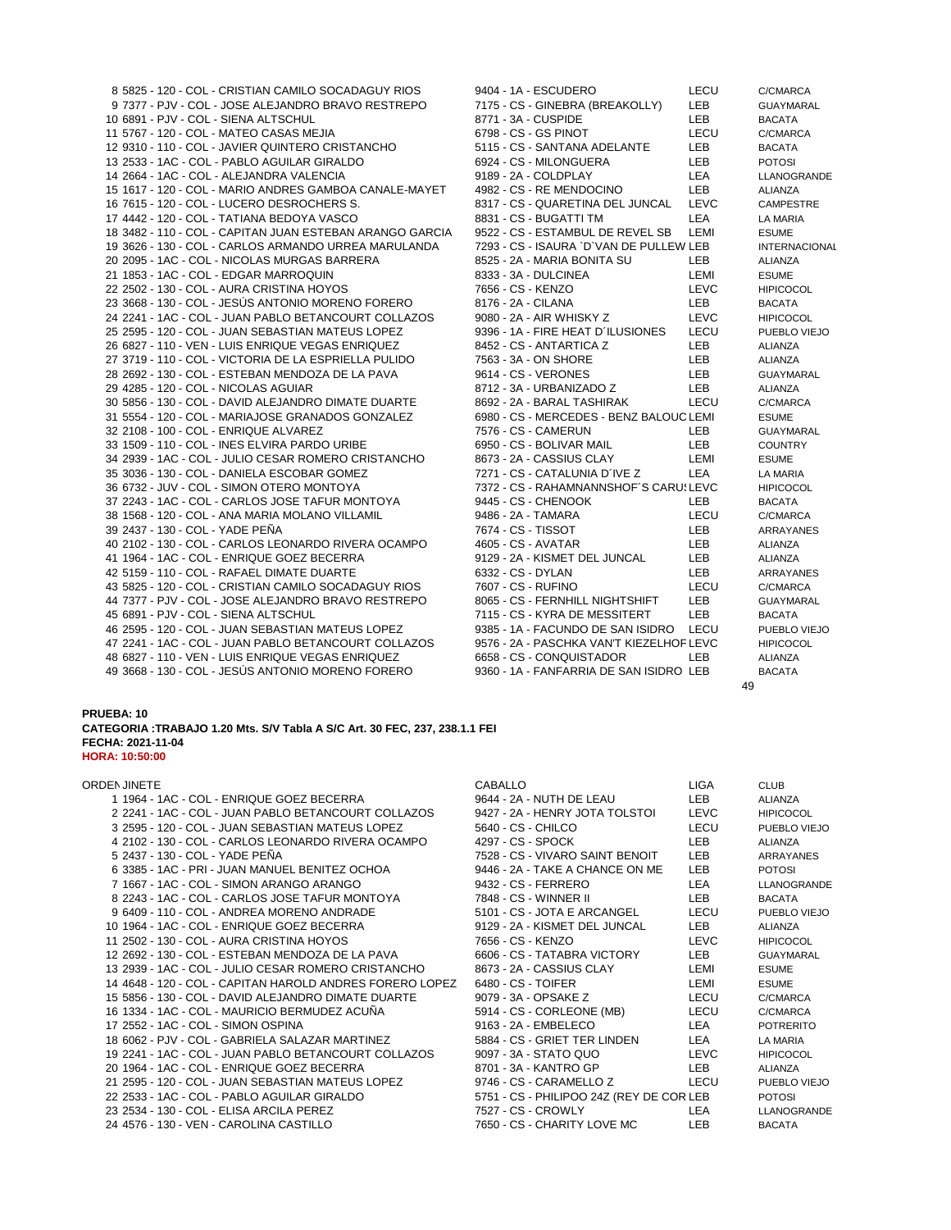| 8 5825 - 120 - COL - CRISTIAN CAMILO SOCADAGUY RIOS      |  | 9404 - 1A - ESCUDERO                     | LECU        | C/CMARCA          |
|----------------------------------------------------------|--|------------------------------------------|-------------|-------------------|
| 9 7377 - PJV - COL - JOSE ALEJANDRO BRAVO RESTREPO       |  | 7175 - CS - GINEBRA (BREAKOLLY)          | LEB         | <b>GUAYMARAL</b>  |
| 10 6891 - PJV - COL - SIENA ALTSCHUL                     |  | 8771 - 3A - CUSPIDE                      | LEB         | <b>BACATA</b>     |
| 11 5767 - 120 - COL - MATEO CASAS MEJIA                  |  | 6798 - CS - GS PINOT                     | LECU        | C/CMARCA          |
| 12 9310 - 110 - COL - JAVIER QUINTERO CRISTANCHO         |  | 5115 - CS - SANTANA ADELANTE             | LEB         | <b>BACATA</b>     |
| 13 2533 - 1AC - COL - PABLO AGUILAR GIRALDO              |  | 6924 - CS - MILONGUERA                   | LEB         | <b>POTOSI</b>     |
| 14 2664 - 1AC - COL - ALEJANDRA VALENCIA                 |  | 9189 - 2A - COLDPLAY                     | LEA         | LLANOGRAN         |
| 15 1617 - 120 - COL - MARIO ANDRES GAMBOA CANALE-MAYET   |  | 4982 - CS - RE MENDOCINO                 | LEB         | <b>ALIANZA</b>    |
| 16 7615 - 120 - COL - LUCERO DESROCHERS S.               |  | 8317 - CS - QUARETINA DEL JUNCAL         | <b>LEVC</b> | <b>CAMPESTRE</b>  |
| 17 4442 - 120 - COL - TATIANA BEDOYA VASCO               |  | 8831 - CS - BUGATTI TM                   | <b>LEA</b>  | LA MARIA          |
| 18 3482 - 110 - COL - CAPITAN JUAN ESTEBAN ARANGO GARCIA |  | 9522 - CS - ESTAMBUL DE REVEL SB         | LEMI        | <b>ESUME</b>      |
| 19 3626 - 130 - COL - CARLOS ARMANDO URREA MARULANDA     |  | 7293 - CS - ISAURA `D`VAN DE PULLEW LEB  |             | <b>INTERNACIO</b> |
| 20 2095 - 1AC - COL - NICOLAS MURGAS BARRERA             |  | 8525 - 2A - MARIA BONITA SU              | <b>LEB</b>  | ALIANZA           |
| 21 1853 - 1AC - COL - EDGAR MARROQUIN                    |  | 8333 - 3A - DULCINEA                     | LEMI        | <b>ESUME</b>      |
| 22 2502 - 130 - COL - AURA CRISTINA HOYOS                |  | 7656 - CS - KENZO                        | LEVC        | <b>HIPICOCOL</b>  |
| 23 3668 - 130 - COL - JESÚS ANTONIO MORENO FORERO        |  | 8176 - 2A - CILANA                       | <b>LEB</b>  | <b>BACATA</b>     |
| 24 2241 - 1AC - COL - JUAN PABLO BETANCOURT COLLAZOS     |  | 9080 - 2A - AIR WHISKY Z                 | LEVC        | <b>HIPICOCOL</b>  |
| 25 2595 - 120 - COL - JUAN SEBASTIAN MATEUS LOPEZ        |  | 9396 - 1A - FIRE HEAT D'ILUSIONES        | LECU        | PUEBLO VIE.       |
| 26 6827 - 110 - VEN - LUIS ENRIQUE VEGAS ENRIQUEZ        |  | 8452 - CS - ANTARTICA Z                  | <b>LEB</b>  | ALIANZA           |
| 27 3719 - 110 - COL - VICTORIA DE LA ESPRIELLA PULIDO    |  | 7563 - 3A - ON SHORE                     | <b>LEB</b>  | <b>ALIANZA</b>    |
| 28 2692 - 130 - COL - ESTEBAN MENDOZA DE LA PAVA         |  | 9614 - CS - VERONES                      | <b>LEB</b>  | <b>GUAYMARAL</b>  |
| 29 4285 - 120 - COL - NICOLAS AGUIAR                     |  | 8712 - 3A - URBANIZADO Z                 | <b>LEB</b>  | <b>ALIANZA</b>    |
| 30 5856 - 130 - COL - DAVID ALEJANDRO DIMATE DUARTE      |  | 8692 - 2A - BARAL TASHIRAK               | LECU        | C/CMARCA          |
| 31 5554 - 120 - COL - MARIAJOSE GRANADOS GONZALEZ        |  | 6980 - CS - MERCEDES - BENZ BALOUC LEMI  |             | <b>ESUME</b>      |
| 32 2108 - 100 - COL - ENRIQUE ALVAREZ                    |  | 7576 - CS - CAMERUN                      | LEB.        | <b>GUAYMARAL</b>  |
| 33 1509 - 110 - COL - INES ELVIRA PARDO URIBE            |  | 6950 - CS - BOLIVAR MAIL                 | <b>LEB</b>  | <b>COUNTRY</b>    |
| 34 2939 - 1AC - COL - JULIO CESAR ROMERO CRISTANCHO      |  | 8673 - 2A - CASSIUS CLAY                 | LEMI        | <b>ESUME</b>      |
| 35 3036 - 130 - COL - DANIELA ESCOBAR GOMEZ              |  | 7271 - CS - CATALUNIA D'IVE Z            | <b>LEA</b>  | LA MARIA          |
| 36 6732 - JUV - COL - SIMON OTERO MONTOYA                |  | 7372 - CS - RAHAMNANNSHOF'S CARU! LEVC   |             | <b>HIPICOCOL</b>  |
| 37 2243 - 1AC - COL - CARLOS JOSE TAFUR MONTOYA          |  | 9445 - CS - CHENOOK                      | LEB.        | <b>BACATA</b>     |
| 38 1568 - 120 - COL - ANA MARIA MOLANO VILLAMIL          |  | 9486 - 2A - TAMARA                       | LECU        | C/CMARCA          |
| 39 2437 - 130 - COL - YADE PEÑA                          |  | 7674 - CS - TISSOT                       | <b>LEB</b>  | ARRAYANES         |
| 40 2102 - 130 - COL - CARLOS LEONARDO RIVERA OCAMPO      |  | 4605 - CS - AVATAR                       | LEB         | ALIANZA           |
| 41 1964 - 1AC - COL - ENRIQUE GOEZ BECERRA               |  | 9129 - 2A - KISMET DEL JUNCAL            | LEB         | ALIANZA           |
| 42 5159 - 110 - COL - RAFAEL DIMATE DUARTE               |  | 6332 - CS - DYLAN                        | <b>LEB</b>  | ARRAYANES         |
| 43 5825 - 120 - COL - CRISTIAN CAMILO SOCADAGUY RIOS     |  | 7607 - CS - RUFINO                       | LECU        | C/CMARCA          |
| 44 7377 - PJV - COL - JOSE ALEJANDRO BRAVO RESTREPO      |  | 8065 - CS - FERNHILL NIGHTSHIFT          | LEB         | GUAYMARAL         |
| 45 6891 - PJV - COL - SIENA ALTSCHUL                     |  | 7115 - CS - KYRA DE MESSITERT            | <b>LEB</b>  | <b>BACATA</b>     |
| 46 2595 - 120 - COL - JUAN SEBASTIAN MATEUS LOPEZ        |  | 9385 - 1A - FACUNDO DE SAN ISIDRO LECU   |             | PUEBLO VIE.       |
| 47 2241 - 1AC - COL - JUAN PABLO BETANCOURT COLLAZOS     |  | 9576 - 2A - PASCHKA VAN'T KIEZELHOF LEVC |             | <b>HIPICOCOL</b>  |
| 48 6827 - 110 - VEN - LUIS ENRIQUE VEGAS ENRIQUEZ        |  | 6658 - CS - CONQUISTADOR                 | <b>LEB</b>  | ALIANZA           |
| 49 3668 - 130 - COL - JESÚS ANTONIO MORENO FORERO        |  | 9360 - 1A - FANFARRIA DE SAN ISIDRO LEB  |             | <b>BACATA</b>     |
|                                                          |  |                                          |             |                   |

| 9404 - 1A - ESCUDERO<br>7175 - CS - GINEBRA (BREAKOLLY)<br>8771 - 3A - CUSPIDE<br>6798 - CS - GS PINOT<br>5115 - CS - SANTANA ADELANTE<br>6924 - CS - MILONGUERA<br>9189 - 2A - COLDPLAY<br>4982 - CS - RE MENDOCINO<br>8317 - CS - QUARETINA DEL JUNCAL<br>8831 - CS - BUGATTI TM<br>9522 - CS - ESTAMBUL DE REVEL SB | LECU<br><b>LEB</b><br><b>LEB</b><br>LECU<br><b>LEB</b><br>LEB.<br><b>LEA</b><br>LEB.<br><b>LEVC</b><br><b>LEA</b><br>LEMI | C/CMARCA<br><b>GUAYMARAL</b><br><b>BACATA</b><br>C/CMARCA<br><b>BACATA</b><br><b>POTOSI</b><br><b>LLANOGRANDE</b><br><b>ALIANZA</b><br><b>CAMPESTRE</b><br>LA MARIA |
|------------------------------------------------------------------------------------------------------------------------------------------------------------------------------------------------------------------------------------------------------------------------------------------------------------------------|---------------------------------------------------------------------------------------------------------------------------|---------------------------------------------------------------------------------------------------------------------------------------------------------------------|
| 7293 - CS - ISAURA `D`VAN DE PULLEW LEB                                                                                                                                                                                                                                                                                |                                                                                                                           | <b>ESUME</b><br><b>INTERNACIONAL</b>                                                                                                                                |
| 8525 - 2A - MARIA BONITA SU                                                                                                                                                                                                                                                                                            | LEB.                                                                                                                      | ALIANZA                                                                                                                                                             |
| 8333 - 3A - DULCINEA                                                                                                                                                                                                                                                                                                   | LEMI                                                                                                                      | <b>ESUME</b>                                                                                                                                                        |
| 7656 - CS - KENZO                                                                                                                                                                                                                                                                                                      | <b>LEVC</b>                                                                                                               | <b>HIPICOCOL</b>                                                                                                                                                    |
| 8176 - 2A - CILANA                                                                                                                                                                                                                                                                                                     | LEB.                                                                                                                      | <b>BACATA</b>                                                                                                                                                       |
| 9080 - 2A - AIR WHISKY Z                                                                                                                                                                                                                                                                                               | <b>LEVC</b>                                                                                                               | <b>HIPICOCOL</b>                                                                                                                                                    |
| 9396 - 1A - FIRE HEAT D'ILUSIONES                                                                                                                                                                                                                                                                                      | LECU                                                                                                                      | PUEBLO VIEJO                                                                                                                                                        |
| 8452 - CS - ANTARTICA Z                                                                                                                                                                                                                                                                                                | LEB.                                                                                                                      | <b>ALIANZA</b>                                                                                                                                                      |
| 7563 - 3A - ON SHORE                                                                                                                                                                                                                                                                                                   | LEB.                                                                                                                      | <b>ALIANZA</b>                                                                                                                                                      |
| 9614 - CS - VERONES                                                                                                                                                                                                                                                                                                    | LEB                                                                                                                       | <b>GUAYMARAL</b>                                                                                                                                                    |
| 8712 - 3A - URBANIZADO Z                                                                                                                                                                                                                                                                                               | <b>LEB</b>                                                                                                                | <b>ALIANZA</b>                                                                                                                                                      |
| 8692 - 2A - BARAL TASHIRAK                                                                                                                                                                                                                                                                                             | LECU                                                                                                                      | C/CMARCA                                                                                                                                                            |
| 6980 - CS - MERCEDES - BENZ BALOUC LEMI                                                                                                                                                                                                                                                                                |                                                                                                                           | <b>ESUME</b>                                                                                                                                                        |
| 7576 - CS - CAMERUN                                                                                                                                                                                                                                                                                                    | LEB.                                                                                                                      | <b>GUAYMARAL</b>                                                                                                                                                    |
| 6950 - CS - BOLIVAR MAIL                                                                                                                                                                                                                                                                                               | LEB.                                                                                                                      | <b>COUNTRY</b>                                                                                                                                                      |
| 8673 - 2A - CASSIUS CLAY                                                                                                                                                                                                                                                                                               | LEMI                                                                                                                      | <b>ESUME</b>                                                                                                                                                        |
| 7271 - CS - CATALUNIA D´IVE Z                                                                                                                                                                                                                                                                                          | I FA                                                                                                                      | <b>LA MARIA</b>                                                                                                                                                     |
| 7372 - CS - RAHAMNANNSHOF´S CARU\LEVC                                                                                                                                                                                                                                                                                  |                                                                                                                           | <b>HIPICOCOL</b>                                                                                                                                                    |
| 9445 - CS - CHENOOK                                                                                                                                                                                                                                                                                                    | LEB.                                                                                                                      | <b>BACATA</b>                                                                                                                                                       |
| 9486 - 2A - TAMARA                                                                                                                                                                                                                                                                                                     | LECU                                                                                                                      | C/CMARCA                                                                                                                                                            |
| 7674 - CS - TISSOT                                                                                                                                                                                                                                                                                                     | LEB.                                                                                                                      | <b>ARRAYANES</b>                                                                                                                                                    |
| 4605 - CS - AVATAR                                                                                                                                                                                                                                                                                                     | LEB.                                                                                                                      | <b>ALIANZA</b>                                                                                                                                                      |
| 9129 - 2A - KISMET DEL JUNCAL                                                                                                                                                                                                                                                                                          | <b>LEB</b>                                                                                                                | <b>ALIANZA</b>                                                                                                                                                      |
| 6332 - CS - DYLAN                                                                                                                                                                                                                                                                                                      | LEB.                                                                                                                      | ARRAYANES                                                                                                                                                           |
| 7607 - CS - RUFINO                                                                                                                                                                                                                                                                                                     | LECU                                                                                                                      | C/CMARCA                                                                                                                                                            |
| 8065 - CS - FERNHILL NIGHTSHIFT                                                                                                                                                                                                                                                                                        | LEB.                                                                                                                      | <b>GUAYMARAL</b>                                                                                                                                                    |
| 7115 - CS - KYRA DE MESSITERT                                                                                                                                                                                                                                                                                          | LEB.                                                                                                                      | <b>BACATA</b>                                                                                                                                                       |
| 9385 - 1A - FACUNDO DE SAN ISIDRO                                                                                                                                                                                                                                                                                      | LECU                                                                                                                      | PUEBLO VIEJO                                                                                                                                                        |
| 9576 - 2A - PASCHKA VAN'T KIEZELHOF LEVC                                                                                                                                                                                                                                                                               |                                                                                                                           | <b>HIPICOCOL</b>                                                                                                                                                    |
| 6658 - CS - CONQUISTADOR                                                                                                                                                                                                                                                                                               | LEB.                                                                                                                      | <b>ALIANZA</b>                                                                                                                                                      |
| 9360 - 1A - FANFARRIA DE SAN ISIDRO LEB                                                                                                                                                                                                                                                                                |                                                                                                                           | <b>BACATA</b>                                                                                                                                                       |
|                                                                                                                                                                                                                                                                                                                        | 49                                                                                                                        |                                                                                                                                                                     |

**CATEGORIA :TRABAJO 1.20 Mts. S/V Tabla A S/C Art. 30 FEC, 237, 238.1.1 FEI FECHA: 2021-11-04 HORA: 10:50:00**

| ORDEN JINETE                                             | <b>CABALLO</b>                           | <b>LIGA</b> | <b>CLUB</b>      |
|----------------------------------------------------------|------------------------------------------|-------------|------------------|
| 1 1964 - 1AC - COL - ENRIQUE GOEZ BECERRA                | 9644 - 2A - NUTH DE LEAU                 | LEB         | <b>ALIANZA</b>   |
| 2 2241 - 1AC - COL - JUAN PABLO BETANCOURT COLLAZOS      | 9427 - 2A - HENRY JOTA TOLSTOI           | LEVC        | <b>HIPICOCOL</b> |
| 3 2595 - 120 - COL - JUAN SEBASTIAN MATEUS LOPEZ         | 5640 - CS - CHILCO                       | LECU        | PUEBLO VIEJO     |
| 4 2102 - 130 - COL - CARLOS LEONARDO RIVERA OCAMPO       | 4297 - CS - SPOCK                        | <b>LEB</b>  | <b>ALIANZA</b>   |
| 5 2437 - 130 - COL - YADE PEÑA                           | 7528 - CS - VIVARO SAINT BENOIT          | LEB         | ARRAYANES        |
| 6 3385 - 1AC - PRI - JUAN MANUEL BENITEZ OCHOA           | 9446 - 2A - TAKE A CHANCE ON ME          | LEB         | <b>POTOSI</b>    |
| 7 1667 - 1AC - COL - SIMON ARANGO ARANGO                 | 9432 - CS - FERRERO                      | LEA         | LLANOGRANDE      |
| 8 2243 - 1AC - COL - CARLOS JOSE TAFUR MONTOYA           | 7848 - CS - WINNER II                    | LEB         | <b>BACATA</b>    |
| 9 6409 - 110 - COL - ANDREA MORENO ANDRADE               | 5101 - CS - JOTA E ARCANGEL              | LECU        | PUEBLO VIEJO     |
| 10 1964 - 1AC - COL - ENRIQUE GOEZ BECERRA               | 9129 - 2A - KISMET DEL JUNCAL            | LEB         | <b>ALIANZA</b>   |
| 11 2502 - 130 - COL - AURA CRISTINA HOYOS                | 7656 - CS - KENZO                        | LEVC        | <b>HIPICOCOL</b> |
| 12 2692 - 130 - COL - ESTEBAN MENDOZA DE LA PAVA         | 6606 - CS - TATABRA VICTORY              | LEB         | <b>GUAYMARAL</b> |
| 13 2939 - 1AC - COL - JULIO CESAR ROMERO CRISTANCHO      | 8673 - 2A - CASSIUS CLAY                 | LEMI        | <b>ESUME</b>     |
| 14 4648 - 120 - COL - CAPITAN HAROLD ANDRES FORERO LOPEZ | 6480 - CS - TOIFER                       | LEMI        | <b>ESUME</b>     |
| 15 5856 - 130 - COL - DAVID ALEJANDRO DIMATE DUARTE      | 9079 - 3A - OPSAKE Z                     | LECU        | C/CMARCA         |
| 16 1334 - 1AC - COL - MAURICIO BERMUDEZ ACUÑA            | 5914 - CS - CORLEONE (MB)                | LECU        | C/CMARCA         |
| 17 2552 - 1AC - COL - SIMON OSPINA                       | 9163 - 2A - EMBELECO                     | LEA         | <b>POTRERITO</b> |
| 18 6062 - PJV - COL - GABRIELA SALAZAR MARTINEZ          | 5884 - CS - GRIET TER LINDEN             | LEA         | LA MARIA         |
| 19 2241 - 1AC - COL - JUAN PABLO BETANCOURT COLLAZOS     | 9097 - 3A - STATO QUO                    | LEVC        | <b>HIPICOCOL</b> |
| 20 1964 - 1AC - COL - ENRIQUE GOEZ BECERRA               | 8701 - 3A - KANTRO GP                    | LEB         | <b>ALIANZA</b>   |
| 21 2595 - 120 - COL - JUAN SEBASTIAN MATEUS LOPEZ        | 9746 - CS - CARAMELLO Z                  | LECU        | PUEBLO VIEJO     |
| 22 2533 - 1AC - COL - PABLO AGUILAR GIRALDO              | 5751 - CS - PHILIPOO 24Z (REY DE COR LEB |             | <b>POTOSI</b>    |
| 23 2534 - 130 - COL - ELISA ARCILA PEREZ                 | 7527 - CS - CROWLY                       | LEA         | LLANOGRANDE      |
| 24 4576 - 130 - VEN - CAROLINA CASTILLO                  | 7650 - CS - CHARITY LOVE MC              | <b>LEB</b>  | <b>BACATA</b>    |
|                                                          |                                          |             |                  |

| <b>BALLO</b>                                 | LIGA             | <b>CLUB</b>      |
|----------------------------------------------|------------------|------------------|
| 4 - 2A - NUTH DE LEAU                        | LEB              | <b>ALIANZA</b>   |
| 7 - 2A - HENRY JOTA TOLSTOI                  | LEVC             | <b>HIPICOCOL</b> |
| 0 - CS - CHILCO                              | <b>LECU</b>      | PUEBLO VIEJO     |
| 7 - CS - SPOCK                               | <b>LEB</b>       | <b>ALIANZA</b>   |
| 8 - CS - VIVARO SAINT BENOIT LEB             |                  | ARRAYANES        |
| 6 - 2A - TAKE A CHANCE ON ME LEB             |                  | <b>POTOSI</b>    |
| 2 - CS - FERRERO                             | LEA              | LLANOGRANDE      |
| 8 - CS - WINNER II                           | <b>LEB</b>       | <b>BACATA</b>    |
| 1 - CS - JOTA E ARCANGEL LECU                |                  | PUEBLO VIEJO     |
| 9 - 2A - KISMET DEL JUNCAL               LEB |                  | <b>ALIANZA</b>   |
| 6 - CS - KENZO                               | LEVC             | <b>HIPICOCOL</b> |
| 6 - CS - TATABRA VICTORY                     | <b>LEB</b>       | <b>GUAYMARAL</b> |
| 3 - 2A - CASSIUS CLAY                        | LEMI             | <b>ESUME</b>     |
| 0 - CS - TOIFER                              | LEMI             | <b>ESUME</b>     |
| 9 - 3A - OPSAKE Z                            | LECU             | C/CMARCA         |
| 4 - CS - CORLEONE (MB)                       | <b>LECU</b>      | C/CMARCA         |
| 3 - 2A - EMBELECO                            | <b>LEA</b>       | <b>POTRERITO</b> |
| 4 - CS - GRIET TER LINDEN                    | LEA              | LA MARIA         |
| 7 - 3A - STATO QUO                           | LEVC             | <b>HIPICOCOL</b> |
| 1 - 3A - KANTRO GP                           | LEB              | <b>ALIANZA</b>   |
| 6 - CS - CARAMELLO Z                         | <b>LECU</b>      | PUEBLO VIEJO     |
| 1 - CS - PHILIPOO 24Z (REY DE COR LEB        |                  | <b>POTOSI</b>    |
| 7 - CS - CROWLY                              | LEA <b>Album</b> | LLANOGRANDE      |
| 0 - CS - CHARITY LOVE MC                     | LEB <sub>2</sub> | <b>BACATA</b>    |
|                                              |                  |                  |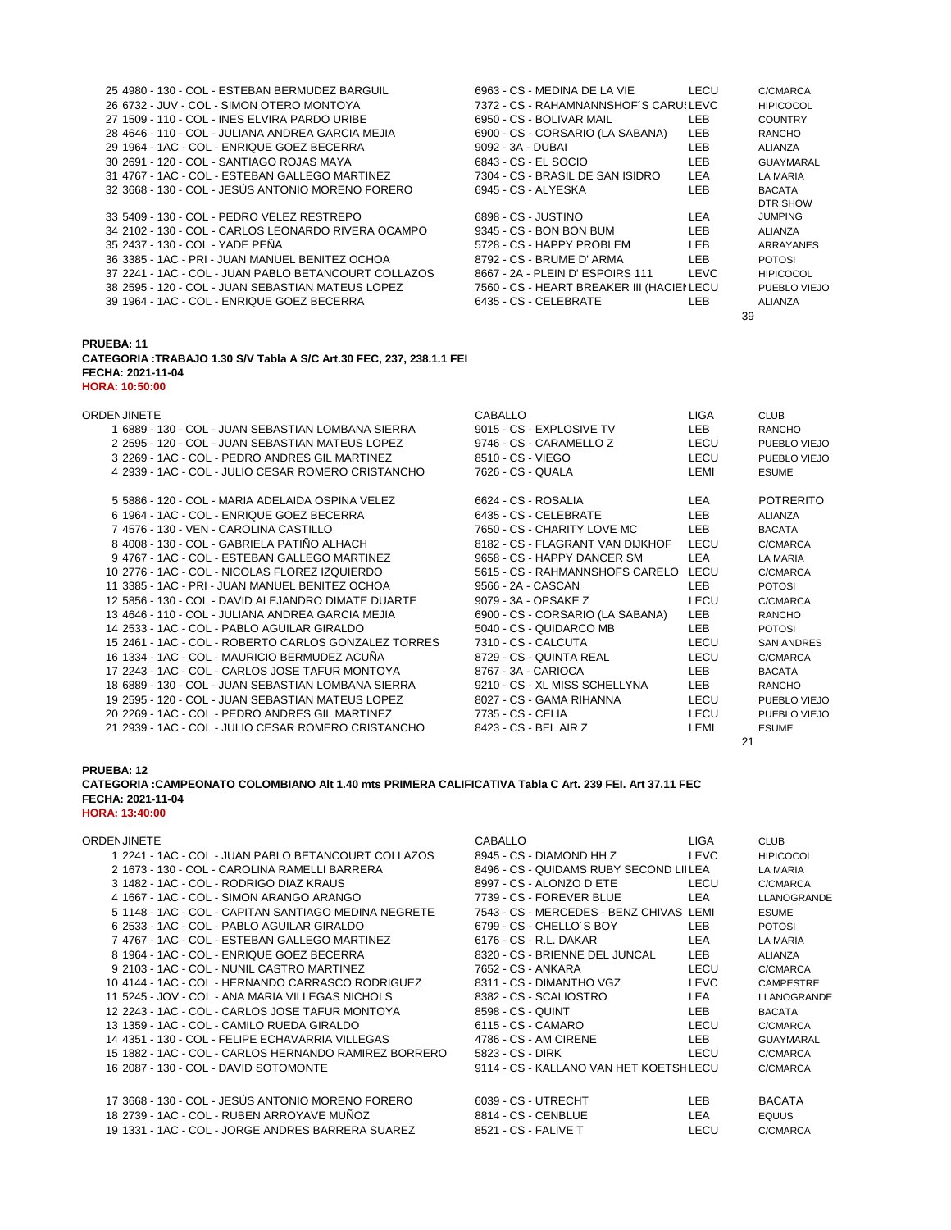| 25 4980 - 130 - COL - ESTEBAN BERMUDEZ BARGUIL                        | 6963 - CS - MEDINA DE LA VIE               | LECU        | C/CMARCA          |
|-----------------------------------------------------------------------|--------------------------------------------|-------------|-------------------|
| 26 6732 - JUV - COL - SIMON OTERO MONTOYA                             | 7372 - CS - RAHAMNANNSHOF'S CARUSLEVC      |             | <b>HIPICOCOL</b>  |
| 27 1509 - 110 - COL - INES ELVIRA PARDO URIBE                         | 6950 - CS - BOLIVAR MAIL                   | LEB         | <b>COUNTRY</b>    |
| 28 4646 - 110 - COL - JULIANA ANDREA GARCIA MEJIA                     | 6900 - CS - CORSARIO (LA SABANA)           | <b>LEB</b>  | <b>RANCHO</b>     |
| 29 1964 - 1AC - COL - ENRIQUE GOEZ BECERRA                            | 9092 - 3A - DUBAI                          | <b>LEB</b>  | ALIANZA           |
| 30 2691 - 120 - COL - SANTIAGO ROJAS MAYA                             | 6843 - CS - EL SOCIO                       | <b>LEB</b>  | <b>GUAYMARAL</b>  |
| 31 4767 - 1AC - COL - ESTEBAN GALLEGO MARTINEZ                        | 7304 - CS - BRASIL DE SAN ISIDRO           | <b>LEA</b>  | <b>LA MARIA</b>   |
| 32 3668 - 130 - COL - JESÚS ANTONIO MORENO FORERO                     | 6945 - CS - ALYESKA                        | <b>LEB</b>  | <b>BACATA</b>     |
|                                                                       |                                            |             | DTR SHOW          |
| 33 5409 - 130 - COL - PEDRO VELEZ RESTREPO                            | 6898 - CS - JUSTINO                        | LEA         | <b>JUMPING</b>    |
| 34 2102 - 130 - COL - CARLOS LEONARDO RIVERA OCAMPO                   | 9345 - CS - BON BON BUM                    | <b>LEB</b>  | ALIANZA           |
| 35 2437 - 130 - COL - YADE PEÑA                                       | 5728 - CS - HAPPY PROBLEM                  | <b>LEB</b>  | ARRAYANES         |
| 36 3385 - 1AC - PRI - JUAN MANUEL BENITEZ OCHOA                       | 8792 - CS - BRUME D' ARMA                  | <b>LEB</b>  | <b>POTOSI</b>     |
| 37 2241 - 1AC - COL - JUAN PABLO BETANCOURT COLLAZOS                  | 8667 - 2A - PLEIN D' ESPOIRS 111           | <b>LEVC</b> | <b>HIPICOCOL</b>  |
| 38 2595 - 120 - COL - JUAN SEBASTIAN MATEUS LOPEZ                     | 7560 - CS - HEART BREAKER III (HACIEI LECU |             | PUEBLO VIEJO      |
| 39 1964 - 1AC - COL - ENRIQUE GOEZ BECERRA                            | 6435 - CS - CELEBRATE                      | LEB.        | <b>ALIANZA</b>    |
|                                                                       |                                            | 39          |                   |
| <b>PRUEBA: 11</b>                                                     |                                            |             |                   |
| CATEGORIA : TRABAJO 1.30 S/V Tabla A S/C Art.30 FEC, 237, 238.1.1 FEI |                                            |             |                   |
| FECHA: 2021-11-04                                                     |                                            |             |                   |
| <b>HORA: 10:50:00</b>                                                 |                                            |             |                   |
|                                                                       |                                            |             |                   |
| ORDEN JINETE                                                          | CABALLO                                    | LIGA        | <b>CLUB</b>       |
| 1 6889 - 130 - COL - JUAN SEBASTIAN LOMBANA SIERRA                    | 9015 - CS - EXPLOSIVE TV                   | LEB         | <b>RANCHO</b>     |
| 2 2595 - 120 - COL - JUAN SEBASTIAN MATEUS LOPEZ                      | 9746 - CS - CARAMELLO Z                    | LECU        | PUEBLO VIEJO      |
| 3 2269 - 1AC - COL - PEDRO ANDRES GIL MARTINEZ                        | 8510 - CS - VIEGO                          | LECU        | PUEBLO VIEJO      |
| 4 2939 - 1AC - COL - JULIO CESAR ROMERO CRISTANCHO                    | 7626 - CS - QUALA                          | LEMI        | <b>ESUME</b>      |
|                                                                       |                                            |             |                   |
| 5 5886 - 120 - COL - MARIA ADELAIDA OSPINA VELEZ                      | 6624 - CS - ROSALIA                        | LEA         | <b>POTRERITO</b>  |
| 6 1964 - 1AC - COL - ENRIQUE GOEZ BECERRA                             | 6435 - CS - CELEBRATE                      | LEB         | <b>ALIANZA</b>    |
| 7 4576 - 130 - VEN - CAROLINA CASTILLO                                | 7650 - CS - CHARITY LOVE MC                | LEB         | <b>BACATA</b>     |
| 8 4008 - 130 - COL - GABRIELA PATIÑO ALHACH                           | 8182 - CS - FLAGRANT VAN DIJKHOF           | LECU        | C/CMARCA          |
| 9 4767 - 1AC - COL - ESTEBAN GALLEGO MARTINEZ                         | 9658 - CS - HAPPY DANCER SM                | LEA         | LA MARIA          |
| 10 2776 - 1AC - COL - NICOLAS FLOREZ IZQUIERDO                        | 5615 - CS - RAHMANNSHOFS CARELO LECU       |             | C/CMARCA          |
| 11 3385 - 1AC - PRI - JUAN MANUEL BENITEZ OCHOA                       | 9566 - 2A - CASCAN                         | <b>LEB</b>  | <b>POTOSI</b>     |
| 12 5856 - 130 - COL - DAVID ALEJANDRO DIMATE DUARTE                   | 9079 - 3A - OPSAKE Z                       | LECU        | C/CMARCA          |
| 13 4646 - 110 - COL - JULIANA ANDREA GARCIA MEJIA                     | 6900 - CS - CORSARIO (LA SABANA)           | <b>LEB</b>  | <b>RANCHO</b>     |
| 14 2533 - 1AC - COL - PABLO AGUILAR GIRALDO                           | 5040 - CS - QUIDARCO MB                    | <b>LEB</b>  | <b>POTOSI</b>     |
| 15 2461 - 1AC - COL - ROBERTO CARLOS GONZALEZ TORRES                  | 7310 - CS - CALCUTA                        | LECU        | <b>SAN ANDRES</b> |
| 16 1334 - 1AC - COL - MAURICIO BERMUDEZ ACUÑA                         | 8729 - CS - QUINTA REAL                    | LECU        | C/CMARCA          |
| 17 2243 - 1AC - COL - CARLOS JOSE TAFUR MONTOYA                       | 8767 - 3A - CARIOCA                        | LEB         | <b>BACATA</b>     |
| 18 6889 - 130 - COL - JUAN SEBASTIAN LOMBANA SIERRA                   | 9210 - CS - XL MISS SCHELLYNA              | LEB         | <b>RANCHO</b>     |
| 19 2595 - 120 - COL - JUAN SEBASTIAN MATEUS LOPEZ                     | 8027 - CS - GAMA RIHANNA                   | LECU        | PUEBLO VIEJO      |
| 20 2269 - 1AC - COL - PEDRO ANDRES GIL MARTINEZ                       | 7735 - CS - CELIA                          | LECU        | PUEBLO VIEJO      |
| 21 2939 - 1AC - COL - JULIO CESAR ROMERO CRISTANCHO                   | 8423 - CS - BEL AIR Z                      | LEMI        | <b>ESUME</b>      |
|                                                                       |                                            |             |                   |

**CATEGORIA :CAMPEONATO COLOMBIANO Alt 1.40 mts PRIMERA CALIFICATIVA Tabla C Art. 239 FEI. Art 37.11 FEC FECHA: 2021-11-04 HORA: 13:40:00**

| 1 2241 - 1AC - COL - JUAN PABLO BETANCOURT COLLAZOS  |   |
|------------------------------------------------------|---|
| 2 1673 - 130 - COL - CAROLINA RAMELLI BARRERA        | Я |
| 3 1482 - 1AC - COL - RODRIGO DIAZ KRAUS              |   |
| 4 1667 - 1AC - COL - SIMON ARANGO ARANGO             |   |
| 5 1148 - 1AC - COL - CAPITAN SANTIAGO MEDINA NEGRETE |   |

|  |                                            | 5 1148 - 1AC - COL - CAPITAN SANTIAGO MEDINA NEGRETE |                   |                          | 7543 - CS - MERCEDES - BENZ CHIVAS LEMI |             | <b>ESUME</b>   |
|--|--------------------------------------------|------------------------------------------------------|-------------------|--------------------------|-----------------------------------------|-------------|----------------|
|  | 6 2533 - 1AC - COL - PABLO AGUILAR GIRALDO |                                                      |                   | 6799 - CS - CHELLO'S BOY |                                         | LEB.        | <b>POTOSI</b>  |
|  |                                            | 7 4767 - 1AC - COL - ESTEBAN GALLEGO MARTINEZ        |                   | 6176 - CS - R.L. DAKAR   |                                         | LEA         | <b>LA MARI</b> |
|  | 8 1964 - 1AC - COL - ENRIQUE GOEZ BECERRA  |                                                      |                   |                          | 8320 - CS - BRIENNE DEL JUNCAL          | LEB.        | <b>ALIANZA</b> |
|  | 9 2103 - 1AC - COL - NUNIL CASTRO MARTINEZ |                                                      |                   | 7652 - CS - ANKARA       |                                         | LECU        | C/CMAR         |
|  |                                            | 10 4144 - 1AC - COL - HERNANDO CARRASCO RODRIGUEZ    |                   | 8311 - CS - DIMANTHO VGZ |                                         | <b>LEVC</b> | <b>CAMPES</b>  |
|  |                                            | 11 5245 - JOV - COL - ANA MARIA VILLEGAS NICHOLS     |                   | 8382 - CS - SCALIOSTRO   |                                         | LEA         | LLANOG         |
|  |                                            | 12 2243 - 1AC - COL - CARLOS JOSE TAFUR MONTOYA      | 8598 - CS - QUINT |                          |                                         | LEB.        | <b>BACATA</b>  |
|  | 13 1359 - 1AC - COL - CAMILO RUEDA GIRALDO |                                                      |                   | 6115 - CS - CAMARO       |                                         | LECU        | C/CMAR         |
|  |                                            | 14 4351 - 130 - COL - FELIPE ECHAVARRIA VILLEGAS     |                   | 4786 - CS - AM CIRENE    |                                         | LEB.        | <b>GUAYMA</b>  |
|  |                                            |                                                      | 5823 - CS - DIRK  |                          |                                         | LECU        | C/CMAR         |
|  |                                            |                                                      |                   |                          | 9114 - CS - KALLANO VAN HET KOETSHLECU  |             | C/CMAR         |
|  |                                            |                                                      |                   |                          |                                         |             |                |

| ORDEN JINETE                                          | CABALLO                                 | <b>LIGA</b> | <b>CLUB</b>      |
|-------------------------------------------------------|-----------------------------------------|-------------|------------------|
| 1 2241 - 1AC - COL - JUAN PABLO BETANCOURT COLLAZOS   | 8945 - CS - DIAMOND HH Z                | LEVC        | <b>HIPICOCOL</b> |
| 2 1673 - 130 - COL - CAROLINA RAMELLI BARRERA         | 8496 - CS - QUIDAMS RUBY SECOND LIILEA  |             | LA MARIA         |
| 3 1482 - 1AC - COL - RODRIGO DIAZ KRAUS               | 8997 - CS - ALONZO D ETE                | LECU        | C/CMARCA         |
| 4 1667 - 1AC - COL - SIMON ARANGO ARANGO              | 7739 - CS - FOREVER BLUE                | <b>LEA</b>  | LLANOGRANDE      |
| 5 1148 - 1AC - COL - CAPITAN SANTIAGO MEDINA NEGRETE  | 7543 - CS - MERCEDES - BENZ CHIVAS LEMI |             | <b>ESUME</b>     |
| 6 2533 - 1AC - COL - PABLO AGUILAR GIRALDO            | 6799 - CS - CHELLO'S BOY                | <b>LEB</b>  | <b>POTOSI</b>    |
| 7 4767 - 1AC - COL - ESTEBAN GALLEGO MARTINEZ         | 6176 - CS - R.L. DAKAR                  | <b>LEA</b>  | LA MARIA         |
| 8 1964 - 1AC - COL - ENRIQUE GOEZ BECERRA             | 8320 - CS - BRIENNE DEL JUNCAL          | <b>LEB</b>  | <b>ALIANZA</b>   |
| 9 2103 - 1AC - COL - NUNIL CASTRO MARTINEZ            | 7652 - CS - ANKARA                      | LECU        | C/CMARCA         |
| 10 4144 - 1AC - COL - HERNANDO CARRASCO RODRIGUEZ     | 8311 - CS - DIMANTHO VGZ                | <b>LEVC</b> | <b>CAMPESTRE</b> |
| 11 5245 - JOV - COL - ANA MARIA VILLEGAS NICHOLS      | 8382 - CS - SCALIOSTRO                  | <b>LEA</b>  | LLANOGRANDE      |
| 12 2243 - 1AC - COL - CARLOS JOSE TAFUR MONTOYA       | 8598 - CS - QUINT                       | <b>LEB</b>  | <b>BACATA</b>    |
| 13 1359 - 1AC - COL - CAMILO RUEDA GIRALDO            | 6115 - CS - CAMARO                      | LECU        | C/CMARCA         |
| 14 4351 - 130 - COL - FELIPE ECHAVARRIA VILLEGAS      | 4786 - CS - AM CIRENE                   | LEB.        | GUAYMARAL        |
| 15 1882 - 1AC - COL - CARLOS HERNANDO RAMIREZ BORRERO | 5823 - CS - DIRK                        | LECU        | C/CMARCA         |
| 16 2087 - 130 - COL - DAVID SOTOMONTE                 | 9114 - CS - KALLANO VAN HET KOETSHLECU  |             | C/CMARCA         |
| 17 3668 - 130 - COL - JESÚS ANTONIO MORENO FORERO     | 6039 - CS - UTRECHT                     | LEB.        | <b>BACATA</b>    |
| 18 2739 - 1AC - COL - RUBEN ARROYAVE MUÑOZ            | 8814 - CS - CENBLUE                     | <b>LEA</b>  | <b>EQUUS</b>     |
| 19 1331 - 1AC - COL - JORGE ANDRES BARRERA SUAREZ     | 8521 - CS - FALIVE T                    | LECU        | C/CMARCA         |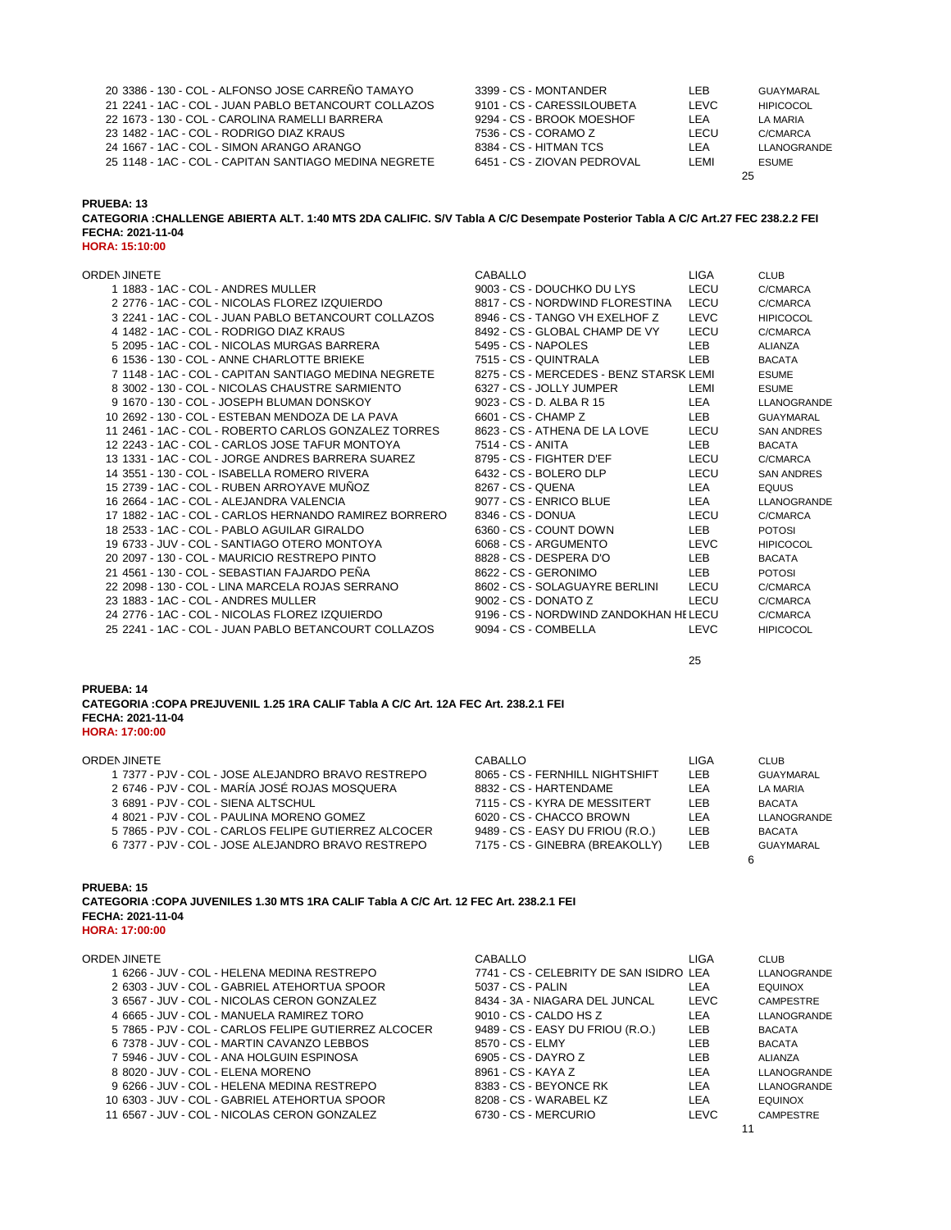| 20 3386 - 130 - COL - ALFONSO JOSE CARREÑO TAMAYO     | 3399 - CS - MONTANDER       | LEB  | GUAYMARAL        |
|-------------------------------------------------------|-----------------------------|------|------------------|
| 21 2241 - 1AC - COL - JUAN PABLO BETANCOURT COLLAZOS  | 9101 - CS - CARESSILOUBETA  | LEVC | <b>HIPICOCOL</b> |
| 22 1673 - 130 - COL - CAROLINA RAMELLI BARRERA        | 9294 - CS - BROOK MOESHOF   | I FA | LA MARIA         |
| 23 1482 - 1AC - COL - RODRIGO DIAZ KRAUS              | 7536 - CS - CORAMO Z        | LECU | C/CMARCA         |
| 24 1667 - 1AC - COL - SIMON ARANGO ARANGO             | 8384 - CS - HITMAN TCS      | LEA  | LLANOGRANDE      |
| 25 1148 - 1AC - COL - CAPITAN SANTIAGO MEDINA NEGRETE | 6451 - CS - ZIOVAN PEDROVAL | LEMI | <b>ESUME</b>     |
|                                                       |                             |      | 25               |

**CATEGORIA :CHALLENGE ABIERTA ALT. 1:40 MTS 2DA CALIFIC. S/V Tabla A C/C Desempate Posterior Tabla A C/C Art.27 FEC 238.2.2 FEI FECHA: 2021-11-04 HORA: 15:10:00**

| ORDEN JINETE                                          | CABALLO                                 | <b>LIGA</b> | <b>CLUB</b>       |
|-------------------------------------------------------|-----------------------------------------|-------------|-------------------|
| 1 1883 - 1AC - COL - ANDRES MULLER                    | 9003 - CS - DOUCHKO DU LYS              | LECU        | C/CMARCA          |
| 2 2776 - 1AC - COL - NICOLAS FLOREZ IZQUIERDO         | 8817 - CS - NORDWIND FLORESTINA         | LECU        | C/CMARCA          |
| 3 2241 - 1AC - COL - JUAN PABLO BETANCOURT COLLAZOS   | 8946 - CS - TANGO VH EXELHOF Z          | LEVC        | <b>HIPICOCOL</b>  |
|                                                       |                                         |             |                   |
| 4 1482 - 1AC - COL - RODRIGO DIAZ KRAUS               | 8492 - CS - GLOBAL CHAMP DE VY          | LECU        | C/CMARCA          |
| 5 2095 - 1AC - COL - NICOLAS MURGAS BARRERA           | 5495 - CS - NAPOLES                     | <b>LEB</b>  | <b>ALIANZA</b>    |
| 6 1536 - 130 - COL - ANNE CHARLOTTE BRIEKE            | 7515 - CS - QUINTRALA                   | <b>LEB</b>  | <b>BACATA</b>     |
| 7 1148 - 1AC - COL - CAPITAN SANTIAGO MEDINA NEGRETE  | 8275 - CS - MERCEDES - BENZ STARSK LEMI |             | <b>ESUME</b>      |
| 8 3002 - 130 - COL - NICOLAS CHAUSTRE SARMIENTO       | 6327 - CS - JOLLY JUMPER                | LEMI        | <b>ESUME</b>      |
| 9 1670 - 130 - COL - JOSEPH BLUMAN DONSKOY            | 9023 - CS - D. ALBA R 15                | LEA         | LLANOGRANDE       |
| 10 2692 - 130 - COL - ESTEBAN MENDOZA DE LA PAVA      | 6601 - CS - CHAMP Z                     | LEB         | <b>GUAYMARAL</b>  |
|                                                       | 8623 - CS - ATHENA DE LA LOVE           | LECU        | <b>SAN ANDRES</b> |
| 12 2243 - 1AC - COL - CARLOS JOSE TAFUR MONTOYA       | 7514 - CS - ANITA                       | LEB         | <b>BACATA</b>     |
| 13 1331 - 1AC - COL - JORGE ANDRES BARRERA SUAREZ     | 8795 - CS - FIGHTER D'EF                | LECU        | C/CMARCA          |
| 14 3551 - 130 - COL - ISABELLA ROMERO RIVERA          | 6432 - CS - BOLERO DLP                  | LECU        | <b>SAN ANDRES</b> |
| 15 2739 - 1AC - COL - RUBEN ARROYAVE MUÑOZ            | 8267 - CS - QUENA                       | LEA         | <b>EQUUS</b>      |
| 16 2664 - 1AC - COL - ALEJANDRA VALENCIA              | 9077 - CS - ENRICO BLUE                 | LEA         | LLANOGRANDE       |
| 17 1882 - 1AC - COL - CARLOS HERNANDO RAMIREZ BORRERO | 8346 - CS - DONUA                       | LECU        | C/CMARCA          |
| 18 2533 - 1AC - COL - PABLO AGUILAR GIRALDO           | 6360 - CS - COUNT DOWN                  | LEB         | <b>POTOSI</b>     |
| 19 6733 - JUV - COL - SANTIAGO OTERO MONTOYA          | 6068 - CS - ARGUMENTO                   | LEVC        | <b>HIPICOCOL</b>  |
| 20 2097 - 130 - COL - MAURICIO RESTREPO PINTO         | 8828 - CS - DESPERA D'O                 | <b>LEB</b>  | <b>BACATA</b>     |
| 21 4561 - 130 - COL - SEBASTIAN FAJARDO PENA          | 8622 - CS - GERONIMO                    | LEB         | <b>POTOSI</b>     |
| 22 2098 - 130 - COL - LINA MARCELA ROJAS SERRANO      | 8602 - CS - SOLAGUAYRE BERLINI          | LECU        | C/CMARCA          |
| 23 1883 - 1AC - COL - ANDRES MULLER                   | 9002 - CS - DONATO Z                    | LECU        | C/CMARCA          |
| 24 2776 - 1AC - COL - NICOLAS FLOREZ IZQUIERDO        | 9196 - CS - NORDWIND ZANDOKHAN HELECU   |             | C/CMARCA          |
| 25 2241 - 1AC - COL - JUAN PABLO BETANCOURT COLLAZOS  | 9094 - CS - COMBELLA                    | <b>LEVC</b> |                   |
|                                                       |                                         |             | <b>HIPICOCOL</b>  |

## **PRUEBA: 14 CATEGORIA :COPA PREJUVENIL 1.25 1RA CALIF Tabla A C/C Art. 12A FEC Art. 238.2.1 FEI FECHA: 2021-11-04**

| <b>HORA: 17:00:00</b> |  |  |
|-----------------------|--|--|
|-----------------------|--|--|

| ORDEN JINETE                                         | CABALLO                          | LIGA | <b>CLUB</b>   |
|------------------------------------------------------|----------------------------------|------|---------------|
| 1 7377 - PJV - COL - JOSE ALEJANDRO BRAVO RESTREPO   | 8065 - CS - FERNHILL NIGHTSHIFT  | LEB  | GUAYMARAL     |
| 2 6746 - PJV - COL - MARÍA JOSÉ ROJAS MOSQUERA       | 8832 - CS - HARTENDAME           | LEA  | LA MARIA      |
| 3 6891 - PJV - COL - SIENA ALTSCHUL                  | 7115 - CS - KYRA DE MESSITERT    | LEB  | <b>BACATA</b> |
| 4 8021 - PJV - COL - PAULINA MORENO GOMEZ            | 6020 - CS - CHACCO BROWN         | LEA  | LLANOGRANDE   |
| 5 7865 - PJV - COL - CARLOS FELIPE GUTIERREZ ALCOCER | 9489 - CS - EASY DU FRIOU (R.O.) | LEB  | <b>BACATA</b> |
| 6 7377 - PJV - COL - JOSE ALEJANDRO BRAVO RESTREPO   | 7175 - CS - GINEBRA (BREAKOLLY)  | LEB. | GUAYMARAL     |
|                                                      |                                  |      |               |

# **PRUEBA: 15**

**CATEGORIA :COPA JUVENILES 1.30 MTS 1RA CALIF Tabla A C/C Art. 12 FEC Art. 238.2.1 FEI FECHA: 2021-11-04 HORA: 17:00:00**

| <b>ORDEN JINETE</b>                                  | CABALLO                                 | LIGA        | <b>CLUB</b>      |
|------------------------------------------------------|-----------------------------------------|-------------|------------------|
| 1 6266 - JUV - COL - HELENA MEDINA RESTREPO          | 7741 - CS - CELEBRITY DE SAN ISIDRO LEA |             | LLANOGRANDE      |
| 2 6303 - JUV - COL - GABRIEL ATEHORTUA SPOOR         | 5037 - CS - PALIN                       | <b>LEA</b>  | <b>EQUINOX</b>   |
| 3 6567 - JUV - COL - NICOLAS CERON GONZALEZ          | 8434 - 3A - NIAGARA DEL JUNCAL          | LEVC        | <b>CAMPESTRE</b> |
| 4 6665 - JUV - COL - MANUELA RAMIREZ TORO            | 9010 - CS - CALDO HS Z                  | LEA         | LLANOGRANDE      |
| 5 7865 - PJV - COL - CARLOS FELIPE GUTIERREZ ALCOCER | 9489 - CS - EASY DU FRIOU (R.O.)        | <b>LEB</b>  | <b>BACATA</b>    |
| 6 7378 - JUV - COL - MARTIN CAVANZO LEBBOS           | 8570 - CS - ELMY                        | LEB.        | <b>BACATA</b>    |
| 7 5946 - JUV - COL - ANA HOLGUIN ESPINOSA            | 6905 - CS - DAYRO Z                     | <b>LEB</b>  | ALIANZA          |
| 8 8020 - JUV - COL - ELENA MORENO                    | 8961 - CS - KAYA Z                      | LEA         | LLANOGRANDE      |
| 9 6266 - JUV - COL - HELENA MEDINA RESTREPO          | 8383 - CS - BEYONCE RK                  | <b>LEA</b>  | LLANOGRANDE      |
| 10 6303 - JUV - COL - GABRIEL ATEHORTUA SPOOR        | 8208 - CS - WARABEL KZ                  | LEA         | <b>EQUINOX</b>   |
| 11 6567 - JUV - COL - NICOLAS CERON GONZALEZ         | 6730 - CS - MERCURIO                    | <b>LEVC</b> | <b>CAMPESTRE</b> |
|                                                      |                                         |             |                  |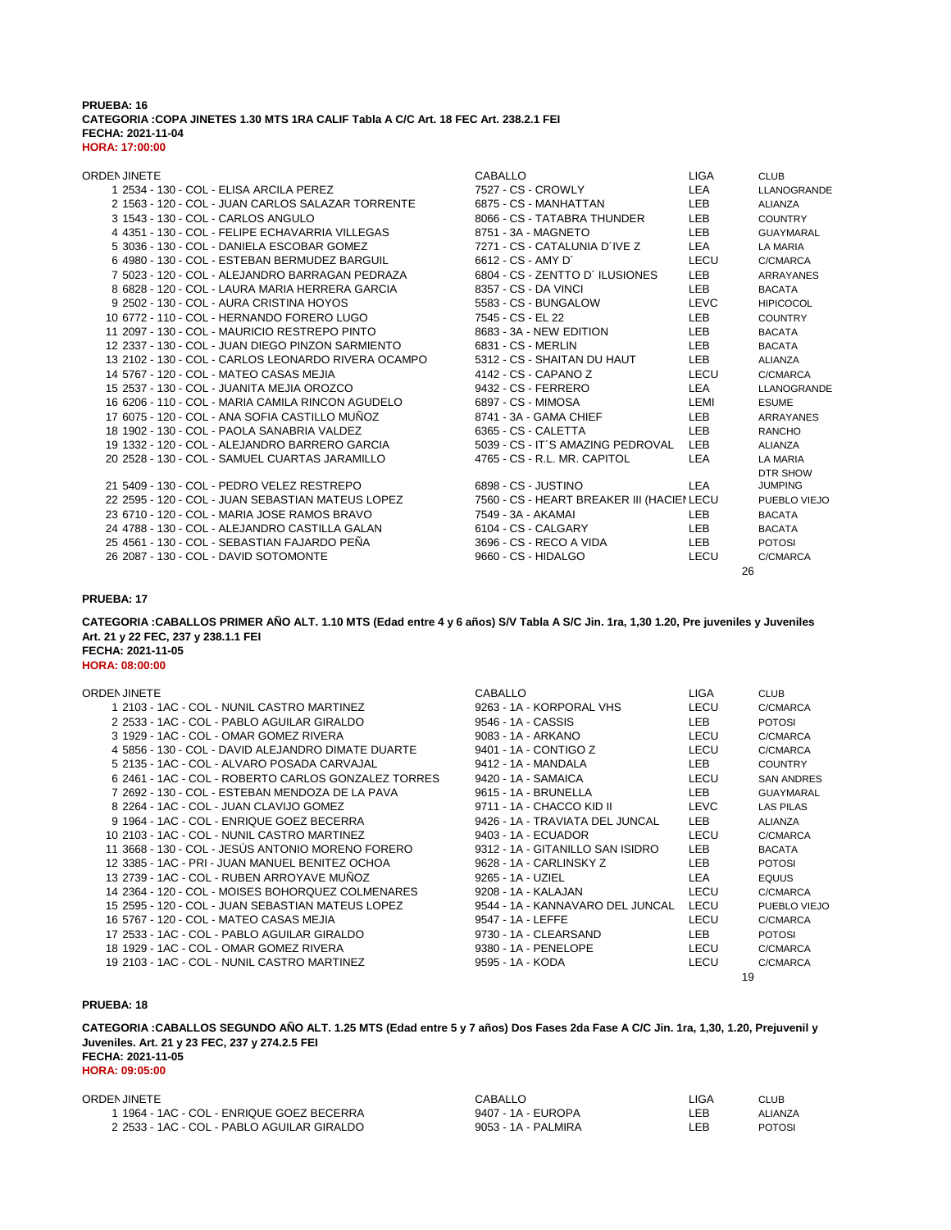### **PRUEBA: 16 CATEGORIA :COPA JINETES 1.30 MTS 1RA CALIF Tabla A C/C Art. 18 FEC Art. 238.2.1 FEI FECHA: 2021-11-04 HORA: 17:00:00**

| ORDEN JINETE                                        | <b>CABALLO</b>                             | <b>LIGA</b> | <b>CLUB</b>      |
|-----------------------------------------------------|--------------------------------------------|-------------|------------------|
| 1 2534 - 130 - COL - ELISA ARCILA PEREZ             | 7527 - CS - CROWLY                         | LEA         | LLANOGRANDE      |
| 2 1563 - 120 - COL - JUAN CARLOS SALAZAR TORRENTE   | 6875 - CS - MANHATTAN                      | <b>LEB</b>  | ALIANZA          |
| 3 1543 - 130 - COL - CARLOS ANGULO                  | 8066 - CS - TATABRA THUNDER                | <b>LEB</b>  | <b>COUNTRY</b>   |
| 4 4351 - 130 - COL - FELIPE ECHAVARRIA VILLEGAS     | 8751 - 3A - MAGNETO                        | <b>LEB</b>  | <b>GUAYMARAL</b> |
| 5 3036 - 130 - COL - DANIELA ESCOBAR GOMEZ          | 7271 - CS - CATALUNIA D´IVE Z              | LEA         | LA MARIA         |
| 6 4980 - 130 - COL - ESTEBAN BERMUDEZ BARGUIL       | 6612 - CS - AMY D'                         | LECU        | C/CMARCA         |
| 7 5023 - 120 - COL - ALEJANDRO BARRAGAN PEDRAZA     | 6804 - CS - ZENTTO D'ILUSIONES             | LEB         | ARRAYANES        |
| 8 6828 - 120 - COL - LAURA MARIA HERRERA GARCIA     | 8357 - CS - DA VINCI                       | LEB         | <b>BACATA</b>    |
| 9 2502 - 130 - COL - AURA CRISTINA HOYOS            | 5583 - CS - BUNGALOW                       | LEVC        | <b>HIPICOCOL</b> |
| 10 6772 - 110 - COL - HERNANDO FORERO LUGO          | 7545 - CS - EL 22                          | LEB         | <b>COUNTRY</b>   |
| 11 2097 - 130 - COL - MAURICIO RESTREPO PINTO       | 8683 - 3A - NEW EDITION                    | LEB         | <b>BACATA</b>    |
| 12 2337 - 130 - COL - JUAN DIEGO PINZON SARMIENTO   | 6831 - CS - MERLIN                         | LEB         | <b>BACATA</b>    |
| 13 2102 - 130 - COL - CARLOS LEONARDO RIVERA OCAMPO | 5312 - CS - SHAITAN DU HAUT                | LEB         | <b>ALIANZA</b>   |
| 14 5767 - 120 - COL - MATEO CASAS MEJIA             | 4142 - CS - CAPANO Z                       | LECU        | C/CMARCA         |
| 15 2537 - 130 - COL - JUANITA MEJIA OROZCO          | 9432 - CS - FERRERO                        | LEA         | LLANOGRANDE      |
| 16 6206 - 110 - COL - MARIA CAMILA RINCON AGUDELO   | 6897 - CS - MIMOSA                         | LEMI        | <b>ESUME</b>     |
| 17 6075 - 120 - COL - ANA SOFIA CASTILLO MUÑOZ      | 8741 - 3A - GAMA CHIEF                     | <b>LEB</b>  | ARRAYANES        |
| 18 1902 - 130 - COL - PAOLA SANABRIA VALDEZ         | 6365 - CS - CALETTA                        | LEB         | <b>RANCHO</b>    |
| 19 1332 - 120 - COL - ALEJANDRO BARRERO GARCIA      | 5039 - CS - IT'S AMAZING PEDROVAL          | <b>LEB</b>  | <b>ALIANZA</b>   |
| 20 2528 - 130 - COL - SAMUEL CUARTAS JARAMILLO      | 4765 - CS - R.L. MR. CAPITOL               | LEA         | <b>LA MARIA</b>  |
|                                                     |                                            |             | DTR SHOW         |
| 21 5409 - 130 - COL - PEDRO VELEZ RESTREPO          | 6898 - CS - JUSTINO                        | LEA         | <b>JUMPING</b>   |
| 22 2595 - 120 - COL - JUAN SEBASTIAN MATEUS LOPEZ   | 7560 - CS - HEART BREAKER III (HACIEI LECU |             | PUEBLO VIEJO     |
| 23 6710 - 120 - COL - MARIA JOSE RAMOS BRAVO        | 7549 - 3A - AKAMAI                         | <b>LEB</b>  | <b>BACATA</b>    |
| 24 4788 - 130 - COL - ALEJANDRO CASTILLA GALAN      | 6104 - CS - CALGARY                        | <b>LEB</b>  | <b>BACATA</b>    |
| 25 4561 - 130 - COL - SEBASTIAN FAJARDO PEÑA        | 3696 - CS - RECO A VIDA                    | LEB         | <b>POTOSI</b>    |
| 26 2087 - 130 - COL - DAVID SOTOMONTE               | 9660 - CS - HIDALGO                        | <b>LECU</b> | C/CMARCA         |
|                                                     |                                            | 26          |                  |

### **PRUEBA: 17**

**FECHA: 2021-11-05 HORA: 08:00:00 CATEGORIA :CABALLOS PRIMER AÑO ALT. 1.10 MTS (Edad entre 4 y 6 años) S/V Tabla A S/C Jin. 1ra, 1,30 1.20, Pre juveniles y Juveniles Art. 21 y 22 FEC, 237 y 238.1.1 FEI**

| ORDEN JINETE                                        | CABALLO                          | <b>LIGA</b> | <b>CLUB</b>       |
|-----------------------------------------------------|----------------------------------|-------------|-------------------|
| 1 2103 - 1AC - COL - NUNIL CASTRO MARTINEZ          | 9263 - 1A - KORPORAL VHS         | LECU        | C/CMARCA          |
| 2 2533 - 1AC - COL - PABLO AGUILAR GIRALDO          | 9546 - 1A - CASSIS               | LEB         | <b>POTOSI</b>     |
| 3 1929 - 1AC - COL - OMAR GOMEZ RIVERA              | 9083 - 1A - ARKANO               | LECU        | C/CMARCA          |
| 4 5856 - 130 - COL - DAVID ALEJANDRO DIMATE DUARTE  | 9401 - 1A - CONTIGO Z            | LECU        | C/CMARCA          |
| 5 2135 - 1AC - COL - ALVARO POSADA CARVAJAL         | 9412 - 1A - MANDALA              | <b>LEB</b>  | <b>COUNTRY</b>    |
| 6 2461 - 1AC - COL - ROBERTO CARLOS GONZALEZ TORRES | 9420 - 1A - SAMAICA              | LECU        | <b>SAN ANDRES</b> |
| 7 2692 - 130 - COL - ESTEBAN MENDOZA DE LA PAVA     | 9615 - 1A - BRUNELLA             | <b>LEB</b>  | <b>GUAYMARAL</b>  |
| 8 2264 - 1AC - COL - JUAN CLAVIJO GOMEZ             | 9711 - 1A - CHACCO KID II        | <b>LEVC</b> | <b>LAS PILAS</b>  |
| 9 1964 - 1AC - COL - ENRIQUE GOEZ BECERRA           | 9426 - 1A - TRAVIATA DEL JUNCAL  | <b>LEB</b>  | <b>ALIANZA</b>    |
| 10 2103 - 1AC - COL - NUNIL CASTRO MARTINEZ         | 9403 - 1A - ECUADOR              | LECU        | C/CMARCA          |
| 11 3668 - 130 - COL - JESUS ANTONIO MORENO FORERO   | 9312 - 1A - GITANILLO SAN ISIDRO | <b>LEB</b>  | <b>BACATA</b>     |
| 12 3385 - 1AC - PRI - JUAN MANUEL BENITEZ OCHOA     | 9628 - 1A - CARLINSKY Z          | LEB.        | <b>POTOSI</b>     |
| 13 2739 - 1AC - COL - RUBEN ARROYAVE MUNOZ          | 9265 - 1A - UZIEL                | LEA         | <b>EQUUS</b>      |
| 14 2364 - 120 - COL - MOISES BOHORQUEZ COLMENARES   | 9208 - 1A - KALAJAN              | LECU        | C/CMARCA          |
|                                                     | 9544 - 1A - KANNAVARO DEL JUNCAL | LECU        | PUEBLO VIEJO      |
| 16 5767 - 120 - COL - MATEO CASAS MEJIA             | 9547 - 1A - LEFFE                | LECU        | C/CMARCA          |
| 17 2533 - 1AC - COL - PABLO AGUILAR GIRALDO         | 9730 - 1A - CLEARSAND            | <b>LEB</b>  | <b>POTOSI</b>     |
| 18 1929 - 1AC - COL - OMAR GOMEZ RIVERA             | 9380 - 1A - PENELOPE             | LECU        | C/CMARCA          |
|                                                     | 9595 - 1A - KODA                 | LECU        | C/CMARCA          |

### **PRUEBA: 18**

**FECHA: 2021-11-05 CATEGORIA :CABALLOS SEGUNDO AÑO ALT. 1.25 MTS (Edad entre 5 y 7 años) Dos Fases 2da Fase A C/C Jin. 1ra, 1,30, 1.20, Prejuvenil y Juveniles. Art. 21 y 23 FEC, 237 y 274.2.5 FEI**

**HORA: 09:05:00**

| ORDEN JINETE                               | CABALLO             | _IGA | CLUB          |
|--------------------------------------------|---------------------|------|---------------|
| 1964 - 1AC - COL - ENRIQUE GOEZ BECERRA    | 9407 - 1A - EUROPA  | LEB  | ALIANZA       |
| 2 2533 - 1AC - COL - PABLO AGUILAR GIRALDO | 9053 - 1A - PALMIRA | _EB  | <b>POTOSI</b> |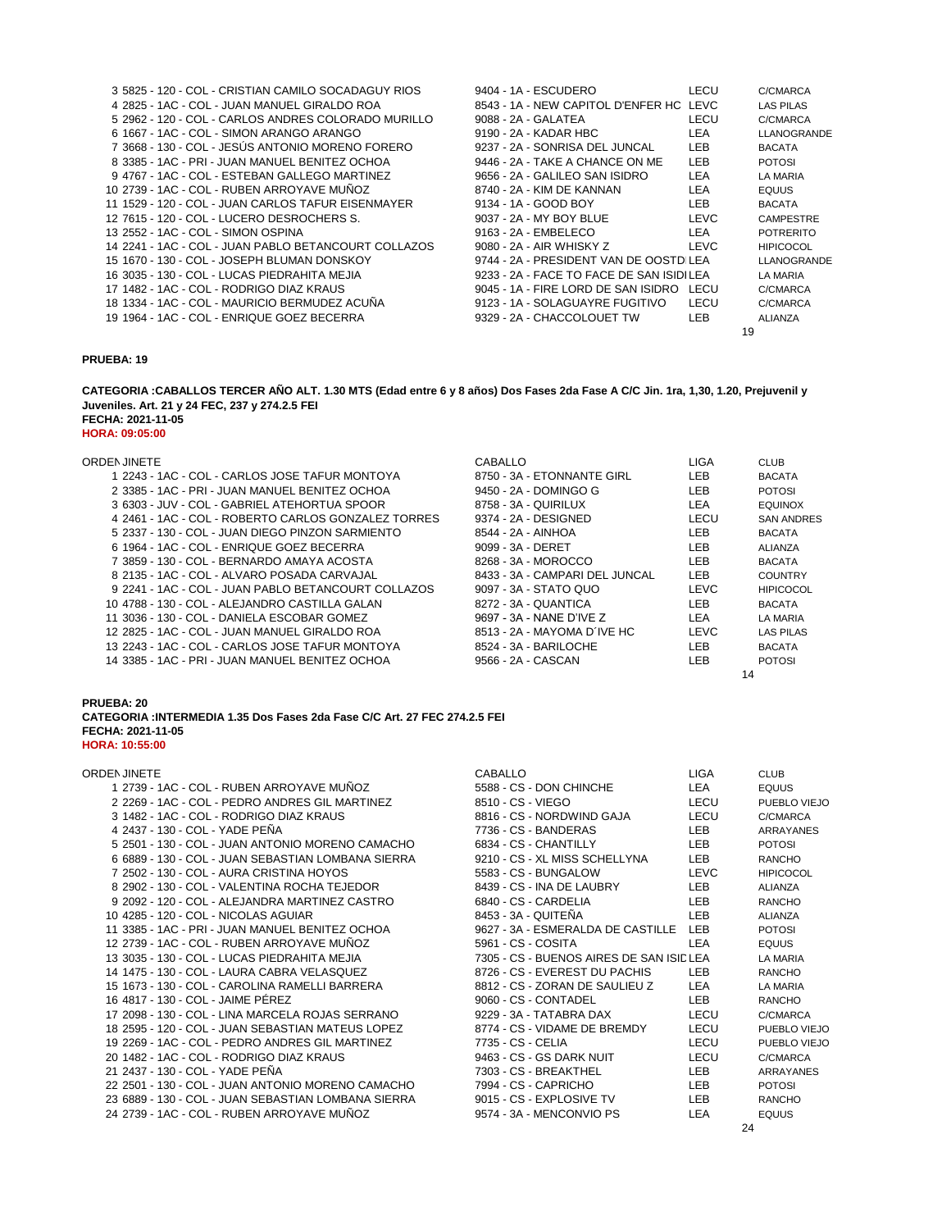|  |  |                                    | 3 5825 - 120 - COL - CRISTIAN CAMILO SOCADAGUY RIOS  |  | 9404 - 1A - ESCUDERO       |                                          | LECU        |    | C/CMARCA           |
|--|--|------------------------------------|------------------------------------------------------|--|----------------------------|------------------------------------------|-------------|----|--------------------|
|  |  |                                    | 4 2825 - 1AC - COL - JUAN MANUEL GIRALDO ROA         |  |                            | 8543 - 1A - NEW CAPITOL D'ENFER HC LEVC  |             |    | <b>LAS PILAS</b>   |
|  |  |                                    | 5 2962 - 120 - COL - CARLOS ANDRES COLORADO MURILLO  |  | 9088 - 2A - GALATEA        |                                          | LECU        |    | C/CMARCA           |
|  |  |                                    | 6 1667 - 1AC - COL - SIMON ARANGO ARANGO             |  | 9190 - 2A - KADAR HBC      |                                          | LEA         |    | <b>LLANOGRANDE</b> |
|  |  |                                    | 7 3668 - 130 - COL - JESÚS ANTONIO MORENO FORERO     |  |                            | 9237 - 2A - SONRISA DEL JUNCAL           | LEB         |    | <b>BACATA</b>      |
|  |  |                                    | 8 3385 - 1AC - PRI - JUAN MANUEL BENITEZ OCHOA       |  |                            | 9446 - 2A - TAKE A CHANCE ON ME          | <b>LEB</b>  |    | <b>POTOSI</b>      |
|  |  |                                    | 9 4767 - 1AC - COL - ESTEBAN GALLEGO MARTINEZ        |  |                            | 9656 - 2A - GALILEO SAN ISIDRO           | LEA         |    | LA MARIA           |
|  |  |                                    | 10 2739 - 1AC - COL - RUBEN ARROYAVE MUÑOZ           |  | 8740 - 2A - KIM DE KANNAN  |                                          | LEA         |    | <b>EQUUS</b>       |
|  |  |                                    | 11 1529 - 120 - COL - JUAN CARLOS TAFUR EISENMAYER   |  | 9134 - 1A - GOOD BOY       |                                          | LEB.        |    | <b>BACATA</b>      |
|  |  |                                    | 12 7615 - 120 - COL - LUCERO DESROCHERS S.           |  | 9037 - 2A - MY BOY BLUE    |                                          | <b>LEVC</b> |    | <b>CAMPESTRE</b>   |
|  |  | 13 2552 - 1AC - COL - SIMON OSPINA |                                                      |  | 9163 - 2A - EMBELECO       |                                          | LEA         |    | <b>POTRERITO</b>   |
|  |  |                                    | 14 2241 - 1AC - COL - JUAN PABLO BETANCOURT COLLAZOS |  | 9080 - 2A - AIR WHISKY Z   |                                          | <b>LEVC</b> |    | <b>HIPICOCOL</b>   |
|  |  |                                    | 15 1670 - 130 - COL - JOSEPH BLUMAN DONSKOY          |  |                            | 9744 - 2A - PRESIDENT VAN DE OOSTDILEA   |             |    | LLANOGRANDE        |
|  |  |                                    | 16 3035 - 130 - COL - LUCAS PIEDRAHITA MEJIA         |  |                            | 9233 - 2A - FACE TO FACE DE SAN ISIDILEA |             |    | LA MARIA           |
|  |  |                                    | 17 1482 - 1AC - COL - RODRIGO DIAZ KRAUS             |  |                            | 9045 - 1A - FIRE LORD DE SAN ISIDRO      | LECU        |    | C/CMARCA           |
|  |  |                                    | 18 1334 - 1AC - COL - MAURICIO BERMUDEZ ACUNA        |  |                            | 9123 - 1A - SOLAGUAYRE FUGITIVO          | LECU        |    | C/CMARCA           |
|  |  |                                    | 19 1964 - 1AC - COL - ENRIQUE GOEZ BECERRA           |  | 9329 - 2A - CHACCOLOUET TW |                                          | LEB.        |    | ALIANZA            |
|  |  |                                    |                                                      |  |                            |                                          |             | 19 |                    |

**FECHA: 2021-11-05 HORA: 09:05:00 CATEGORIA :CABALLOS TERCER AÑO ALT. 1.30 MTS (Edad entre 6 y 8 años) Dos Fases 2da Fase A C/C Jin. 1ra, 1,30, 1.20, Prejuvenil y Juveniles. Art. 21 y 24 FEC, 237 y 274.2.5 FEI**

| ORDEN JINETE                                        | CABALLO                        | <b>LIGA</b> | <b>CLUB</b>       |
|-----------------------------------------------------|--------------------------------|-------------|-------------------|
| 1 2243 - 1AC - COL - CARLOS JOSE TAFUR MONTOYA      | 8750 - 3A - ETONNANTE GIRL     | LEB.        | <b>BACATA</b>     |
| 2 3385 - 1AC - PRI - JUAN MANUEL BENITEZ OCHOA      | 9450 - 2A - DOMINGO G          | LEB         | <b>POTOSI</b>     |
| 3 6303 - JUV - COL - GABRIEL ATEHORTUA SPOOR        | 8758 - 3A - QUIRILUX           | LEA         | <b>EQUINOX</b>    |
| 4 2461 - 1AC - COL - ROBERTO CARLOS GONZALEZ TORRES | 9374 - 2A - DESIGNED           | LECU        | <b>SAN ANDRES</b> |
| 5 2337 - 130 - COL - JUAN DIEGO PINZON SARMIENTO    | 8544 - 2A - AINHOA             | LEB.        | <b>BACATA</b>     |
| 6 1964 - 1AC - COL - ENRIQUE GOEZ BECERRA           | 9099 - 3A - DERET              | LEB.        | ALIANZA           |
| 7 3859 - 130 - COL - BERNARDO AMAYA ACOSTA          | 8268 - 3A - MOROCCO            | LEB.        | <b>BACATA</b>     |
| 8 2135 - 1AC - COL - ALVARO POSADA CARVAJAL         | 8433 - 3A - CAMPARI DEL JUNCAL | LEB         | <b>COUNTRY</b>    |
| 9 2241 - 1AC - COL - JUAN PABLO BETANCOURT COLLAZOS | 9097 - 3A - STATO QUO          | <b>LEVC</b> | <b>HIPICOCOL</b>  |
| 10 4788 - 130 - COL - ALEJANDRO CASTILLA GALAN      | 8272 - 3A - QUANTICA           | <b>LEB</b>  | <b>BACATA</b>     |
| 11 3036 - 130 - COL - DANIELA ESCOBAR GOMEZ         | 9697 - 3A - NANE D'IVE Z       | LEA         | <b>LA MARIA</b>   |
| 12 2825 - 1AC - COL - JUAN MANUEL GIRALDO ROA       | 8513 - 2A - MAYOMA D'IVE HC    | <b>LEVC</b> | <b>LAS PILAS</b>  |
| 13 2243 - 1AC - COL - CARLOS JOSE TAFUR MONTOYA     | 8524 - 3A - BARILOCHE          | LEB.        | <b>BACATA</b>     |
| 14 3385 - 1AC - PRI - JUAN MANUEL BENITEZ OCHOA     | 9566 - 2A - CASCAN             | LEB.        | <b>POTOSI</b>     |
|                                                     |                                |             | 14                |
|                                                     |                                |             |                   |

### **PRUEBA: 20**

**CATEGORIA :INTERMEDIA 1.35 Dos Fases 2da Fase C/C Art. 27 FEC 274.2.5 FEI FECHA: 2021-11-05 HORA: 10:55:00**

| ORDEN JINETE                                        | <b>CABALLO</b>                           | <b>LIGA</b> | <b>CLUB</b>      |
|-----------------------------------------------------|------------------------------------------|-------------|------------------|
| 1 2739 - 1AC - COL - RUBEN ARROYAVE MUÑOZ           | 5588 - CS - DON CHINCHE                  | LEA         | <b>EQUUS</b>     |
| 2 2269 - 1AC - COL - PEDRO ANDRES GIL MARTINEZ      | 8510 - CS - VIEGO                        | LECU        | PUEBLO VIEJO     |
| 3 1482 - 1AC - COL - RODRIGO DIAZ KRAUS             | 8816 - CS - NORDWIND GAJA                | LECU        | C/CMARCA         |
| 4 2437 - 130 - COL - YADE PEÑA                      | 7736 - CS - BANDERAS                     | LEB.        | ARRAYANES        |
| 5 2501 - 130 - COL - JUAN ANTONIO MORENO CAMACHO    | 6834 - CS - CHANTILLY                    | LEB.        | <b>POTOSI</b>    |
| 6 6889 - 130 - COL - JUAN SEBASTIAN LOMBANA SIERRA  | 9210 - CS - XL MISS SCHELLYNA            | LEB         | <b>RANCHO</b>    |
| 7 2502 - 130 - COL - AURA CRISTINA HOYOS            | 5583 - CS - BUNGALOW                     | LEVC        | <b>HIPICOCOL</b> |
| 8 2902 - 130 - COL - VALENTINA ROCHA TEJEDOR        | 8439 - CS - INA DE LAUBRY                | <b>LEB</b>  | <b>ALIANZA</b>   |
| 9 2092 - 120 - COL - ALEJANDRA MARTINEZ CASTRO      | 6840 - CS - CARDELIA                     | <b>LEB</b>  | <b>RANCHO</b>    |
| 10 4285 - 120 - COL - NICOLAS AGUIAR                | 8453 - 3A - QUITENA                      | LEB.        | <b>ALIANZA</b>   |
| 11 3385 - 1AC - PRI - JUAN MANUEL BENITEZ OCHOA     | 9627 - 3A - ESMERALDA DE CASTILLE LEB    |             | <b>POTOSI</b>    |
| 12 2739 - 1AC - COL - RUBEN ARROYAVE MUÑOZ          | 5961 - CS - COSITA                       | LEA         | <b>EQUUS</b>     |
| 13 3035 - 130 - COL - LUCAS PIEDRAHITA MEJIA        | 7305 - CS - BUENOS AIRES DE SAN ISID LEA |             | LA MARIA         |
| 14 1475 - 130 - COL - LAURA CABRA VELASQUEZ         | 8726 - CS - EVEREST DU PACHIS            | <b>LEB</b>  | <b>RANCHO</b>    |
| 15 1673 - 130 - COL - CAROLINA RAMELLI BARRERA      | 8812 - CS - ZORAN DE SAULIEU Z           | LEA         | LA MARIA         |
| 16 4817 - 130 - COL - JAIME PEREZ                   | 9060 - CS - CONTADEL                     | LEB         | RANCHO           |
| 17 2098 - 130 - COL - LINA MARCELA ROJAS SERRANO    | 9229 - 3A - TATABRA DAX                  | LECU        | C/CMARCA         |
| 18 2595 - 120 - COL - JUAN SEBASTIAN MATEUS LOPEZ   | 8774 - CS - VIDAME DE BREMDY             | LECU        | PUEBLO VIEJO     |
| 19 2269 - 1AC - COL - PEDRO ANDRES GIL MARTINEZ     | 7735 - CS - CELIA                        | LECU        | PUEBLO VIEJO     |
| 20 1482 - 1AC - COL - RODRIGO DIAZ KRAUS            | 9463 - CS - GS DARK NUIT                 | LECU        | C/CMARCA         |
| 21 2437 - 130 - COL - YADE PEÑA                     | 7303 - CS - BREAKTHEL                    | LEB.        | ARRAYANES        |
| 22 2501 - 130 - COL - JUAN ANTONIO MORENO CAMACHO   | 7994 - CS - CAPRICHO                     | LEB.        | <b>POTOSI</b>    |
| 23 6889 - 130 - COL - JUAN SEBASTIAN LOMBANA SIERRA | 9015 - CS - EXPLOSIVE TV                 | LEB.        | <b>RANCHO</b>    |
| 24 2739 - 1AC - COL - RUBEN ARROYAVE MUÑOZ          | 9574 - 3A - MENCONVIO PS                 | <b>LEA</b>  | <b>EQUUS</b>     |
|                                                     |                                          | 24          |                  |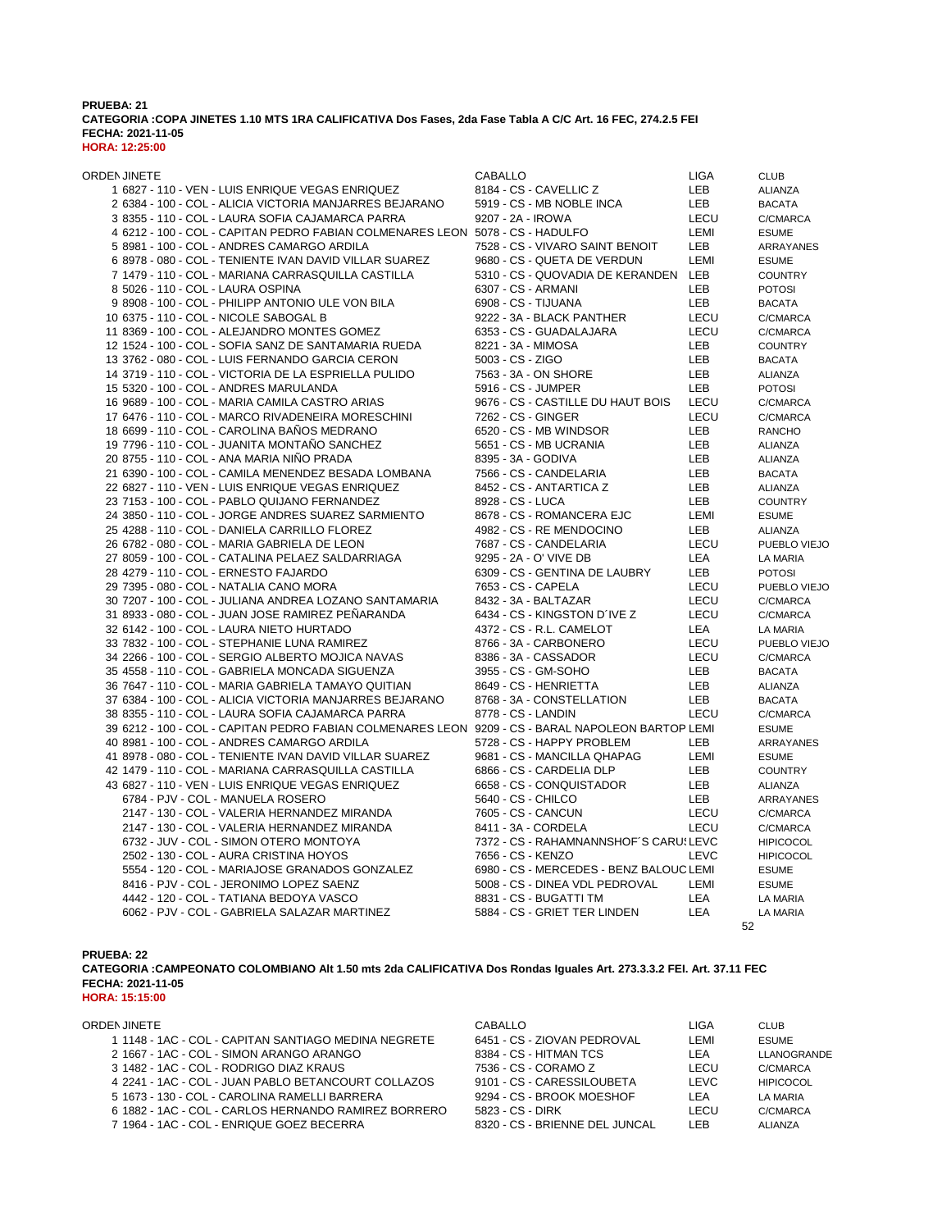### **PRUEBA: 21 CATEGORIA :COPA JINETES 1.10 MTS 1RA CALIFICATIVA Dos Fases, 2da Fase Tabla A C/C Art. 16 FEC, 274.2.5 FEI FECHA: 2021-11-05 HORA: 12:25:00**

| ORDEN JINETE                                                                                      | CABALLO                                 | LIGA        | <b>CLUB</b>      |
|---------------------------------------------------------------------------------------------------|-----------------------------------------|-------------|------------------|
| 1 6827 - 110 - VEN - LUIS ENRIQUE VEGAS ENRIQUEZ                                                  | 8184 - CS - CAVELLIC Z                  | LEB         | ALIANZA          |
| 2 6384 - 100 - COL - ALICIA VICTORIA MANJARRES BEJARANO                                           | 5919 - CS - MB NOBLE INCA               | LEB         | <b>BACATA</b>    |
| 3 8355 - 110 - COL - LAURA SOFIA CAJAMARCA PARRA                                                  | 9207 - 2A - IROWA                       | LECU        | C/CMARCA         |
| 4 6212 - 100 - COL - CAPITAN PEDRO FABIAN COLMENARES LEON 5078 - CS - HADULFO                     |                                         | LEMI        | <b>ESUME</b>     |
| 5 8981 - 100 - COL - ANDRES CAMARGO ARDILA                                                        | 7528 - CS - VIVARO SAINT BENOIT         | LEB         | <b>ARRAYANES</b> |
| 6 8978 - 080 - COL - TENIENTE IVAN DAVID VILLAR SUAREZ                                            | 9680 - CS - QUETA DE VERDUN             | LEMI        | <b>ESUME</b>     |
| 7 1479 - 110 - COL - MARIANA CARRASQUILLA CASTILLA                                                | 5310 - CS - QUOVADIA DE KERANDEN LEB    |             | <b>COUNTRY</b>   |
| 8 5026 - 110 - COL - LAURA OSPINA                                                                 | 6307 - CS - ARMANI                      | LEB.        | <b>POTOSI</b>    |
| 9 8908 - 100 - COL - PHILIPP ANTONIO ULE VON BILA                                                 | 6908 - CS - TIJUANA                     | LEB.        | <b>BACATA</b>    |
| 10 6375 - 110 - COL - NICOLE SABOGAL B                                                            | 9222 - 3A - BLACK PANTHER               | LECU        | C/CMARCA         |
| 11 8369 - 100 - COL - ALEJANDRO MONTES GOMEZ                                                      | 6353 - CS - GUADALAJARA                 | LECU        | C/CMARCA         |
| 12 1524 - 100 - COL - SOFIA SANZ DE SANTAMARIA RUEDA                                              | 8221 - 3A - MIMOSA                      | <b>LEB</b>  | <b>COUNTRY</b>   |
| 13 3762 - 080 - COL - LUIS FERNANDO GARCIA CERON                                                  | 5003 - CS - ZIGO                        | LEB.        | <b>BACATA</b>    |
| 14 3719 - 110 - COL - VICTORIA DE LA ESPRIELLA PULIDO                                             | 7563 - 3A - ON SHORE                    | LEB.        | ALIANZA          |
| 15 5320 - 100 - COL - ANDRES MARULANDA                                                            | 5916 - CS - JUMPER                      | LEB         | <b>POTOSI</b>    |
| 16 9689 - 100 - COL - MARIA CAMILA CASTRO ARIAS                                                   | 9676 - CS - CASTILLE DU HAUT BOIS       | LECU        | C/CMARCA         |
|                                                                                                   |                                         |             | C/CMARCA         |
| 17 6476 - 110 - COL - MARCO RIVADENEIRA MORESCHINI                                                | 7262 - CS - GINGER                      | <b>LECU</b> |                  |
| 18 6699 - 110 - COL - CAROLINA BAÑOS MEDRANO                                                      | 6520 - CS - MB WINDSOR                  | <b>LEB</b>  | <b>RANCHO</b>    |
| 19 7796 - 110 - COL - JUANITA MONTAÑO SANCHEZ                                                     | 5651 - CS - MB UCRANIA                  | LEB.        | <b>ALIANZA</b>   |
| 20 8755 - 110 - COL - ANA MARIA NIÑO PRADA                                                        | 8395 - 3A - GODIVA                      | <b>LEB</b>  | <b>ALIANZA</b>   |
| 21 6390 - 100 - COL - CAMILA MENENDEZ BESADA LOMBANA                                              | 7566 - CS - CANDELARIA                  | LEB.        | <b>BACATA</b>    |
| 22 6827 - 110 - VEN - LUIS ENRIQUE VEGAS ENRIQUEZ                                                 | 8452 - CS - ANTARTICA Z                 | LEB.        | ALIANZA          |
| 23 7153 - 100 - COL - PABLO QUIJANO FERNANDEZ                                                     | 8928 - CS - LUCA                        | LEB.        | <b>COUNTRY</b>   |
| 24 3850 - 110 - COL - JORGE ANDRES SUAREZ SARMIENTO                                               | 8678 - CS - ROMANCERA EJC               | LEMI        | <b>ESUME</b>     |
| 25 4288 - 110 - COL - DANIELA CARRILLO FLOREZ                                                     | 4982 - CS - RE MENDOCINO                | LEB         | <b>ALIANZA</b>   |
| 26 6782 - 080 - COL - MARIA GABRIELA DE LEON                                                      | 7687 - CS - CANDELARIA                  | <b>LECU</b> | PUEBLO VIEJO     |
| 27 8059 - 100 - COL - CATALINA PELAEZ SALDARRIAGA                                                 | 9295 - 2A - O' VIVE DB                  | LEA         | LA MARIA         |
| 28 4279 - 110 - COL - ERNESTO FAJARDO                                                             | 6309 - CS - GENTINA DE LAUBRY           | LEB         | <b>POTOSI</b>    |
| 29 7395 - 080 - COL - NATALIA CANO MORA                                                           | 7653 - CS - CAPELA                      | LECU        | PUEBLO VIEJO     |
| 30 7207 - 100 - COL - JULIANA ANDREA LOZANO SANTAMARIA                                            | 8432 - 3A - BALTAZAR                    | LECU        | C/CMARCA         |
| 31 8933 - 080 - COL - JUAN JOSE RAMIREZ PEÑARANDA                                                 | 6434 - CS - KINGSTON D'IVE Z            | LECU        | C/CMARCA         |
| 32 6142 - 100 - COL - LAURA NIETO HURTADO                                                         | 4372 - CS - R.L. CAMELOT                | LEA         | LA MARIA         |
| 33 7832 - 100 - COL - STEPHANIE LUNA RAMIREZ                                                      | 8766 - 3A - CARBONERO                   | LECU        | PUEBLO VIEJO     |
| 34 2266 - 100 - COL - SERGIO ALBERTO MOJICA NAVAS                                                 | 8386 - 3A - CASSADOR                    | LECU        | C/CMARCA         |
| 35 4558 - 110 - COL - GABRIELA MONCADA SIGUENZA                                                   | 3955 - CS - GM-SOHO                     | <b>LEB</b>  | <b>BACATA</b>    |
| 36 7647 - 110 - COL - MARIA GABRIELA TAMAYO QUITIAN                                               | 8649 - CS - HENRIETTA                   | LEB         | <b>ALIANZA</b>   |
| 37 6384 - 100 - COL - ALICIA VICTORIA MANJARRES BEJARANO                                          | 8768 - 3A - CONSTELLATION               | <b>LEB</b>  | <b>BACATA</b>    |
| 38 8355 - 110 - COL - LAURA SOFIA CAJAMARCA PARRA                                                 | 8778 - CS - LANDIN                      | <b>LECU</b> | C/CMARCA         |
| 39 6212 - 100 - COL - CAPITAN PEDRO FABIAN COLMENARES LEON 9209 - CS - BARAL NAPOLEON BARTOP LEMI |                                         |             | <b>ESUME</b>     |
| 40 8981 - 100 - COL - ANDRES CAMARGO ARDILA                                                       | 5728 - CS - HAPPY PROBLEM               | <b>LEB</b>  | ARRAYANES        |
| 41 8978 - 080 - COL - TENIENTE IVAN DAVID VILLAR SUAREZ                                           | 9681 - CS - MANCILLA QHAPAG             | LEMI        | <b>ESUME</b>     |
| 42 1479 - 110 - COL - MARIANA CARRASQUILLA CASTILLA                                               | 6866 - CS - CARDELIA DLP                | <b>LEB</b>  | <b>COUNTRY</b>   |
| 43 6827 - 110 - VEN - LUIS ENRIQUE VEGAS ENRIQUEZ                                                 | 6658 - CS - CONQUISTADOR                | <b>LEB</b>  | <b>ALIANZA</b>   |
| 6784 - PJV - COL - MANUELA ROSERO                                                                 | 5640 - CS - CHILCO                      | <b>LEB</b>  | ARRAYANES        |
| 2147 - 130 - COL - VALERIA HERNANDEZ MIRANDA                                                      | 7605 - CS - CANCUN                      | LECU        | C/CMARCA         |
| 2147 - 130 - COL - VALERIA HERNANDEZ MIRANDA                                                      | 8411 - 3A - CORDELA                     | <b>LECU</b> | C/CMARCA         |
| 6732 - JUV - COL - SIMON OTERO MONTOYA                                                            | 7372 - CS - RAHAMNANNSHOF'S CARUSLEVC   |             | <b>HIPICOCOL</b> |
| 2502 - 130 - COL - AURA CRISTINA HOYOS                                                            | 7656 - CS - KENZO                       | <b>LEVC</b> | <b>HIPICOCOL</b> |
| 5554 - 120 - COL - MARIAJOSE GRANADOS GONZALEZ                                                    | 6980 - CS - MERCEDES - BENZ BALOUC LEMI |             |                  |
|                                                                                                   |                                         |             | <b>ESUME</b>     |
| 8416 - PJV - COL - JERONIMO LOPEZ SAENZ                                                           | 5008 - CS - DINEA VDL PEDROVAL          | LEMI        | <b>ESUME</b>     |
| 4442 - 120 - COL - TATIANA BEDOYA VASCO                                                           | 8831 - CS - BUGATTI TM                  | LEA         | LA MARIA         |
| 6062 - PJV - COL - GABRIELA SALAZAR MARTINEZ                                                      | 5884 - CS - GRIET TER LINDEN            | LEA         | LA MARIA         |
|                                                                                                   |                                         | 52          |                  |

**PRUEBA: 22**

**CATEGORIA :CAMPEONATO COLOMBIANO Alt 1.50 mts 2da CALIFICATIVA Dos Rondas Iguales Art. 273.3.3.2 FEI. Art. 37.11 FEC FECHA: 2021-11-05**

**HORA: 15:15:00**

| ORDEN JINETE                                         | CABALLO                        | LIGA  | <b>CLUB</b>      |
|------------------------------------------------------|--------------------------------|-------|------------------|
| 1 1148 - 1AC - COL - CAPITAN SANTIAGO MEDINA NEGRETE | 6451 - CS - ZIOVAN PEDROVAL    | LEMI  | <b>FSUMF</b>     |
| 2 1667 - 1AC - COL - SIMON ARANGO ARANGO             | 8384 - CS - HITMAN TCS         | LEA.  | LLANOGRANDE      |
| 3 1482 - 1AC - COL - RODRIGO DIAZ KRAUS              | 7536 - CS - CORAMO Z           | LECU  | C/CMARCA         |
| 4 2241 - 1AC - COL - JUAN PABLO BETANCOURT COLLAZOS  | 9101 - CS - CARESSILOUBETA     | LEVC. | <b>HIPICOCOL</b> |
| 5 1673 - 130 - COL - CAROLINA RAMELLI BARRERA        | 9294 - CS - BROOK MOESHOF      | LEA.  | I A MARIA        |
| 6 1882 - 1AC - COL - CARLOS HERNANDO RAMIREZ BORRERO | 5823 - CS - DIRK               | LECU  | C/CMARCA         |
| 7 1964 - 1AC - COL - ENRIQUE GOEZ BECERRA            | 8320 - CS - BRIENNE DEL JUNCAL | I FB  |                  |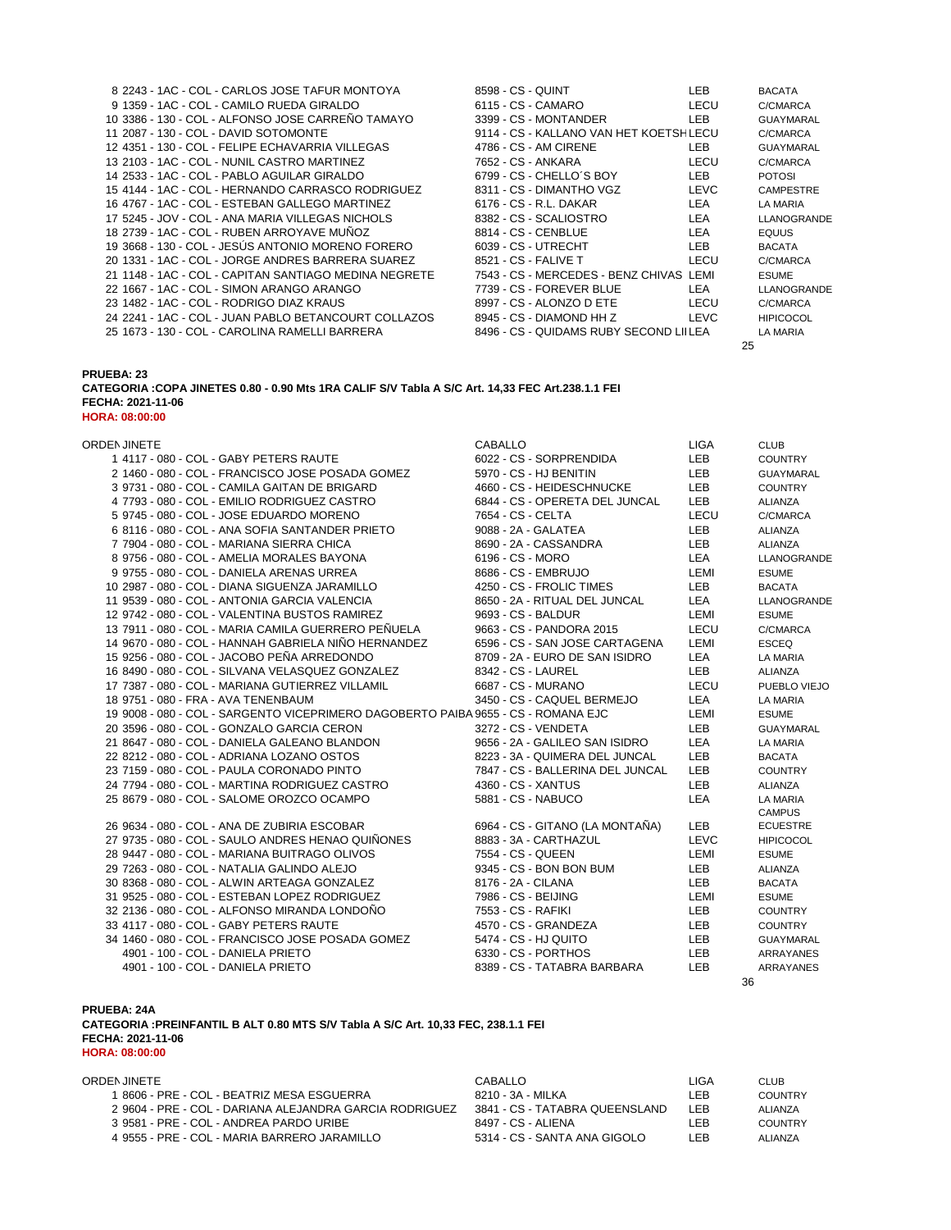| 8 2243 - 1AC - COL - CARLOS JOSE TAFUR MONTOYA        | 8598 - CS - QUINT                       | LEB. | <b>BACATA</b>    |
|-------------------------------------------------------|-----------------------------------------|------|------------------|
| 9 1359 - 1AC - COL - CAMILO RUEDA GIRALDO             | 6115 - CS - CAMARO                      | LECU | C/CMARCA         |
| 10 3386 - 130 - COL - ALFONSO JOSE CARREÑO TAMAYO     | 3399 - CS - MONTANDER                   | LEB  | <b>GUAYMARAL</b> |
| 11 2087 - 130 - COL - DAVID SOTOMONTE                 | 9114 - CS - KALLANO VAN HET KOETSH LECU |      | C/CMARCA         |
| 12 4351 - 130 - COL - FELIPE ECHAVARRIA VILLEGAS      | 4786 - CS - AM CIRENE                   | LEB  | <b>GUAYMARAL</b> |
| 13 2103 - 1AC - COL - NUNIL CASTRO MARTINEZ           | 7652 - CS - ANKARA                      | LECU | C/CMARCA         |
| 14 2533 - 1AC - COL - PABLO AGUILAR GIRALDO           | $6799 - CS - CHELLO'S BOY$              | LEB  | <b>POTOSI</b>    |
| 15 4144 - 1AC - COL - HERNANDO CARRASCO RODRIGUEZ     | 8311 - CS - DIMANTHO VGZ                | LEVC | <b>CAMPESTRE</b> |
| 16 4767 - 1AC - COL - ESTEBAN GALLEGO MARTINEZ        | 6176 - CS - R.L. DAKAR                  | LEA  | LA MARIA         |
| 17 5245 - JOV - COL - ANA MARIA VILLEGAS NICHOLS      | 8382 - CS - SCALIOSTRO                  | LEA  | LLANOGRANDE      |
| 18 2739 - 1AC - COL - RUBEN ARROYAVE MUÑOZ            | 8814 - CS - CENBLUE                     | LEA  | <b>EQUUS</b>     |
| 19 3668 - 130 - COL - JESUS ANTONIO MORENO FORERO     | 6039 - CS - UTRECHT                     | LEB. | <b>BACATA</b>    |
| 20 1331 - 1AC - COL - JORGE ANDRES BARRERA SUAREZ     | 8521 - CS - FALIVE T                    | LECU | C/CMARCA         |
| 21 1148 - 1AC - COL - CAPITAN SANTIAGO MEDINA NEGRETE | 7543 - CS - MERCEDES - BENZ CHIVAS LEMI |      | <b>ESUME</b>     |
| 22 1667 - 1AC - COL - SIMON ARANGO ARANGO             | 7739 - CS - FOREVER BLUE                | LEA  | LLANOGRANDE      |
| 23 1482 - 1AC - COL - RODRIGO DIAZ KRAUS              | 8997 - CS - ALONZO D ETE                | LECU | C/CMARCA         |
| 24 2241 - 1AC - COL - JUAN PABLO BETANCOURT COLLAZOS  | 8945 - CS - DIAMOND HH Z                | LEVC | <b>HIPICOCOL</b> |
| 25 1673 - 130 - COL - CAROLINA RAMELLI BARRERA        | 8496 - CS - QUIDAMS RUBY SECOND LIILEA  |      | LA MARIA         |

| :598 - CS - QUINT                       | LEB.        | BA <sub>C</sub> |
|-----------------------------------------|-------------|-----------------|
| i115 - CS - CAMARO                      | LECU        | C/C             |
| 399 - CS - MONTANDER                    | LEB.        | GU.             |
| 1114 - CS - KALLANO VAN HET KOETSH LECU |             | C/C             |
| 786 - CS - AM CIRENE                    | LEB         | GU.             |
| '652 - CS - ANKARA                      | LECU        | C/C             |
| 799 - CS - CHELLO´S BOY                 | <b>LEB</b>  | PO <sup>-</sup> |
| 311 - CS - DIMANTHO VGZ                 | LEVC        | CAI             |
| 176 - CS - R.L. DAKAR                   | <b>LEA</b>  | LA I            |
| 382 - CS - SCALIOSTRO                   | <b>LEA</b>  | <b>LLA</b>      |
| 814 - CS - CENBLUE                      | I FA        | EQI             |
| 039 - CS - UTRECHT                      | LEB.        | BA <sub>C</sub> |
| 521 - CS - FALIVE T                     | LECU        | C/C             |
| '543 - CS - MERCEDES - BENZ CHIVAS LEMI |             | ESI             |
| 739 - CS - FOREVER BLUE                 | LEA         | <b>LLA</b>      |
| :997 - CS - ALONZO D ETE                | LECU        | C/C             |
| 945 - CS - DIAMOND HH Z                 | <b>LEVC</b> | <b>HIP</b>      |
| :496 - CS - QUIDAMS RUBY SECOND LIILEA  |             | LA I            |
|                                         |             | 25              |

**PRUEBA: 23**

**CATEGORIA :COPA JINETES 0.80 - 0.90 Mts 1RA CALIF S/V Tabla A S/C Art. 14,33 FEC Art.238.1.1 FEI FECHA: 2021-11-06**

**HORA: 08:00:00**

| ORDEN JINETE                                                                      | <b>CABALLO</b>                   | <b>LIGA</b> | <b>CLUB</b>      |
|-----------------------------------------------------------------------------------|----------------------------------|-------------|------------------|
| 1 4117 - 080 - COL - GABY PETERS RAUTE                                            | 6022 - CS - SORPRENDIDA          | <b>LEB</b>  | <b>COUNTRY</b>   |
| 2 1460 - 080 - COL - FRANCISCO JOSE POSADA GOMEZ                                  | 5970 - CS - HJ BENITIN           | <b>LEB</b>  | GUAYMARAL        |
| 3 9731 - 080 - COL - CAMILA GAITAN DE BRIGARD                                     | 4660 - CS - HEIDESCHNUCKE        | LEB         | <b>COUNTRY</b>   |
| 4 7793 - 080 - COL - EMILIO RODRIGUEZ CASTRO                                      | 6844 - CS - OPERETA DEL JUNCAL   | LEB         | ALIANZA          |
| 5 9745 - 080 - COL - JOSE EDUARDO MORENO                                          | 7654 - CS - CELTA                | LECU        | C/CMARCA         |
| 6 8116 - 080 - COL - ANA SOFIA SANTANDER PRIETO                                   | 9088 - 2A - GALATEA              | <b>LEB</b>  | ALIANZA          |
| 7 7904 - 080 - COL - MARIANA SIERRA CHICA                                         | 8690 - 2A - CASSANDRA            | <b>LEB</b>  | <b>ALIANZA</b>   |
| 8 9756 - 080 - COL - AMELIA MORALES BAYONA                                        | 6196 - CS - MORO                 | LEA         | LLANOGRANDE      |
| 9 9755 - 080 - COL - DANIELA ARENAS URREA                                         | 8686 - CS - EMBRUJO              | LEMI        | <b>ESUME</b>     |
| 10 2987 - 080 - COL - DIANA SIGUENZA JARAMILLO                                    | 4250 - CS - FROLIC TIMES         | <b>LEB</b>  | <b>BACATA</b>    |
| 11 9539 - 080 - COL - ANTONIA GARCIA VALENCIA                                     | 8650 - 2A - RITUAL DEL JUNCAL    | LEA         | LLANOGRANDE      |
| 12 9742 - 080 - COL - VALENTINA BUSTOS RAMIREZ                                    | 9693 - CS - BALDUR               | LEMI        | <b>ESUME</b>     |
| 13 7911 - 080 - COL - MARIA CAMILA GUERRERO PEÑUELA                               | 9663 - CS - PANDORA 2015         | LECU        | C/CMARCA         |
| 14 9670 - 080 - COL - HANNAH GABRIELA NIÑO HERNANDEZ                              | 6596 - CS - SAN JOSE CARTAGENA   | LEMI        | <b>ESCEQ</b>     |
| 15 9256 - 080 - COL - JACOBO PEÑA ARREDONDO                                       | 8709 - 2A - EURO DE SAN ISIDRO   | LEA         | <b>LA MARIA</b>  |
| 16 8490 - 080 - COL - SILVANA VELASQUEZ GONZALEZ                                  | 8342 - CS - LAUREL               | <b>LEB</b>  | ALIANZA          |
| 17 7387 - 080 - COL - MARIANA GUTIERREZ VILLAMIL                                  | 6687 - CS - MURANO               | LECU        | PUEBLO VIEJO     |
| 18 9751 - 080 - FRA - AVA TENENBAUM                                               | 3450 - CS - CAQUEL BERMEJO       | LEA         | LA MARIA         |
| 19 9008 - 080 - COL - SARGENTO VICEPRIMERO DAGOBERTO PAIBA 9655 - CS - ROMANA EJC |                                  | LEMI        | <b>ESUME</b>     |
| 20 3596 - 080 - COL - GONZALO GARCIA CERON                                        | 3272 - CS - VENDETA              | <b>LEB</b>  | <b>GUAYMARAL</b> |
| 21 8647 - 080 - COL - DANIELA GALEANO BLANDON                                     | 9656 - 2A - GALILEO SAN ISIDRO   | LEA         | LA MARIA         |
| 22 8212 - 080 - COL - ADRIANA LOZANO OSTOS                                        | 8223 - 3A - QUIMERA DEL JUNCAL   | LEB         | <b>BACATA</b>    |
| 23 7159 - 080 - COL - PAULA CORONADO PINTO                                        | 7847 - CS - BALLERINA DEL JUNCAL | <b>LEB</b>  | <b>COUNTRY</b>   |
| 24 7794 - 080 - COL - MARTINA RODRIGUEZ CASTRO                                    | 4360 - CS - XANTUS               | <b>LEB</b>  | ALIANZA          |
| 25 8679 - 080 - COL - SALOME OROZCO OCAMPO                                        | 5881 - CS - NABUCO               | <b>LEA</b>  | <b>LA MARIA</b>  |
|                                                                                   |                                  |             | <b>CAMPUS</b>    |
| 26 9634 - 080 - COL - ANA DE ZUBIRIA ESCOBAR                                      | 6964 - CS - GITANO (LA MONTAÑA)  | LEB         | <b>ECUESTRE</b>  |
| 27 9735 - 080 - COL - SAULO ANDRES HENAO QUIÑONES                                 | 8883 - 3A - CARTHAZUL            | LEVC        | <b>HIPICOCOL</b> |
| 28 9447 - 080 - COL - MARIANA BUITRAGO OLIVOS                                     | 7554 - CS - QUEEN                | LEMI        | <b>ESUME</b>     |
| 29 7263 - 080 - COL - NATALIA GALINDO ALEJO                                       | 9345 - CS - BON BON BUM          | LEB         | ALIANZA          |
| 30 8368 - 080 - COL - ALWIN ARTEAGA GONZALEZ                                      | 8176 - 2A - CILANA               | LEB         | <b>BACATA</b>    |
| 31 9525 - 080 - COL - ESTEBAN LOPEZ RODRIGUEZ                                     | 7986 - CS - BEIJING              | LEMI        | <b>ESUME</b>     |
| 32 2136 - 080 - COL - ALFONSO MIRANDA LONDOÑO                                     | 7553 - CS - RAFIKI               | LEB         | <b>COUNTRY</b>   |
| 33 4117 - 080 - COL - GABY PETERS RAUTE                                           | 4570 - CS - GRANDEZA             | LEB         | <b>COUNTRY</b>   |
| 34 1460 - 080 - COL - FRANCISCO JOSE POSADA GOMEZ                                 | 5474 - CS - HJ QUITO             | LEB         | GUAYMARAL        |
| 4901 - 100 - COL - DANIELA PRIETO                                                 | 6330 - CS - PORTHOS              | <b>LEB</b>  | ARRAYANES        |

# **PRUEBA: 24A**

**CATEGORIA :PREINFANTIL B ALT 0.80 MTS S/V Tabla A S/C Art. 10,33 FEC, 238.1.1 FEI FECHA: 2021-11-06 HORA: 08:00:00**

| ORDEN JINETE                                            | CABALLO.                       | LIGA | <b>CLUB</b> |
|---------------------------------------------------------|--------------------------------|------|-------------|
| ੇ 8606 - PRE - COL - BEATRIZ MESA ESGUERRA              | 8210 - 3A - MILKA              | LEB  | COUNTRY     |
| 2 9604 - PRE - COL - DARIANA ALEJANDRA GARCIA RODRIGUEZ | 3841 - CS - TATABRA OUFENSLAND | I FB | AI IANZA    |
| 3 9581 - PRE - COL - ANDREA PARDO URIBE                 | 8497 - CS - ALIFNA             | LEB. | COUNTRY     |
| 4 9555 - PRE - COL - MARIA BARRERO JARAMILLO            | 5314 - CS - SANTA ANA GIGOLO   | LEB. | AI IANZA    |

4901 - 100 - COL - DANIELA PRIETO **8389 - CS - TATABRA BARBARA** LEB ARRAYANES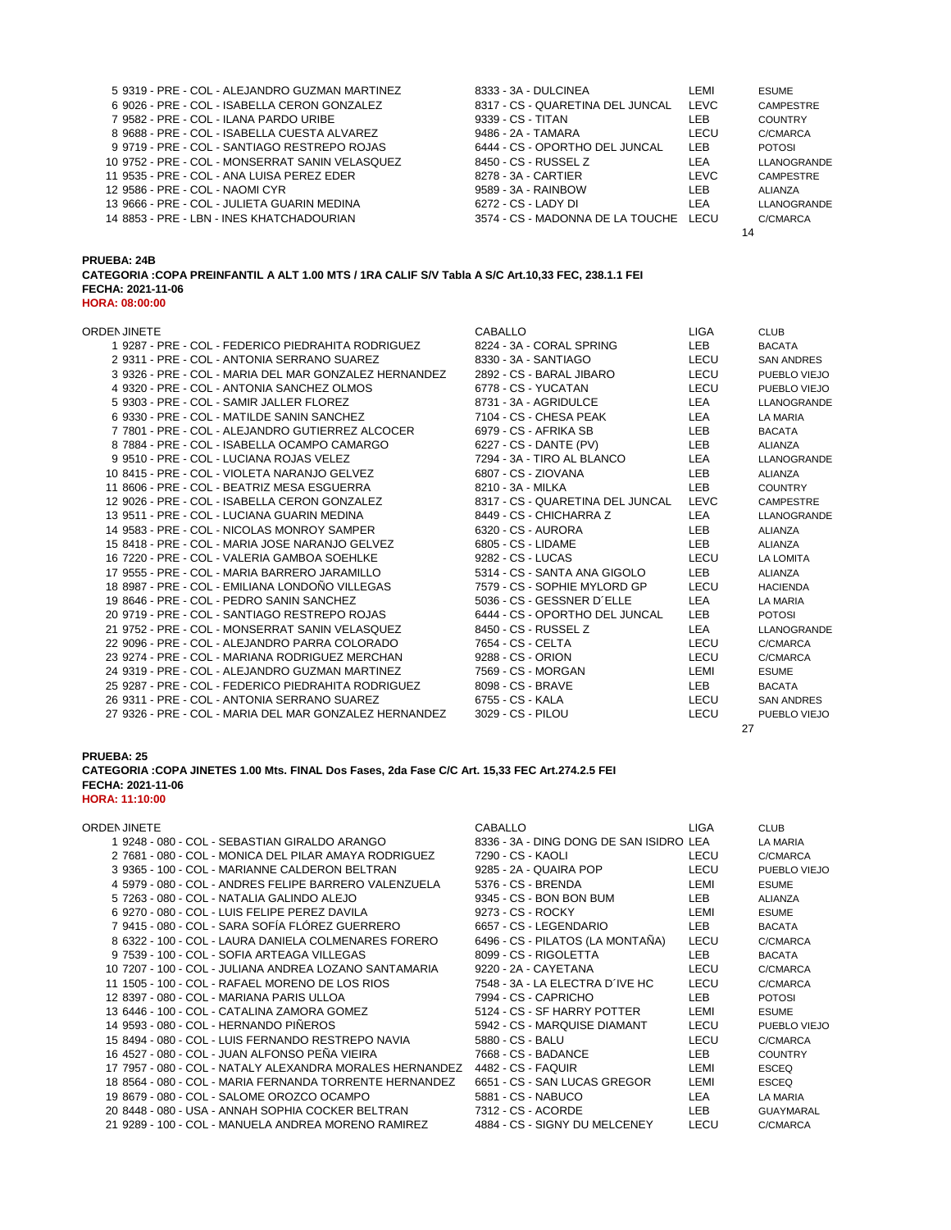| 5 9319 - PRE - COL - ALEJANDRO GUZMAN MARTINEZ  | 8333 - 3A - DULCINEA                  | LEMI | <b>ESUME</b>     |
|-------------------------------------------------|---------------------------------------|------|------------------|
| 6 9026 - PRE - COL - ISABELLA CERON GONZALEZ    | 8317 - CS - QUARETINA DEL JUNCAL      | LEVC | <b>CAMPESTRE</b> |
| 7 9582 - PRE - COL - ILANA PARDO URIBE          | 9339 - CS - TITAN                     | LEB  | <b>COUNTRY</b>   |
| 8 9688 - PRE - COL - ISABELLA CUESTA ALVAREZ    | 9486 - 2A - TAMARA                    | LECU | C/CMARCA         |
| 9 9719 - PRE - COL - SANTIAGO RESTREPO ROJAS    | 6444 - CS - OPORTHO DEL JUNCAL        | LEB  | <b>POTOSI</b>    |
| 10 9752 - PRE - COL - MONSERRAT SANIN VELASQUEZ | 8450 - CS - RUSSEL Z                  | LEA  | LLANOGRANDE      |
| 11 9535 - PRE - COL - ANA LUISA PEREZ EDER      | 8278 - 3A - CARTIER                   | LEVC | <b>CAMPESTRE</b> |
| 12 9586 - PRE - COL - NAOMI CYR                 | 9589 - 3A - RAINBOW                   | LEB. | ALIANZA          |
| 13 9666 - PRE - COL - JULIETA GUARIN MEDINA     | 6272 - CS - LADY DI                   | LEA  | LLANOGRANDE      |
| 14 8853 - PRE - LBN - INES KHATCHADOURIAN       | 3574 - CS - MADONNA DE LA TOUCHE LECU |      | C/CMARCA         |
|                                                 |                                       |      | 14               |

**PRUEBA: 24B**

**CATEGORIA :COPA PREINFANTIL A ALT 1.00 MTS / 1RA CALIF S/V Tabla A S/C Art.10,33 FEC, 238.1.1 FEI FECHA: 2021-11-06**

| <b>HORA: 08:00:00</b>                                  |                                  |             |                   |
|--------------------------------------------------------|----------------------------------|-------------|-------------------|
| ORDEN JINETE                                           | <b>CABALLO</b>                   | <b>LIGA</b> | <b>CLUB</b>       |
| 19287 - PRE - COL - FEDERICO PIEDRAHITA RODRIGUEZ      | 8224 - 3A - CORAL SPRING         | LEB         | <b>BACATA</b>     |
| 2 9311 - PRE - COL - ANTONIA SERRANO SUAREZ            | 8330 - 3A - SANTIAGO             | LECU        | <b>SAN ANDRES</b> |
| 3 9326 - PRE - COL - MARIA DEL MAR GONZALEZ HERNANDEZ  | 2892 - CS - BARAL JIBARO         | LECU        | PUEBLO VIEJO      |
| 4 9320 - PRE - COL - ANTONIA SANCHEZ OLMOS             | 6778 - CS - YUCATAN              | LECU        | PUEBLO VIEJO      |
| 5 9303 - PRE - COL - SAMIR JALLER FLOREZ               | 8731 - 3A - AGRIDULCE            | LEA         | LLANOGRANDE       |
| 6 9330 - PRE - COL - MATILDE SANIN SANCHEZ             | 7104 - CS - CHESA PEAK           | LEA         | LA MARIA          |
| 7 7801 - PRE - COL - ALEJANDRO GUTIERREZ ALCOCER       | 6979 - CS - AFRIKA SB            | <b>LEB</b>  | <b>BACATA</b>     |
| 8 7884 - PRE - COL - ISABELLA OCAMPO CAMARGO           | 6227 - CS - DANTE (PV)           | <b>LEB</b>  | <b>ALIANZA</b>    |
| 9 9510 - PRE - COL - LUCIANA ROJAS VELEZ               | 7294 - 3A - TIRO AL BLANCO       | LEA         | LLANOGRANDE       |
| 10 8415 - PRE - COL - VIOLETA NARANJO GELVEZ           | 6807 - CS - ZIOVANA              | <b>LEB</b>  | ALIANZA           |
| 11 8606 - PRE - COL - BEATRIZ MESA ESGUERRA            | 8210 - 3A - MILKA                | <b>LEB</b>  | <b>COUNTRY</b>    |
| 12 9026 - PRE - COL - ISABELLA CERON GONZALEZ          | 8317 - CS - QUARETINA DEL JUNCAL | <b>LEVC</b> | <b>CAMPESTRE</b>  |
| 13 9511 - PRE - COL - LUCIANA GUARIN MEDINA            | 8449 - CS - CHICHARRA Z          | LEA         | LLANOGRANDE       |
| 14 9583 - PRE - COL - NICOLAS MONROY SAMPER            | 6320 - CS - AURORA               | <b>LEB</b>  | ALIANZA           |
| 15 8418 - PRE - COL - MARIA JOSE NARANJO GELVEZ        | 6805 - CS - LIDAME               | <b>LEB</b>  | ALIANZA           |
| 16 7220 - PRE - COL - VALERIA GAMBOA SOEHLKE           | 9282 - CS - LUCAS                | LECU        | LA LOMITA         |
| 17 9555 - PRE - COL - MARIA BARRERO JARAMILLO          | 5314 - CS - SANTA ANA GIGOLO     | <b>LEB</b>  | ALIANZA           |
| 18 8987 - PRE - COL - EMILIANA LONDOÑO VILLEGAS        | 7579 - CS - SOPHIE MYLORD GP     | LECU        | <b>HACIENDA</b>   |
| 19 8646 - PRE - COL - PEDRO SANIN SANCHEZ              | 5036 - CS - GESSNER D'ELLE       | LEA         | LA MARIA          |
| 20 9719 - PRE - COL - SANTIAGO RESTREPO ROJAS          | 6444 - CS - OPORTHO DEL JUNCAL   | <b>LEB</b>  | <b>POTOSI</b>     |
| 21 9752 - PRE - COL - MONSERRAT SANIN VELASQUEZ        | 8450 - CS - RUSSEL Z             | LEA         | LLANOGRANDE       |
| 22 9096 - PRE - COL - ALEJANDRO PARRA COLORADO         | 7654 - CS - CELTA                | LECU        | C/CMARCA          |
| 23 9274 - PRE - COL - MARIANA RODRIGUEZ MERCHAN        | 9288 - CS - ORION                | LECU        | C/CMARCA          |
| 24 9319 - PRE - COL - ALEJANDRO GUZMAN MARTINEZ        | 7569 - CS - MORGAN               | LEMI        | <b>ESUME</b>      |
| 25 9287 - PRE - COL - FEDERICO PIEDRAHITA RODRIGUEZ    | 8098 - CS - BRAVE                | LEB         | <b>BACATA</b>     |
| 26 9311 - PRE - COL - ANTONIA SERRANO SUAREZ           | 6755 - CS - KALA                 | LECU        | <b>SAN ANDRES</b> |
| 27 9326 - PRE - COL - MARIA DEL MAR GONZALEZ HERNANDEZ | 3029 - CS - PILOU                | LECU        | PUEBLO VIEJO      |
|                                                        |                                  |             | 27                |

# **PRUEBA: 25**

**CATEGORIA :COPA JINETES 1.00 Mts. FINAL Dos Fases, 2da Fase C/C Art. 15,33 FEC Art.274.2.5 FEI FECHA: 2021-11-06 HORA: 11:10:00**

| ORDEN JINETE                                             | <b>CABALLO</b>                          | <b>LIGA</b> | <b>CLUB</b>      |
|----------------------------------------------------------|-----------------------------------------|-------------|------------------|
| 1 9248 - 080 - COL - SEBASTIAN GIRALDO ARANGO            | 8336 - 3A - DING DONG DE SAN ISIDRO LEA |             | LA MARIA         |
| 2 7681 - 080 - COL - MONICA DEL PILAR AMAYA RODRIGUEZ    | 7290 - CS - KAOLI                       | LECU        | C/CMARCA         |
| 3 9365 - 100 - COL - MARIANNE CALDERON BELTRAN           | 9285 - 2A - QUAIRA POP                  | LECU        | PUEBLO VIEJO     |
| 4 5979 - 080 - COL - ANDRES FELIPE BARRERO VALENZUELA    | 5376 - CS - BRENDA                      | LEMI        | <b>ESUME</b>     |
| 5 7263 - 080 - COL - NATALIA GALINDO ALEJO               | 9345 - CS - BON BON BUM                 | LEB.        | <b>ALIANZA</b>   |
| 6 9270 - 080 - COL - LUIS FELIPE PEREZ DAVILA            | 9273 - CS - ROCKY                       | LEMI        | <b>ESUME</b>     |
| 7 9415 - 080 - COL - SARA SOFÍA FLÓREZ GUERRERO          | 6657 - CS - LEGENDARIO                  | LEB         | <b>BACATA</b>    |
| 8 6322 - 100 - COL - LAURA DANIELA COLMENARES FORERO     | 6496 - CS - PILATOS (LA MONTAÑA)        | LECU        | C/CMARCA         |
| 9 7539 - 100 - COL - SOFIA ARTEAGA VILLEGAS              | 8099 - CS - RIGOLETTA                   | LEB         | <b>BACATA</b>    |
| 10 7207 - 100 - COL - JULIANA ANDREA LOZANO SANTAMARIA   | 9220 - 2A - CAYETANA                    | LECU        | C/CMARCA         |
| 11 1505 - 100 - COL - RAFAEL MORENO DE LOS RIOS          | 7548 - 3A - LA ELECTRA D'IVE HC         | LECU        | C/CMARCA         |
| 12 8397 - 080 - COL - MARIANA PARIS ULLOA                | 7994 - CS - CAPRICHO                    | <b>LEB</b>  | <b>POTOSI</b>    |
| 13 6446 - 100 - COL - CATALINA ZAMORA GOMEZ              | 5124 - CS - SF HARRY POTTER             | LEMI        | <b>ESUME</b>     |
| 14 9593 - 080 - COL - HERNANDO PIÑEROS                   | 5942 - CS - MARQUISE DIAMANT            | LECU        | PUEBLO VIEJO     |
| 15 8494 - 080 - COL - LUIS FERNANDO RESTREPO NAVIA       | 5880 - CS - BALU                        | LECU        | C/CMARCA         |
| 16 4527 - 080 - COL - JUAN ALFONSO PEÑA VIEIRA           | 7668 - CS - BADANCE                     | <b>LEB</b>  | <b>COUNTRY</b>   |
| 17 7957 - 080 - COL - NATALY ALEXANDRA MORALES HERNANDEZ | 4482 - CS - FAQUIR                      | LEMI        | <b>ESCEQ</b>     |
| 18 8564 - 080 - COL - MARIA FERNANDA TORRENTE HERNANDEZ  | 6651 - CS - SAN LUCAS GREGOR            | LEMI        | <b>ESCEQ</b>     |
| 19 8679 - 080 - COL - SALOME OROZCO OCAMPO               | 5881 - CS - NABUCO                      | <b>LEA</b>  | <b>LA MARIA</b>  |
| 20 8448 - 080 - USA - ANNAH SOPHIA COCKER BELTRAN        | 7312 - CS - ACORDE                      | LEB.        | <b>GUAYMARAL</b> |
| 21 9289 - 100 - COL - MANUELA ANDREA MORENO RAMIREZ      | 4884 - CS - SIGNY DU MELCENEY           | LECU        | C/CMARCA         |

| ABALLO:                                | LIGA. | <b>CLUB</b>      |
|----------------------------------------|-------|------------------|
| 336 - 3A - DING DONG DE SAN ISIDRO LEA |       | LA MARIA         |
| '290 - CS - KAOLI                      | LECU  | C/CMARCA         |
| 285 - 2A - QUAIRA POP                  | LECU  | PUEBLO VIEJO     |
| 376 - CS - BRENDA                      | LEMI  | <b>ESUME</b>     |
| 345 - CS - BON BON BUM                 | LEB   | ALIANZA          |
| 273 - CS - ROCKY                       | LEMI  | <b>ESUME</b>     |
| 657 - CS - LEGENDARIO                  | LEB   | <b>BACATA</b>    |
| i496 - CS - PILATOS (LA MONTAÑA)       | LECU  | C/CMARCA         |
| 099 - CS - RIGOLETTA                   | LEB.  | <b>BACATA</b>    |
| 220 - 2A - CAYETANA                    | LECU  | C/CMARCA         |
| '548 - 3A - LA ELECTRA D'IVE HC        | LECU  | C/CMARCA         |
| '994 - CS - CAPRICHO                   | LEB.  | <b>POTOSI</b>    |
| 124 - CS - SF HARRY POTTER             | LEMI  | <b>ESUME</b>     |
| 942 - CS - MARQUISE DIAMANT            | LECU  | PUEBLO VIEJO     |
| 880 - CS - BALU                        | LECU  | C/CMARCA         |
| '668 - CS - BADANCE                    | LEB.  | <b>COUNTRY</b>   |
| 482 - CS - FAQUIR                      | LEMI  | <b>ESCEQ</b>     |
| 651 - CS - SAN LUCAS GREGOR            | LEMI  | <b>ESCEQ</b>     |
| 881 - CS - NABUCO                      | LEA   | LA MARIA         |
| '312 - CS - ACORDE                     | LEB   | <b>GUAYMARAL</b> |
|                                        |       |                  |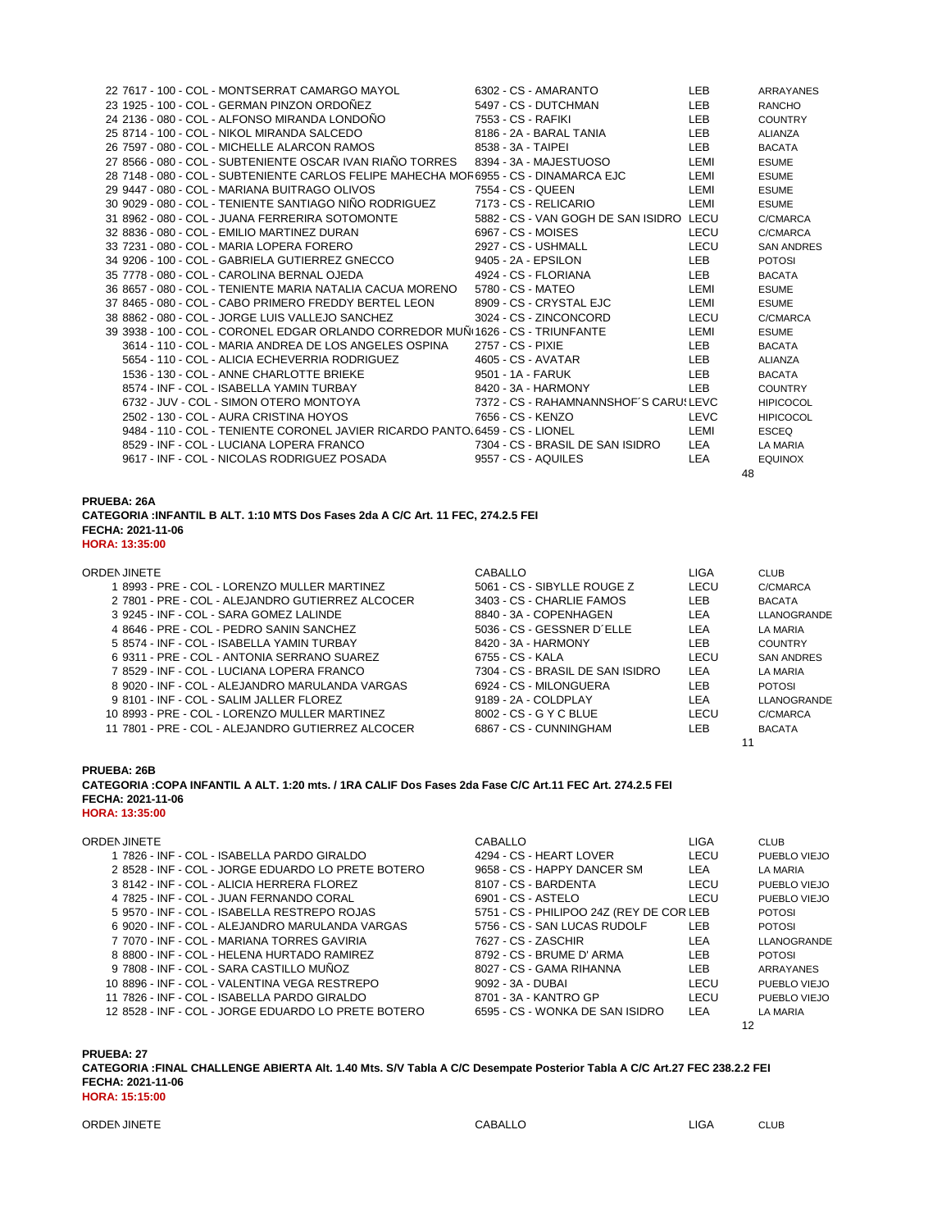| 22 7617 - 100 - COL - MONTSERRAT CAMARGO MAYOL                                        |  | 6302 - CS - AMARANTO                    | LEB.       | ARRAYANES         |
|---------------------------------------------------------------------------------------|--|-----------------------------------------|------------|-------------------|
| 23 1925 - 100 - COL - GERMAN PINZON ORDOÑEZ                                           |  | 5497 - CS - DUTCHMAN                    | <b>LEB</b> | RANCHO            |
| 24 2136 - 080 - COL - ALFONSO MIRANDA LONDONO                                         |  | 7553 - CS - RAFIKI                      | LEB        | <b>COUNTRY</b>    |
| 25 8714 - 100 - COL - NIKOL MIRANDA SALCEDO                                           |  | 8186 - 2A - BARAL TANIA                 | LEB        | ALIANZA           |
| 26 7597 - 080 - COL - MICHELLE ALARCON RAMOS                                          |  | 8538 - 3A - TAIPEI                      | LEB        | <b>BACATA</b>     |
| 27 8566 - 080 - COL - SUBTENIENTE OSCAR IVAN RIAÑO TORRES                             |  | 8394 - 3A - MAJESTUOSO                  | LEMI       | <b>ESUME</b>      |
| 28 7148 - 080 - COL - SUBTENIENTE CARLOS FELIPE MAHECHA MOF 6955 - CS - DINAMARCA EJC |  |                                         | LEMI       | <b>ESUME</b>      |
| 29 9447 - 080 - COL - MARIANA BUITRAGO OLIVOS                                         |  | 7554 - CS - QUEEN                       | LEMI       | <b>ESUME</b>      |
| 30 9029 - 080 - COL - TENIENTE SANTIAGO NIÑO RODRIGUEZ                                |  | 7173 - CS - RELICARIO                   | LEMI       | <b>ESUME</b>      |
| 31 8962 - 080 - COL - JUANA FERRERIRA SOTOMONTE                                       |  | 5882 - CS - VAN GOGH DE SAN ISIDRO LECU |            | C/CMARCA          |
| 32 8836 - 080 - COL - EMILIO MARTINEZ DURAN                                           |  | 6967 - CS - MOISES                      | LECU       | C/CMARCA          |
| 33 7231 - 080 - COL - MARIA LOPERA FORERO                                             |  | 2927 - CS - USHMALL                     | LECU       | <b>SAN ANDRES</b> |
| 34 9206 - 100 - COL - GABRIELA GUTIERREZ GNECCO                                       |  | 9405 - 2A - EPSILON                     | LEB        | <b>POTOSI</b>     |
| 35 7778 - 080 - COL - CAROLINA BERNAL OJEDA                                           |  | 4924 - CS - FLORIANA                    | LEB        | <b>BACATA</b>     |
| 36 8657 - 080 - COL - TENIENTE MARIA NATALIA CACUA MORENO                             |  | 5780 - CS - MATEO                       | LEMI       | <b>ESUME</b>      |
| 37 8465 - 080 - COL - CABO PRIMERO FREDDY BERTEL LEON                                 |  | 8909 - CS - CRYSTAL EJC                 | LEMI       | <b>ESUME</b>      |
| 38 8862 - 080 - COL - JORGE LUIS VALLEJO SANCHEZ                                      |  | 3024 - CS - ZINCONCORD                  | LECU       | C/CMARCA          |
| 39 3938 - 100 - COL - CORONEL EDGAR ORLANDO CORREDOR MUÑ 1626 - CS - TRIUNFANTE       |  |                                         | LEMI       | <b>ESUME</b>      |
| 3614 - 110 - COL - MARIA ANDREA DE LOS ANGELES OSPINA                                 |  | 2757 - CS - PIXIE                       | LEB        | <b>BACATA</b>     |
| 5654 - 110 - COL - ALICIA ECHEVERRIA RODRIGUEZ                                        |  | 4605 - CS - AVATAR                      | LEB.       | ALIANZA           |
| 1536 - 130 - COL - ANNE CHARLOTTE BRIEKE                                              |  | 9501 - 1A - FARUK                       | LEB        | <b>BACATA</b>     |
| 8574 - INF - COL - ISABELLA YAMIN TURBAY                                              |  | 8420 - 3A - HARMONY                     | LEB.       | <b>COUNTRY</b>    |
| 6732 - JUV - COL - SIMON OTERO MONTOYA                                                |  | 7372 - CS - RAHAMNANNSHOF'S CARU! LEVC  |            | <b>HIPICOCOL</b>  |
| 2502 - 130 - COL - AURA CRISTINA HOYOS                                                |  | 7656 - CS - KENZO                       | LEVC       | <b>HIPICOCOL</b>  |
| 9484 - 110 - COL - TENIENTE CORONEL JAVIER RICARDO PANTO, 6459 - CS - LIONEL          |  |                                         | LEMI       | <b>ESCEQ</b>      |
| 8529 - INF - COL - LUCIANA LOPERA FRANCO                                              |  | 7304 - CS - BRASIL DE SAN ISIDRO        | LEA        | LA MARIA          |
| 9617 - INF - COL - NICOLAS RODRIGUEZ POSADA                                           |  | 9557 - CS - AQUILES                     | <b>LEA</b> | <b>EQUINOX</b>    |
|                                                                                       |  |                                         | 48         |                   |

**PRUEBA: 26A**

**CATEGORIA :INFANTIL B ALT. 1:10 MTS Dos Fases 2da A C/C Art. 11 FEC, 274.2.5 FEI FECHA: 2021-11-06 HORA: 13:35:00**

| ORDEN JINETE                                      | CABALLO                          | LIGA | <b>CLUB</b>       |
|---------------------------------------------------|----------------------------------|------|-------------------|
| 1 8993 - PRE - COL - LORENZO MULLER MARTINEZ      | 5061 - CS - SIBYLLE ROUGE Z      | LECU | C/CMARCA          |
| 2 7801 - PRE - COL - ALEJANDRO GUTIERREZ ALCOCER  | 3403 - CS - CHARLIE FAMOS        | LEB. | BACATA            |
| 3 9245 - INF - COL - SARA GOMEZ LALINDE           | 8840 - 3A - COPENHAGEN           | LEA  | LLANOGRANDE       |
| 4 8646 - PRE - COL - PEDRO SANIN SANCHEZ          | 5036 - CS - GESSNER D'ELLE       | LEA  | LA MARIA          |
| 5 8574 - INF - COL - ISABELLA YAMIN TURBAY        | 8420 - 3A - HARMONY              | LEB. | <b>COUNTRY</b>    |
| 6 9311 - PRE - COL - ANTONIA SERRANO SUAREZ       | 6755 - CS - KALA                 | LECU | <b>SAN ANDRES</b> |
| 7 8529 - INF - COL - LUCIANA LOPERA FRANCO        | 7304 - CS - BRASIL DE SAN ISIDRO | LEA  | LA MARIA          |
| 8 9020 - INF - COL - ALEJANDRO MARULANDA VARGAS   | 6924 - CS - MILONGUERA           | LEB  | <b>POTOSI</b>     |
| 9 8101 - INF - COL - SALIM JALLER FLOREZ          | 9189 - 2A - COLDPLAY             | LEA  | LLANOGRANDE       |
| 10 8993 - PRE - COL - LORENZO MULLER MARTINEZ     | 8002 - CS - G Y C BLUE           | LECU | C/CMARCA          |
| 11 7801 - PRE - COL - ALEJANDRO GUTIERREZ ALCOCER | 6867 - CS - CUNNINGHAM           | LEB  | <b>BACATA</b>     |
|                                                   |                                  |      |                   |

**PRUEBA: 26B CATEGORIA :COPA INFANTIL A ALT. 1:20 mts. / 1RA CALIF Dos Fases 2da Fase C/C Art.11 FEC Art. 274.2.5 FEI FECHA: 2021-11-06 HORA: 13:35:00**

| ORDEN JINETE                                        | CABALLO                                  | LIGA       | <b>CLUB</b>     |
|-----------------------------------------------------|------------------------------------------|------------|-----------------|
| 1 7826 - INF - COL - ISABELLA PARDO GIRALDO         | 4294 - CS - HEART LOVER                  | LECU       | PUEBLO VIEJO    |
| 2 8528 - INF - COL - JORGE EDUARDO LO PRETE BOTERO  | 9658 - CS - HAPPY DANCER SM              | <b>LEA</b> | <b>LA MARIA</b> |
| 3 8142 - INF - COL - ALICIA HERRERA FLOREZ          | 8107 - CS - BARDENTA                     | LECU       | PUEBLO VIEJO    |
| 4 7825 - INF - COL - JUAN FERNANDO CORAL            | 6901 - CS - ASTELO                       | LECU       | PUEBLO VIEJO    |
| 5 9570 - INF - COL - ISABELLA RESTREPO ROJAS        | 5751 - CS - PHILIPOO 24Z (REY DE COR LEB |            | <b>POTOSI</b>   |
| 6 9020 - INF - COL - ALEJANDRO MARULANDA VARGAS     | 5756 - CS - SAN LUCAS RUDOLF             | <b>LEB</b> | <b>POTOSI</b>   |
| 7 7070 - INF - COL - MARIANA TORRES GAVIRIA         | 7627 - CS - ZASCHIR                      | LEA        | LLANOGRANDE     |
| 8 8800 - INF - COL - HELENA HURTADO RAMIREZ         | 8792 - CS - BRUME D' ARMA                | LEB        | <b>POTOSI</b>   |
| 9 7808 - INF - COL - SARA CASTILLO MUÑOZ            | 8027 - CS - GAMA RIHANNA                 | LEB.       | ARRAYANES       |
| 10 8896 - INF - COL - VALENTINA VEGA RESTREPO       | 9092 - 3A - DUBAI                        | LECU       | PUEBLO VIEJO    |
| 11 7826 - INF - COL - ISABELLA PARDO GIRALDO        | 8701 - 3A - KANTRO GP                    | LECU       | PUEBLO VIEJO    |
| 12 8528 - INF - COL - JORGE EDUARDO LO PRETE BOTERO | 6595 - CS - WONKA DE SAN ISIDRO          | LEA        | <b>LA MARIA</b> |
|                                                     |                                          |            | 12              |

**PRUEBA: 27 CATEGORIA :FINAL CHALLENGE ABIERTA Alt. 1.40 Mts. S/V Tabla A C/C Desempate Posterior Tabla A C/C Art.27 FEC 238.2.2 FEI FECHA: 2021-11-06 HORA: 15:15:00**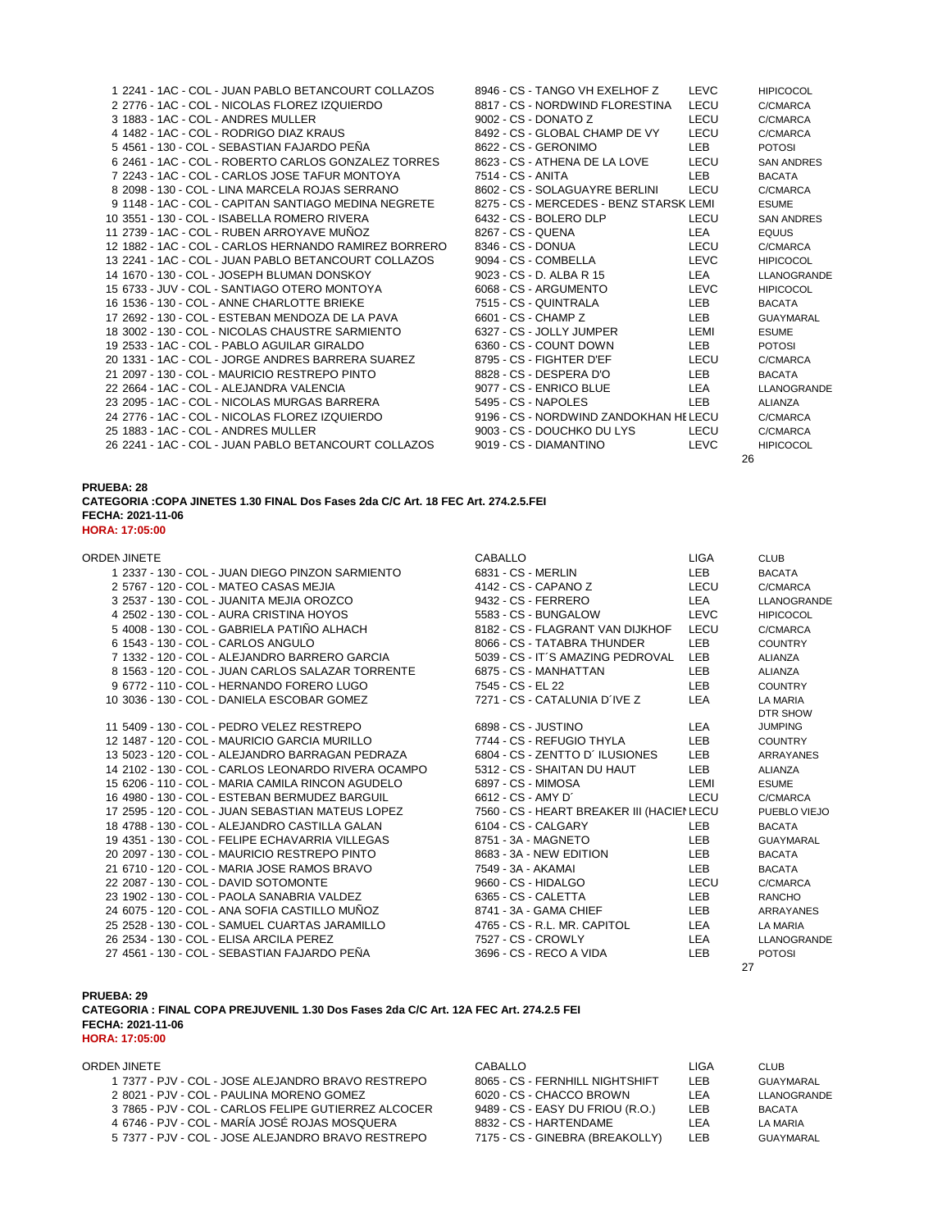| 1 2241 - 1AC - COL - JUAN PABLO BETANCOURT COLLAZOS   | 8946 - CS - TANGO VH EXELHOF Z          | <b>LEVC</b> | <b>HIPICOCOL</b>  |
|-------------------------------------------------------|-----------------------------------------|-------------|-------------------|
| 2 2776 - 1AC - COL - NICOLAS FLOREZ IZQUIERDO         | 8817 - CS - NORDWIND FLORESTINA         | LECU        | C/CMARCA          |
| 3 1883 - 1AC - COL - ANDRES MULLER                    | 9002 - CS - DONATO Z                    | LECU        | C/CMARCA          |
| 4 1482 - 1AC - COL - RODRIGO DIAZ KRAUS               | 8492 - CS - GLOBAL CHAMP DE VY          | LECU        | C/CMARCA          |
| 5 4561 - 130 - COL - SEBASTIAN FAJARDO PEÑA           | 8622 - CS - GERONIMO                    | LEB.        | <b>POTOSI</b>     |
| 6 2461 - 1AC - COL - ROBERTO CARLOS GONZALEZ TORRES   | 8623 - CS - ATHENA DE LA LOVE           | LECU        | <b>SAN ANDRES</b> |
| 7 2243 - 1AC - COL - CARLOS JOSE TAFUR MONTOYA        | 7514 - CS - ANITA                       | <b>LEB</b>  | <b>BACATA</b>     |
| 8 2098 - 130 - COL - LINA MARCELA ROJAS SERRANO       | 8602 - CS - SOLAGUAYRE BERLINI          | LECU        | C/CMARCA          |
| 9 1148 - 1AC - COL - CAPITAN SANTIAGO MEDINA NEGRETE  | 8275 - CS - MERCEDES - BENZ STARSK LEMI |             | <b>ESUME</b>      |
| 10 3551 - 130 - COL - ISABELLA ROMERO RIVERA          | 6432 - CS - BOLERO DLP                  | LECU        | <b>SAN ANDRES</b> |
| 11 2739 - 1AC - COL - RUBEN ARROYAVE MUÑOZ            | 8267 - CS - QUENA                       | LEA         | <b>EQUUS</b>      |
| 12 1882 - 1AC - COL - CARLOS HERNANDO RAMIREZ BORRERO | 8346 - CS - DONUA                       | LECU        | C/CMARCA          |
| 13 2241 - 1AC - COL - JUAN PABLO BETANCOURT COLLAZOS  | 9094 - CS - COMBELLA                    | LEVC        | <b>HIPICOCOL</b>  |
| 14 1670 - 130 - COL - JOSEPH BLUMAN DONSKOY           | 9023 - CS - D. ALBA R 15                | LEA         | LLANOGRANDE       |
| 15 6733 - JUV - COL - SANTIAGO OTERO MONTOYA          | 6068 - CS - ARGUMENTO                   | <b>LEVC</b> | <b>HIPICOCOL</b>  |
| 16 1536 - 130 - COL - ANNE CHARLOTTE BRIEKE           | 7515 - CS - QUINTRALA                   | <b>LEB</b>  | <b>BACATA</b>     |
| 17 2692 - 130 - COL - ESTEBAN MENDOZA DE LA PAVA      | 6601 - CS - CHAMP Z                     | LEB.        | <b>GUAYMARAL</b>  |
| 18 3002 - 130 - COL - NICOLAS CHAUSTRE SARMIENTO      | 6327 - CS - JOLLY JUMPER                | LEMI        | <b>ESUME</b>      |
| 19 2533 - 1AC - COL - PABLO AGUILAR GIRALDO           | 6360 - CS - COUNT DOWN                  | <b>LEB</b>  | <b>POTOSI</b>     |
| 20 1331 - 1AC - COL - JORGE ANDRES BARRERA SUAREZ     | 8795 - CS - FIGHTER D'EF                | LECU        | C/CMARCA          |
| 21 2097 - 130 - COL - MAURICIO RESTREPO PINTO         | 8828 - CS - DESPERA D'O                 | LEB.        | <b>BACATA</b>     |
| 22 2664 - 1AC - COL - ALEJANDRA VALENCIA              | 9077 - CS - ENRICO BLUE                 | LEA         | LLANOGRANDE       |
| 23 2095 - 1AC - COL - NICOLAS MURGAS BARRERA          | 5495 - CS - NAPOLES                     | <b>LEB</b>  | <b>ALIANZA</b>    |
| 24 2776 - 1AC - COL - NICOLAS FLOREZ IZQUIERDO        | 9196 - CS - NORDWIND ZANDOKHAN HE LECU  |             | C/CMARCA          |
| 25 1883 - 1AC - COL - ANDRES MULLER                   | 9003 - CS - DOUCHKO DU LYS              | LECU        | C/CMARCA          |
| 26 2241 - 1AC - COL - JUAN PABLO BETANCOURT COLLAZOS  | 9019 - CS - DIAMANTINO                  | <b>LEVC</b> | <b>HIPICOCOL</b>  |
|                                                       |                                         |             | 26                |

**PRUEBA: 28 CATEGORIA :COPA JINETES 1.30 FINAL Dos Fases 2da C/C Art. 18 FEC Art. 274.2.5.FEI FECHA: 2021-11-06 HORA: 17:05:00**

| ORDEN JINETE                                        | <b>CABALLO</b>                             | <b>LIGA</b> | <b>CLUB</b>      |
|-----------------------------------------------------|--------------------------------------------|-------------|------------------|
| 1 2337 - 130 - COL - JUAN DIEGO PINZON SARMIENTO    | 6831 - CS - MERLIN                         | LEB         | <b>BACATA</b>    |
| 2 5767 - 120 - COL - MATEO CASAS MEJIA              | 4142 - CS - CAPANO Z                       | LECU        | C/CMARCA         |
| 3 2537 - 130 - COL - JUANITA MEJIA OROZCO           | 9432 - CS - FERRERO                        | LEA         | LLANOGRANDE      |
| 4 2502 - 130 - COL - AURA CRISTINA HOYOS            | 5583 - CS - BUNGALOW                       | <b>LEVC</b> | <b>HIPICOCOL</b> |
| 5 4008 - 130 - COL - GABRIELA PATIÑO ALHACH         | 8182 - CS - FLAGRANT VAN DIJKHOF           | LECU        | C/CMARCA         |
| 6 1543 - 130 - COL - CARLOS ANGULO                  | 8066 - CS - TATABRA THUNDER                | <b>LEB</b>  | <b>COUNTRY</b>   |
| 7 1332 - 120 - COL - ALEJANDRO BARRERO GARCIA       | 5039 - CS - IT'S AMAZING PEDROVAL          | <b>LEB</b>  | ALIANZA          |
| 8 1563 - 120 - COL - JUAN CARLOS SALAZAR TORRENTE   | 6875 - CS - MANHATTAN                      | LEB         | ALIANZA          |
| 9 6772 - 110 - COL - HERNANDO FORERO LUGO           | 7545 - CS - EL 22                          | LEB         | <b>COUNTRY</b>   |
| 10 3036 - 130 - COL - DANIELA ESCOBAR GOMEZ         | 7271 - CS - CATALUNIA D´IVE Z              | LEA         | LA MARIA         |
|                                                     |                                            |             | DTR SHOW         |
| 11 5409 - 130 - COL - PEDRO VELEZ RESTREPO          | 6898 - CS - JUSTINO                        | LEA         | <b>JUMPING</b>   |
| 12 1487 - 120 - COL - MAURICIO GARCIA MURILLO       | 7744 - CS - REFUGIO THYLA                  | LEB         | <b>COUNTRY</b>   |
| 13 5023 - 120 - COL - ALEJANDRO BARRAGAN PEDRAZA    | 6804 - CS - ZENTTO D'ILUSIONES             | LEB         | ARRAYANES        |
| 14 2102 - 130 - COL - CARLOS LEONARDO RIVERA OCAMPO | 5312 - CS - SHAITAN DU HAUT                | LEB         | ALIANZA          |
| 15 6206 - 110 - COL - MARIA CAMILA RINCON AGUDELO   | 6897 - CS - MIMOSA                         | LEMI        | <b>ESUME</b>     |
| 16 4980 - 130 - COL - ESTEBAN BERMUDEZ BARGUIL      | 6612 - CS - AMY D'                         | LECU        | C/CMARCA         |
| 17 2595 - 120 - COL - JUAN SEBASTIAN MATEUS LOPEZ   | 7560 - CS - HEART BREAKER III (HACIEI LECU |             | PUEBLO VIEJO     |
| 18 4788 - 130 - COL - ALEJANDRO CASTILLA GALAN      | 6104 - CS - CALGARY                        | LEB         | <b>BACATA</b>    |
| 19 4351 - 130 - COL - FELIPE ECHAVARRIA VILLEGAS    | 8751 - 3A - MAGNETO                        | LEB         | <b>GUAYMARAL</b> |
| 20 2097 - 130 - COL - MAURICIO RESTREPO PINTO       | 8683 - 3A - NEW EDITION                    | LEB         | <b>BACATA</b>    |
| 21 6710 - 120 - COL - MARIA JOSE RAMOS BRAVO        | 7549 - 3A - AKAMAI                         | LEB         | <b>BACATA</b>    |
| 22 2087 - 130 - COL - DAVID SOTOMONTE               | 9660 - CS - HIDALGO                        | LECU        | C/CMARCA         |
| 23 1902 - 130 - COL - PAOLA SANABRIA VALDEZ         | 6365 - CS - CALETTA                        | LEB         | <b>RANCHO</b>    |
| 24 6075 - 120 - COL - ANA SOFIA CASTILLO MUÑOZ      | 8741 - 3A - GAMA CHIEF                     | LEB         | <b>ARRAYANES</b> |
| 25 2528 - 130 - COL - SAMUEL CUARTAS JARAMILLO      | 4765 - CS - R.L. MR. CAPITOL               | LEA         | LA MARIA         |
| 26 2534 - 130 - COL - ELISA ARCILA PEREZ            | 7527 - CS - CROWLY                         | LEA         | LLANOGRANDE      |
| 27 4561 - 130 - COL - SEBASTIAN FAJARDO PENA        | 3696 - CS - RECO A VIDA                    | LEB.        | <b>POTOSI</b>    |
|                                                     |                                            | 77          |                  |

### **PRUEBA: 29 CATEGORIA : FINAL COPA PREJUVENIL 1.30 Dos Fases 2da C/C Art. 12A FEC Art. 274.2.5 FEI FECHA: 2021-11-06 HORA: 17:05:00**

| ORDEN JINETE.                                        | CABALLO                          | LIGA | <b>CLUB</b>         |
|------------------------------------------------------|----------------------------------|------|---------------------|
| 1 7377 - P.IV - COL - JOSE ALEJANDRO BRAVO RESTREPO  | 8065 - CS - FERNHILL NIGHTSHIFT  | .FB  | GUAYMARAL           |
| 2 8021 - PJV - COL - PAULINA MORENO GOMEZ            | 6020 - CS - CHACCO BROWN         | - FA | <b>II ANOGRANDE</b> |
| 3 7865 - PJV - COL - CARLOS FELIPE GUTIERREZ ALCOCER | 9489 - CS - EASY DU FRIOU (R.O.) | ∟EB. | <b>BACATA</b>       |
| 4 6746 - PJV - COL - MARÍA JOSÉ ROJAS MOSQUERA       | 8832 - CS - HARTENDAME           | - FA | I A MARIA           |
| 5 7377 - PJV - COL - JOSE ALEJANDRO BRAVO RESTREPO   | 7175 - CS - GINEBRA (BREAKOLLY)  | .FB  | GUAYMARAL           |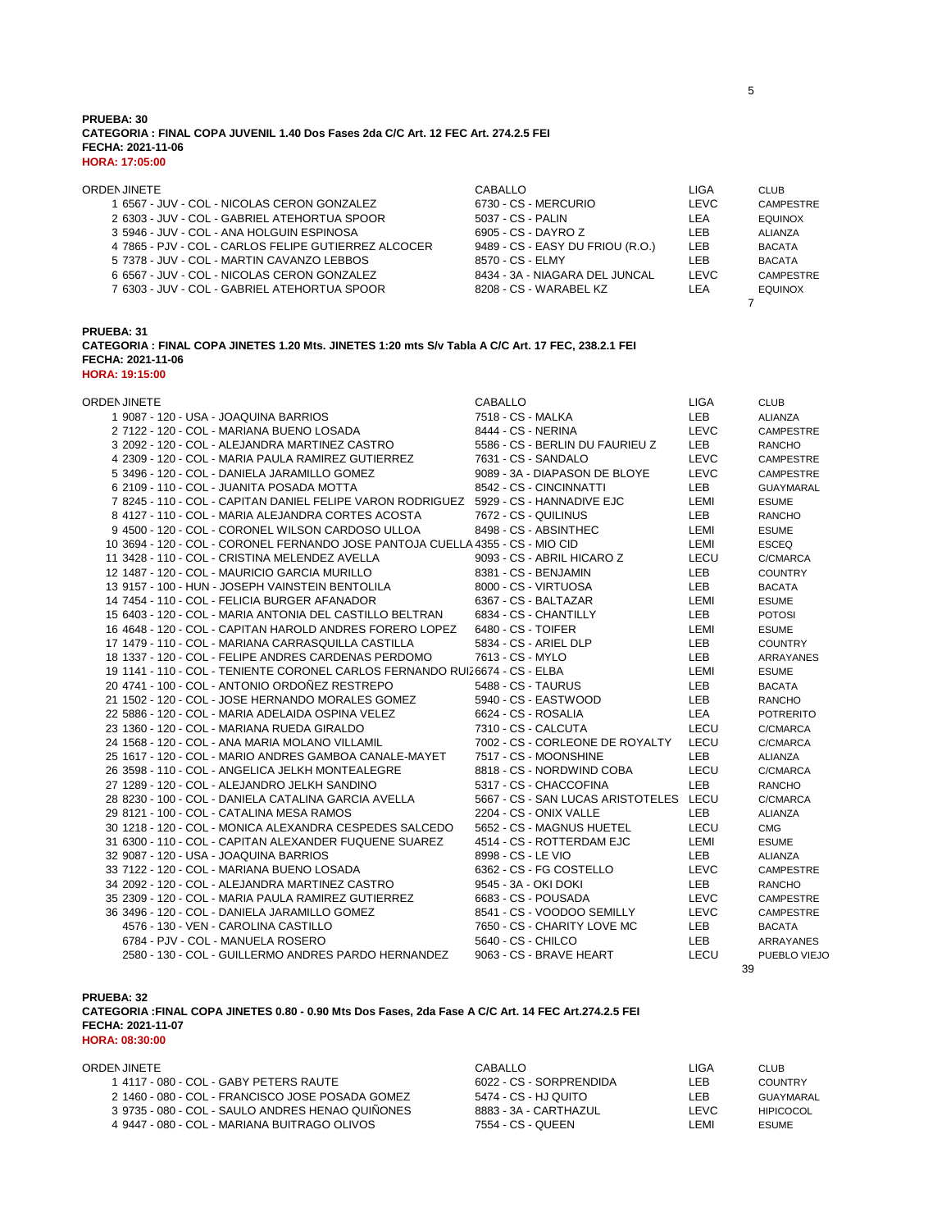### **PRUEBA: 30 CATEGORIA : FINAL COPA JUVENIL 1.40 Dos Fases 2da C/C Art. 12 FEC Art. 274.2.5 FEI FECHA: 2021-11-06 HORA: 17:05:00**

| ORDEN JINETE                                         | CABALLO                          | LIGA | <b>CLUB</b>      |
|------------------------------------------------------|----------------------------------|------|------------------|
| 1 6567 - JUV - COL - NICOLAS CERON GONZALEZ          | 6730 - CS - MERCURIO             | LEVC | <b>CAMPESTRE</b> |
| 2 6303 - JUV - COL - GABRIEL ATEHORTUA SPOOR         | 5037 - CS - PALIN                | LEA  | <b>EQUINOX</b>   |
| 3 5946 - JUV - COL - ANA HOLGUIN ESPINOSA            | 6905 - CS - DAYRO Z              | I FB | ALIANZA          |
| 4 7865 - PJV - COL - CARLOS FELIPE GUTIERREZ ALCOCER | 9489 - CS - EASY DU FRIOU (R.O.) | LEB  | <b>BACATA</b>    |
| 5 7378 - JUV - COL - MARTIN CAVANZO LEBBOS           | 8570 - CS - ELMY                 | LEB  | <b>BACATA</b>    |
| 6 6567 - JUV - COL - NICOLAS CERON GONZALEZ          | 8434 - 3A - NIAGARA DEL JUNCAL   | LEVC | <b>CAMPESTRE</b> |
| 7 6303 - JUV - COL - GABRIEL ATEHORTUA SPOOR         | 8208 - CS - WARABEL KZ           | LEA  | <b>EQUINOX</b>   |
|                                                      |                                  |      |                  |

**PRUEBA: 31**

**CATEGORIA : FINAL COPA JINETES 1.20 Mts. JINETES 1:20 mts S/v Tabla A C/C Art. 17 FEC, 238.2.1 FEI FECHA: 2021-11-06**

**HORA: 19:15:00**

| ORDEN JINETE                                                                         | <b>CABALLO</b>                         | <b>LIGA</b> | <b>CLUB</b>      |
|--------------------------------------------------------------------------------------|----------------------------------------|-------------|------------------|
| 1 9087 - 120 - USA - JOAQUINA BARRIOS                                                | 7518 - CS - MALKA                      | <b>LEB</b>  | ALIANZA          |
| 2 7122 - 120 - COL - MARIANA BUENO LOSADA                                            | 8444 - CS - NERINA                     | <b>LEVC</b> | <b>CAMPESTRE</b> |
| 3 2092 - 120 - COL - ALEJANDRA MARTINEZ CASTRO                                       | 5586 - CS - BERLIN DU FAURIEU Z        | LEB         | <b>RANCHO</b>    |
| 4 2309 - 120 - COL - MARIA PAULA RAMIREZ GUTIERREZ                                   | 7631 - CS - SANDALO                    | LEVC        | CAMPESTRE        |
| 5 3496 - 120 - COL - DANIELA JARAMILLO GOMEZ                                         | 9089 - 3A - DIAPASON DE BLOYE          | <b>LEVC</b> | <b>CAMPESTRE</b> |
| 6 2109 - 110 - COL - JUANITA POSADA MOTTA                                            | 8542 - CS - CINCINNATTI                | <b>LEB</b>  | <b>GUAYMARAL</b> |
| 7 8245 - 110 - COL - CAPITAN DANIEL FELIPE VARON RODRIGUEZ 5929 - CS - HANNADIVE EJC |                                        | LEMI        | <b>ESUME</b>     |
| 8 4127 - 110 - COL - MARIA ALEJANDRA CORTES ACOSTA                                   | 7672 - CS - QUILINUS                   | <b>LEB</b>  | <b>RANCHO</b>    |
| 9 4500 - 120 - COL - CORONEL WILSON CARDOSO ULLOA                                    | 8498 - CS - ABSINTHEC                  | LEMI        | <b>ESUME</b>     |
| 10 3694 - 120 - COL - CORONEL FERNANDO JOSE PANTOJA CUELLA 4355 - CS - MIO CID       |                                        | LEMI        | <b>ESCEQ</b>     |
| 11 3428 - 110 - COL - CRISTINA MELENDEZ AVELLA                                       | 9093 - CS - ABRIL HICARO Z             | LECU        | C/CMARCA         |
| 12 1487 - 120 - COL - MAURICIO GARCIA MURILLO                                        | 8381 - CS - BENJAMIN                   | <b>LEB</b>  | <b>COUNTRY</b>   |
| 13 9157 - 100 - HUN - JOSEPH VAINSTEIN BENTOLILA                                     | 8000 - CS - VIRTUOSA                   | <b>LEB</b>  | <b>BACATA</b>    |
| 14 7454 - 110 - COL - FELICIA BURGER AFANADOR                                        | 6367 - CS - BALTAZAR                   | LEMI        | <b>ESUME</b>     |
| 15 6403 - 120 - COL - MARIA ANTONIA DEL CASTILLO BELTRAN                             | 6834 - CS - CHANTILLY                  | <b>LEB</b>  | <b>POTOSI</b>    |
| 16 4648 - 120 - COL - CAPITAN HAROLD ANDRES FORERO LOPEZ                             | 6480 - CS - TOIFER                     | LEMI        | <b>ESUME</b>     |
| 17 1479 - 110 - COL - MARIANA CARRASQUILLA CASTILLA                                  | 5834 - CS - ARIEL DLP                  | <b>LEB</b>  | <b>COUNTRY</b>   |
| 18 1337 - 120 - COL - FELIPE ANDRES CARDENAS PERDOMO                                 | 7613 - CS - MYLO                       | LEB         | ARRAYANES        |
| 19 1141 - 110 - COL - TENIENTE CORONEL CARLOS FERNANDO RUIZ 6674 - CS - ELBA         |                                        | LEMI        | <b>ESUME</b>     |
| 20 4741 - 100 - COL - ANTONIO ORDOÑEZ RESTREPO                                       | 5488 - CS - TAURUS                     | <b>LEB</b>  | <b>BACATA</b>    |
| 21 1502 - 120 - COL - JOSE HERNANDO MORALES GOMEZ                                    | 5940 - CS - EASTWOOD                   | LEB         | <b>RANCHO</b>    |
| 22 5886 - 120 - COL - MARIA ADELAIDA OSPINA VELEZ                                    | 6624 - CS - ROSALIA                    | LEA         | <b>POTRERITO</b> |
| 23 1360 - 120 - COL - MARIANA RUEDA GIRALDO                                          | 7310 - CS - CALCUTA                    | LECU        | C/CMARCA         |
| 24 1568 - 120 - COL - ANA MARIA MOLANO VILLAMIL                                      | 7002 - CS - CORLEONE DE ROYALTY        | LECU        | C/CMARCA         |
| 25 1617 - 120 - COL - MARIO ANDRES GAMBOA CANALE-MAYET                               | 7517 - CS - MOONSHINE                  | <b>LEB</b>  | <b>ALIANZA</b>   |
| 26 3598 - 110 - COL - ANGELICA JELKH MONTEALEGRE                                     | 8818 - CS - NORDWIND COBA              | LECU        | C/CMARCA         |
| 27 1289 - 120 - COL - ALEJANDRO JELKH SANDINO                                        | 5317 - CS - CHACCOFINA                 | LEB         | <b>RANCHO</b>    |
| 28 8230 - 100 - COL - DANIELA CATALINA GARCIA AVELLA                                 | 5667 - CS - SAN LUCAS ARISTOTELES LECU |             | C/CMARCA         |
| 29 8121 - 100 - COL - CATALINA MESA RAMOS                                            | 2204 - CS - ONIX VALLE                 | LEB.        | <b>ALIANZA</b>   |
| 30 1218 - 120 - COL - MONICA ALEXANDRA CESPEDES SALCEDO                              | 5652 - CS - MAGNUS HUETEL              | LECU        | <b>CMG</b>       |
| 31 6300 - 110 - COL - CAPITAN ALEXANDER FUQUENE SUAREZ                               | 4514 - CS - ROTTERDAM EJC              | LEMI        | <b>ESUME</b>     |
| 32 9087 - 120 - USA - JOAQUINA BARRIOS                                               | 8998 - CS - LE VIO                     | LEB         | ALIANZA          |
| 33 7122 - 120 - COL - MARIANA BUENO LOSADA                                           | 6362 - CS - FG COSTELLO                | <b>LEVC</b> | <b>CAMPESTRE</b> |
| 34 2092 - 120 - COL - ALEJANDRA MARTINEZ CASTRO                                      | 9545 - 3A - OKI DOKI                   | <b>LEB</b>  | <b>RANCHO</b>    |
| 35 2309 - 120 - COL - MARIA PAULA RAMIREZ GUTIERREZ                                  | 6683 - CS - POUSADA                    | LEVC        | <b>CAMPESTRE</b> |
| 36 3496 - 120 - COL - DANIELA JARAMILLO GOMEZ                                        | 8541 - CS - VOODOO SEMILLY             | <b>LEVC</b> | CAMPESTRE        |
| 4576 - 130 - VEN - CAROLINA CASTILLO                                                 | 7650 - CS - CHARITY LOVE MC            | <b>LEB</b>  | <b>BACATA</b>    |
| 6784 - PJV - COL - MANUELA ROSERO                                                    | 5640 - CS - CHILCO                     | LEB         | <b>ARRAYANES</b> |
| 2580 - 130 - COL - GUILLERMO ANDRES PARDO HERNANDEZ                                  | 9063 - CS - BRAVE HEART                | LECU        | PUEBLO VIEJO     |
|                                                                                      |                                        | 39          |                  |

**PRUEBA: 32 CATEGORIA :FINAL COPA JINETES 0.80 - 0.90 Mts Dos Fases, 2da Fase A C/C Art. 14 FEC Art.274.2.5 FEI FECHA: 2021-11-07 HORA: 08:30:00**

| ORDEN JINETE.                                    | CABALLO                 | LIGA  | <b>CLUB</b>  |
|--------------------------------------------------|-------------------------|-------|--------------|
| 1 4117 - 080 - COL - GABY PETERS RAUTE           | 6022 - CS - SORPRENDIDA | LEB   | COUNTRY      |
| 2 1460 - 080 - COL - FRANCISCO JOSE POSADA GOMEZ | 5474 - CS - HJ QUITO    | LEB   | GUAYMARAL    |
| 3 9735 - 080 - COL - SAULO ANDRES HENAO OUIÑONES | 8883 - 3A - CARTHAZUL   | I EVC | HIPICOCOL    |
| 4 9447 - 080 - COL - MARIANA BUITRAGO OLIVOS     | 7554 - CS - QUEEN       | I EMI | <b>ESUME</b> |
|                                                  |                         |       |              |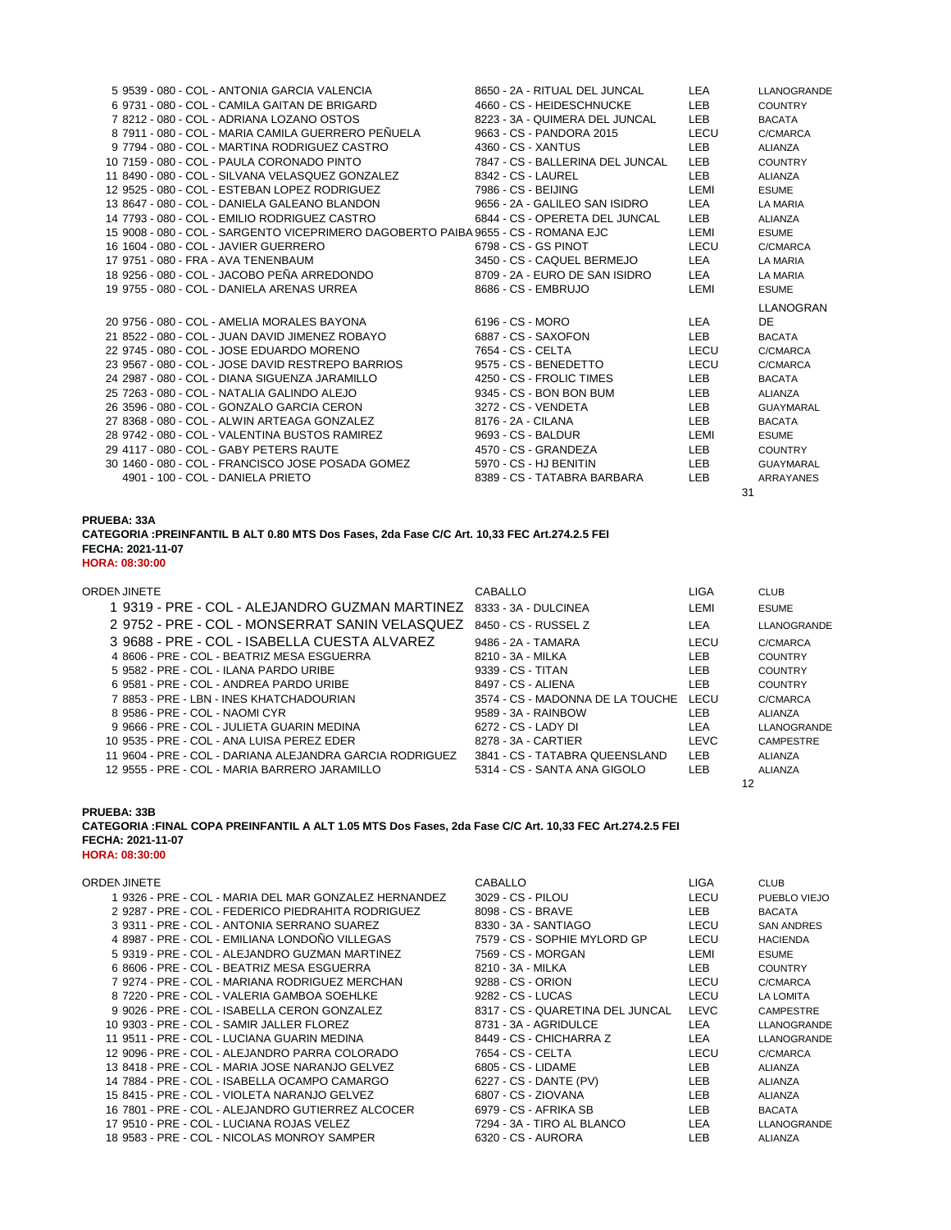|  | 5 9539 - 080 - COL - ANTONIA GARCIA VALENCIA                                      |                     | 8650 - 2A - RITUAL DEL JUNCAL    | <b>LEA</b> | LLANOGRANDE      |
|--|-----------------------------------------------------------------------------------|---------------------|----------------------------------|------------|------------------|
|  | 6 9731 - 080 - COL - CAMILA GAITAN DE BRIGARD                                     |                     | 4660 - CS - HEIDESCHNUCKE        | <b>LEB</b> | <b>COUNTRY</b>   |
|  | 7 8212 - 080 - COL - ADRIANA LOZANO OSTOS                                         |                     | 8223 - 3A - QUIMERA DEL JUNCAL   | <b>LEB</b> | <b>BACATA</b>    |
|  | 8 7911 - 080 - COL - MARIA CAMILA GUERRERO PEÑUELA                                |                     | 9663 - CS - PANDORA 2015         | LECU       | C/CMARCA         |
|  | 9 7794 - 080 - COL - MARTINA RODRIGUEZ CASTRO                                     | 4360 - CS - XANTUS  |                                  | <b>LEB</b> | <b>ALIANZA</b>   |
|  | 10 7159 - 080 - COL - PAULA CORONADO PINTO                                        |                     | 7847 - CS - BALLERINA DEL JUNCAL | <b>LEB</b> | <b>COUNTRY</b>   |
|  | 11 8490 - 080 - COL - SILVANA VELASQUEZ GONZALEZ                                  | 8342 - CS - LAUREL  |                                  | <b>LEB</b> | ALIANZA          |
|  | 12 9525 - 080 - COL - ESTEBAN LOPEZ RODRIGUEZ                                     | 7986 - CS - BEIJING |                                  | LEMI       | <b>ESUME</b>     |
|  | 13 8647 - 080 - COL - DANIELA GALEANO BLANDON                                     |                     | 9656 - 2A - GALILEO SAN ISIDRO   | <b>LEA</b> | LA MARIA         |
|  | 14 7793 - 080 - COL - EMILIO RODRIGUEZ CASTRO                                     |                     | 6844 - CS - OPERETA DEL JUNCAL   | LEB.       | <b>ALIANZA</b>   |
|  | 15 9008 - 080 - COL - SARGENTO VICEPRIMERO DAGOBERTO PAIBA 9655 - CS - ROMANA EJC |                     |                                  | LEMI       | <b>ESUME</b>     |
|  | 16 1604 - 080 - COL - JAVIER GUERRERO                                             |                     | 6798 - CS - GS PINOT             | LECU       | C/CMARCA         |
|  | 17 9751 - 080 - FRA - AVA TENENBAUM                                               |                     | 3450 - CS - CAQUEL BERMEJO       | LEA        | <b>LA MARIA</b>  |
|  | 18 9256 - 080 - COL - JACOBO PEÑA ARREDONDO                                       |                     | 8709 - 2A - EURO DE SAN ISIDRO   | LEA        | LA MARIA         |
|  | 19 9755 - 080 - COL - DANIELA ARENAS URREA                                        |                     | 8686 - CS - EMBRUJO              | LEMI       | <b>ESUME</b>     |
|  |                                                                                   |                     |                                  |            | <b>LLANOGRAN</b> |
|  | 20 9756 - 080 - COL - AMELIA MORALES BAYONA                                       | 6196 - CS - MORO    |                                  | LEA        | DE.              |
|  | 21 8522 - 080 - COL - JUAN DAVID JIMENEZ ROBAYO                                   |                     | 6887 - CS - SAXOFON              | <b>LEB</b> | <b>BACATA</b>    |
|  | 22 9745 - 080 - COL - JOSE EDUARDO MORENO                                         | 7654 - CS - CELTA   |                                  | LECU       | C/CMARCA         |
|  | 23 9567 - 080 - COL - JOSE DAVID RESTREPO BARRIOS                                 |                     | 9575 - CS - BENEDETTO            | LECU       | C/CMARCA         |
|  | 24 2987 - 080 - COL - DIANA SIGUENZA JARAMILLO                                    |                     | 4250 - CS - FROLIC TIMES         | <b>LEB</b> | <b>BACATA</b>    |
|  | 25 7263 - 080 - COL - NATALIA GALINDO ALEJO                                       |                     | 9345 - CS - BON BON BUM          | LEB.       | ALIANZA          |
|  | 26 3596 - 080 - COL - GONZALO GARCIA CERON                                        |                     | 3272 - CS - VENDETA              | <b>LEB</b> | <b>GUAYMARAL</b> |
|  | 27 8368 - 080 - COL - ALWIN ARTEAGA GONZALEZ                                      | 8176 - 2A - CILANA  |                                  | <b>LEB</b> | <b>BACATA</b>    |
|  | 28 9742 - 080 - COL - VALENTINA BUSTOS RAMIREZ                                    | 9693 - CS - BALDUR  |                                  | LEMI       | <b>ESUME</b>     |
|  | 29 4117 - 080 - COL - GABY PETERS RAUTE                                           |                     | 4570 - CS - GRANDEZA             | LEB        | <b>COUNTRY</b>   |
|  | 30 1460 - 080 - COL - FRANCISCO JOSE POSADA GOMEZ                                 |                     | 5970 - CS - HJ BENITIN           | <b>LEB</b> | <b>GUAYMARAL</b> |
|  | 4901 - 100 - COL - DANIELA PRIETO                                                 |                     | 8389 - CS - TATABRA BARBARA      | <b>LEB</b> | <b>ARRAYANES</b> |
|  |                                                                                   |                     |                                  | 31         |                  |

**PRUEBA: 33A**

| CATEGORIA: PREINFANTIL B ALT 0.80 MTS Dos Fases, 2da Fase C/C Art. 10,33 FEC Art.274.2.5 FEI |  |
|----------------------------------------------------------------------------------------------|--|
| FECHA: 2021-11-07                                                                            |  |
| <b>HORA: 08:30:00</b>                                                                        |  |

| CABALLO                                        | LIGA        | <b>CLUB</b>        |
|------------------------------------------------|-------------|--------------------|
| 8333 - 3A - DULCINEA                           | LEMI        | <b>ESUME</b>       |
| 8450 - CS - RUSSEL Z                           | LEA         | LLANOGRANDE        |
| 9486 - 2A - TAMARA                             | LECU        | C/CMARCA           |
| 8210 - 3A - MILKA                              | LEB.        | <b>COUNTRY</b>     |
| 9339 - CS - TITAN                              | LEB.        | <b>COUNTRY</b>     |
| 8497 - CS - ALIENA                             | LEB.        | <b>COUNTRY</b>     |
| 3574 - CS - MADONNA DE LA TOUCHE               | LECU        | C/CMARCA           |
| 9589 - 3A - RAINBOW                            | LEB.        | ALIANZA            |
| 6272 - CS - LADY DI                            | LEA         | <b>LLANOGRANDE</b> |
| 8278 - 3A - CARTIER                            | <b>LEVC</b> | <b>CAMPESTRE</b>   |
| 3841 - CS - TATABRA QUEENSLAND                 | LEB.        | ALIANZA            |
| 5314 - CS - SANTA ANA GIGOLO                   | <b>LEB</b>  | <b>ALIANZA</b>     |
|                                                |             | 12                 |
| 2 9752 - PRE - COL - MONSERRAT SANIN VELASQUEZ |             |                    |

**PRUEBA: 33B**

**CATEGORIA :FINAL COPA PREINFANTIL A ALT 1.05 MTS Dos Fases, 2da Fase C/C Art. 10,33 FEC Art.274.2.5 FEI FECHA: 2021-11-07 HORA: 08:30:00**

| <b>ORDEN JINETE</b>                                   | CABALLO                          | LIGA | <b>CLUB</b>        |
|-------------------------------------------------------|----------------------------------|------|--------------------|
| 1 9326 - PRE - COL - MARIA DEL MAR GONZALEZ HERNANDEZ | 3029 - CS - PILOU                | LECU | PUEBLO VIEJO       |
| 2 9287 - PRE - COL - FEDERICO PIEDRAHITA RODRIGUEZ    | 8098 - CS - BRAVE                | LEB  | <b>BACATA</b>      |
| 3 9311 - PRE - COL - ANTONIA SERRANO SUAREZ           | 8330 - 3A - SANTIAGO             | LECU | <b>SAN ANDRES</b>  |
| 4 8987 - PRE - COL - EMILIANA LONDOÑO VILLEGAS        | 7579 - CS - SOPHIE MYLORD GP     | LECU | <b>HACIENDA</b>    |
| 5 9319 - PRE - COL - ALEJANDRO GUZMAN MARTINEZ        | 7569 - CS - MORGAN               | LEMI | <b>ESUME</b>       |
| 6 8606 - PRE - COL - BEATRIZ MESA ESGUERRA            | 8210 - 3A - MILKA                | LEB  | <b>COUNTRY</b>     |
| 7 9274 - PRE - COL - MARIANA RODRIGUEZ MERCHAN        | 9288 - CS - ORION                | LECU | C/CMARCA           |
| 8 7220 - PRE - COL - VALERIA GAMBOA SOEHLKE           | 9282 - CS - LUCAS                | LECU | LA LOMITA          |
| 9 9026 - PRE - COL - ISABELLA CERON GONZALEZ          | 8317 - CS - QUARETINA DEL JUNCAL | LEVC | <b>CAMPESTRE</b>   |
| 10 9303 - PRE - COL - SAMIR JALLER FLOREZ             | 8731 - 3A - AGRIDULCE            | LEA  | <b>LLANOGRANDE</b> |
| 11 9511 - PRE - COL - LUCIANA GUARIN MEDINA           | 8449 - CS - CHICHARRA Z          | LEA  | <b>LLANOGRANDE</b> |
| 12 9096 - PRE - COL - ALEJANDRO PARRA COLORADO        | 7654 - CS - CELTA                | LECU | C/CMARCA           |
| 13 8418 - PRE - COL - MARIA JOSE NARANJO GELVEZ       | 6805 - CS - LIDAME               | LEB  | <b>ALIANZA</b>     |
| 14 7884 - PRE - COL - ISABELLA OCAMPO CAMARGO         | 6227 - CS - DANTE (PV)           | LEB  | <b>ALIANZA</b>     |
| 15 8415 - PRE - COL - VIOLETA NARANJO GELVEZ          | 6807 - CS - ZIOVANA              | LEB  | <b>ALIANZA</b>     |
| 16 7801 - PRE - COL - ALEJANDRO GUTIERREZ ALCOCER     | 6979 - CS - AFRIKA SB            | LEB  | <b>BACATA</b>      |
| 17 9510 - PRE - COL - LUCIANA ROJAS VELEZ             | 7294 - 3A - TIRO AL BLANCO       | LEA  | <b>LLANOGRANDE</b> |
| 18 9583 - PRE - COL - NICOLAS MONROY SAMPER           | 6320 - CS - AURORA               | LEB  | <b>ALIANZA</b>     |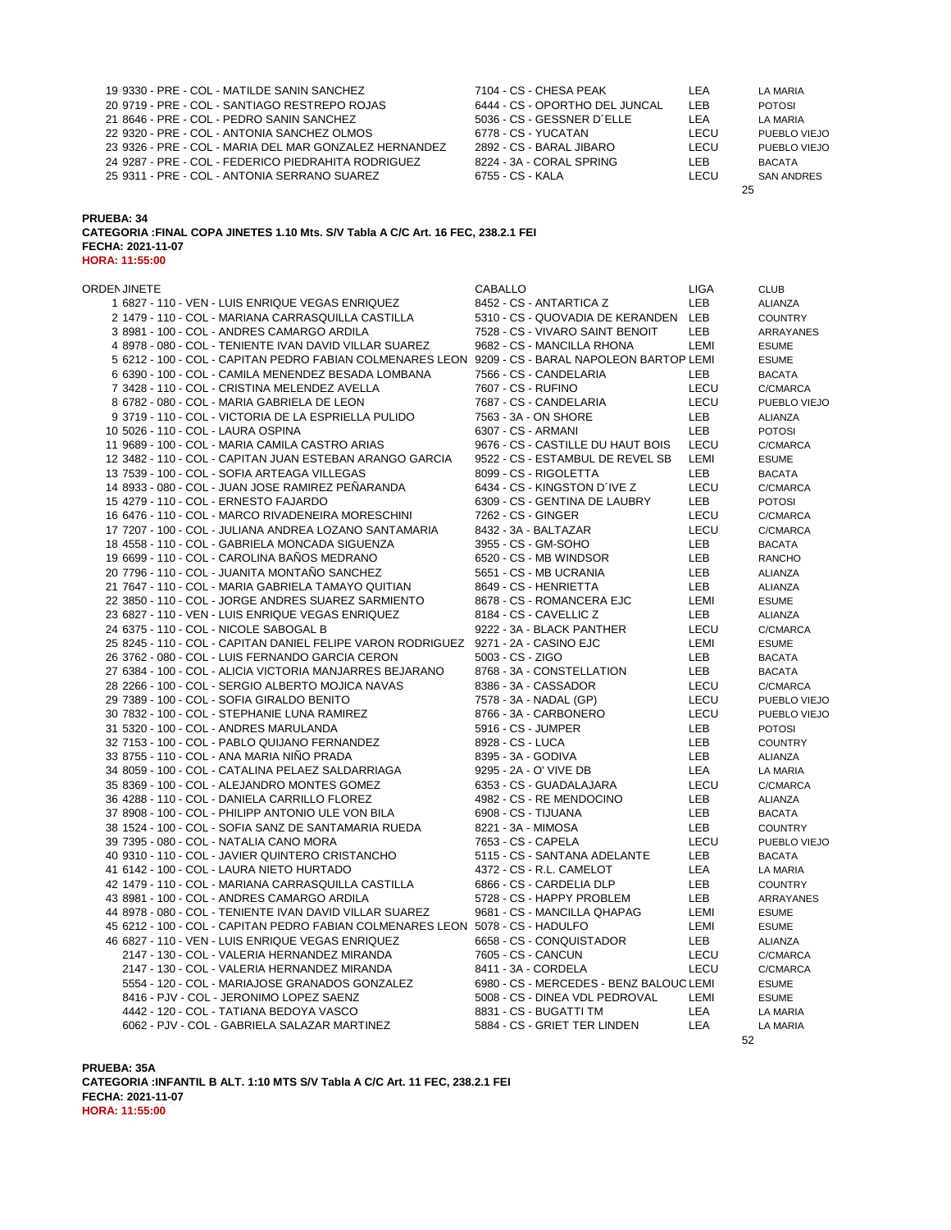|                                                        |                                |      | 25                  |
|--------------------------------------------------------|--------------------------------|------|---------------------|
| 25 9311 - PRE - COL - ANTONIA SERRANO SUAREZ           | 6755 - CS - KALA               | LECU | <b>SAN ANDRES</b>   |
| 24 9287 - PRE - COL - FEDERICO PIEDRAHITA RODRIGUEZ    | 8224 - 3A - CORAL SPRING       | LEB. | BACATA              |
| 23 9326 - PRE - COL - MARIA DEL MAR GONZALEZ HERNANDEZ | 2892 - CS - BARAL JIBARO       | LECU | <b>PUEBLO VIEJO</b> |
| 22 9320 - PRE - COL - ANTONIA SANCHEZ OLMOS            | 6778 - CS - YUCATAN            | LECU | <b>PUEBLO VIEJO</b> |
| 21 8646 - PRE - COL - PEDRO SANIN SANCHEZ              | 5036 - CS - GESSNER D'ELLE     | LEA  | LA MARIA            |
| 20 9719 - PRE - COL - SANTIAGO RESTREPO ROJAS          | 6444 - CS - OPORTHO DEL JUNCAL | LEB. | <b>POTOSI</b>       |
| 19 9330 - PRE - COL - MATILDE SANIN SANCHEZ            | 7104 - CS - CHESA PEAK         | LEA. | LA MARIA            |

**CATEGORIA :FINAL COPA JINETES 1.10 Mts. S/V Tabla A C/C Art. 16 FEC, 238.2.1 FEI FECHA: 2021-11-07 HORA: 11:55:00**

| <b>ORDEN JINETE</b>                                                                              | <b>CABALLO</b>                          | <b>LIGA</b> | <b>CLUB</b>    |
|--------------------------------------------------------------------------------------------------|-----------------------------------------|-------------|----------------|
| 1 6827 - 110 - VEN - LUIS ENRIQUE VEGAS ENRIQUEZ                                                 | 8452 - CS - ANTARTICA Z                 | <b>LEB</b>  | ALIANZA        |
| 2 1479 - 110 - COL - MARIANA CARRASQUILLA CASTILLA                                               | 5310 - CS - QUOVADIA DE KERANDEN LEB    |             | <b>COUNTRY</b> |
| 3 8981 - 100 - COL - ANDRES CAMARGO ARDILA                                                       | 7528 - CS - VIVARO SAINT BENOIT         | LEB         | ARRAYANES      |
| 4 8978 - 080 - COL - TENIENTE IVAN DAVID VILLAR SUAREZ                                           | 9682 - CS - MANCILLA RHONA              | LEMI        | <b>ESUME</b>   |
| 5 6212 - 100 - COL - CAPITAN PEDRO FABIAN COLMENARES LEON 9209 - CS - BARAL NAPOLEON BARTOP LEMI |                                         |             | <b>ESUME</b>   |
| 6 6390 - 100 - COL - CAMILA MENENDEZ BESADA LOMBANA                                              | 7566 - CS - CANDELARIA                  | LEB         | <b>BACATA</b>  |
| 7 3428 - 110 - COL - CRISTINA MELENDEZ AVELLA                                                    | 7607 - CS - RUFINO                      | LECU        | C/CMARCA       |
| 8 6782 - 080 - COL - MARIA GABRIELA DE LEON                                                      | 7687 - CS - CANDELARIA                  | LECU        | PUEBLO VIEJO   |
| 9 3719 - 110 - COL - VICTORIA DE LA ESPRIELLA PULIDO                                             | 7563 - 3A - ON SHORE                    | LEB         | <b>ALIANZA</b> |
| 10 5026 - 110 - COL - LAURA OSPINA                                                               | 6307 - CS - ARMANI                      | LEB         | <b>POTOSI</b>  |
| 11 9689 - 100 - COL - MARIA CAMILA CASTRO ARIAS                                                  | 9676 - CS - CASTILLE DU HAUT BOIS       | LECU        | C/CMARCA       |
| 12 3482 - 110 - COL - CAPITAN JUAN ESTEBAN ARANGO GARCIA                                         | 9522 - CS - ESTAMBUL DE REVEL SB        | LEMI        | <b>ESUME</b>   |
| 13 7539 - 100 - COL - SOFIA ARTEAGA VILLEGAS                                                     | 8099 - CS - RIGOLETTA                   | LEB         | <b>BACATA</b>  |
| 14 8933 - 080 - COL - JUAN JOSE RAMIREZ PEÑARANDA                                                | 6434 - CS - KINGSTON D'IVE Z            | LECU        | C/CMARCA       |
| 15 4279 - 110 - COL - ERNESTO FAJARDO                                                            | 6309 - CS - GENTINA DE LAUBRY           | LEB         | <b>POTOSI</b>  |
| 16 6476 - 110 - COL - MARCO RIVADENEIRA MORESCHINI                                               | 7262 - CS - GINGER                      | LECU        | C/CMARCA       |
| 17 7207 - 100 - COL - JULIANA ANDREA LOZANO SANTAMARIA                                           | 8432 - 3A - BALTAZAR                    | LECU        | C/CMARCA       |
| 18 4558 - 110 - COL - GABRIELA MONCADA SIGUENZA                                                  | 3955 - CS - GM-SOHO                     | LEB         | <b>BACATA</b>  |
| 19 6699 - 110 - COL - CAROLINA BAÑOS MEDRANO                                                     | 6520 - CS - MB WINDSOR                  | LEB         | <b>RANCHO</b>  |
| 20 7796 - 110 - COL - JUANITA MONTAÑO SANCHEZ                                                    | 5651 - CS - MB UCRANIA                  | LEB         | ALIANZA        |
| 21 7647 - 110 - COL - MARIA GABRIELA TAMAYO QUITIAN                                              | 8649 - CS - HENRIETTA                   | <b>LEB</b>  | ALIANZA        |
| 22 3850 - 110 - COL - JORGE ANDRES SUAREZ SARMIENTO                                              | 8678 - CS - ROMANCERA EJC               | LEMI        | <b>ESUME</b>   |
| 23 6827 - 110 - VEN - LUIS ENRIQUE VEGAS ENRIQUEZ                                                | 8184 - CS - CAVELLIC Z                  | LEB         | ALIANZA        |
| 24 6375 - 110 - COL - NICOLE SABOGAL B                                                           | 9222 - 3A - BLACK PANTHER               | LECU        | C/CMARCA       |
| 25 8245 - 110 - COL - CAPITAN DANIEL FELIPE VARON RODRIGUEZ 9271 - 2A - CASINO EJC               |                                         | LEMI        | <b>ESUME</b>   |
| 26 3762 - 080 - COL - LUIS FERNANDO GARCIA CERON                                                 | 5003 - CS - ZIGO                        | LEB         | <b>BACATA</b>  |
| 27 6384 - 100 - COL - ALICIA VICTORIA MANJARRES BEJARANO                                         | 8768 - 3A - CONSTELLATION               | LEB         | <b>BACATA</b>  |
| 28 2266 - 100 - COL - SERGIO ALBERTO MOJICA NAVAS                                                | 8386 - 3A - CASSADOR                    | LECU        | C/CMARCA       |
| 29 7389 - 100 - COL - SOFIA GIRALDO BENITO                                                       | 7578 - 3A - NADAL (GP)                  | LECU        | PUEBLO VIEJO   |
| 30 7832 - 100 - COL - STEPHANIE LUNA RAMIREZ                                                     | 8766 - 3A - CARBONERO                   | LECU        | PUEBLO VIEJO   |
| 31 5320 - 100 - COL - ANDRES MARULANDA                                                           | 5916 - CS - JUMPER                      | LEB         | <b>POTOSI</b>  |
| 32 7153 - 100 - COL - PABLO QUIJANO FERNANDEZ                                                    | 8928 - CS - LUCA                        | LEB         |                |
| 33 8755 - 110 - COL - ANA MARIA NIÑO PRADA                                                       |                                         |             | <b>COUNTRY</b> |
|                                                                                                  | 8395 - 3A - GODIVA                      | LEB         | ALIANZA        |
| 34 8059 - 100 - COL - CATALINA PELAEZ SALDARRIAGA                                                | 9295 - 2A - O' VIVE DB                  | LEA         | LA MARIA       |
| 35 8369 - 100 - COL - ALEJANDRO MONTES GOMEZ                                                     | 6353 - CS - GUADALAJARA                 | LECU        | C/CMARCA       |
| 36 4288 - 110 - COL - DANIELA CARRILLO FLOREZ                                                    | 4982 - CS - RE MENDOCINO                | LEB         | ALIANZA        |
| 37 8908 - 100 - COL - PHILIPP ANTONIO ULE VON BILA                                               | 6908 - CS - TIJUANA                     | LEB         | <b>BACATA</b>  |
| 38 1524 - 100 - COL - SOFIA SANZ DE SANTAMARIA RUEDA                                             | 8221 - 3A - MIMOSA                      | <b>LEB</b>  | <b>COUNTRY</b> |
| 39 7395 - 080 - COL - NATALIA CANO MORA                                                          | 7653 - CS - CAPELA                      | LECU        | PUEBLO VIEJO   |
| 40 9310 - 110 - COL - JAVIER QUINTERO CRISTANCHO                                                 | 5115 - CS - SANTANA ADELANTE            | <b>LEB</b>  | <b>BACATA</b>  |
| 41 6142 - 100 - COL - LAURA NIETO HURTADO                                                        | 4372 - CS - R.L. CAMELOT                | LEA         | LA MARIA       |
| 42 1479 - 110 - COL - MARIANA CARRASQUILLA CASTILLA                                              | 6866 - CS - CARDELIA DLP                | LEB         | <b>COUNTRY</b> |
| 43 8981 - 100 - COL - ANDRES CAMARGO ARDILA                                                      | 5728 - CS - HAPPY PROBLEM               | LEB         | ARRAYANES      |
| 44 8978 - 080 - COL - TENIENTE IVAN DAVID VILLAR SUAREZ                                          | 9681 - CS - MANCILLA QHAPAG             | LEMI        | <b>ESUME</b>   |
| 45 6212 - 100 - COL - CAPITAN PEDRO FABIAN COLMENARES LEON 5078 - CS - HADULFO                   |                                         | LEMI        | <b>ESUME</b>   |
| 46 6827 - 110 - VEN - LUIS ENRIQUE VEGAS ENRIQUEZ                                                | 6658 - CS - CONQUISTADOR                | LEB         | ALIANZA        |
| 2147 - 130 - COL - VALERIA HERNANDEZ MIRANDA                                                     | 7605 - CS - CANCUN                      | <b>LECU</b> | C/CMARCA       |
| 2147 - 130 - COL - VALERIA HERNANDEZ MIRANDA                                                     | 8411 - 3A - CORDELA                     | LECU        | C/CMARCA       |
| 5554 - 120 - COL - MARIAJOSE GRANADOS GONZALEZ                                                   | 6980 - CS - MERCEDES - BENZ BALOUC LEMI |             | <b>ESUME</b>   |
| 8416 - PJV - COL - JERONIMO LOPEZ SAENZ                                                          | 5008 - CS - DINEA VDL PEDROVAL          | LEMI        | <b>ESUME</b>   |
| 4442 - 120 - COL - TATIANA BEDOYA VASCO                                                          | 8831 - CS - BUGATTI TM                  | LEA         | LA MARIA       |
| 6062 - PJV - COL - GABRIELA SALAZAR MARTINEZ                                                     | 5884 - CS - GRIET TER LINDEN            | LEA         | LA MARIA       |
|                                                                                                  |                                         | 52          |                |

**PRUEBA: 35A CATEGORIA :INFANTIL B ALT. 1:10 MTS S/V Tabla A C/C Art. 11 FEC, 238.2.1 FEI FECHA: 2021-11-07 HORA: 11:55:00**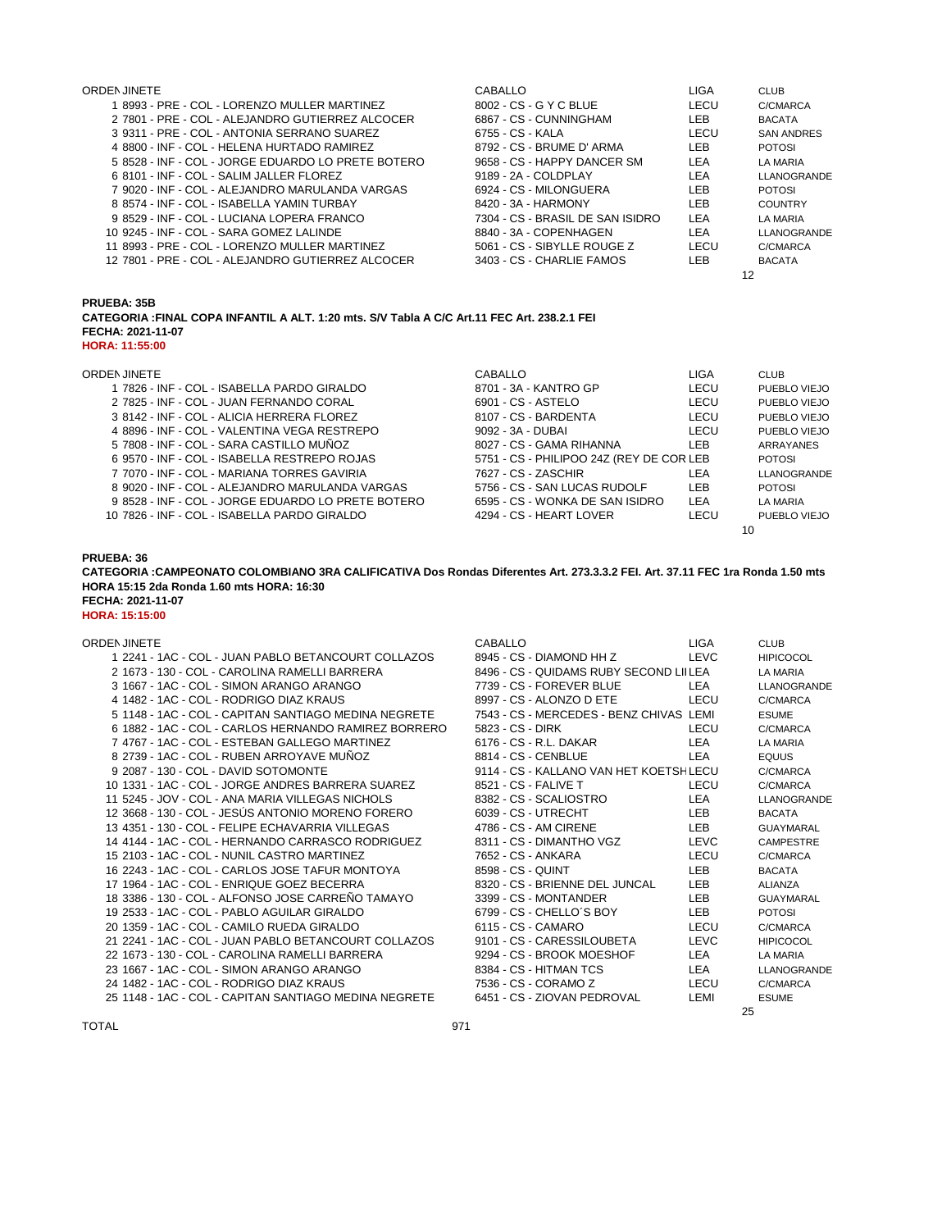| <b>ORDEN JINETE</b>                                | CABALLO                          | LIGA       | <b>CLUB</b>       |
|----------------------------------------------------|----------------------------------|------------|-------------------|
| 1 8993 - PRE - COL - LORENZO MULLER MARTINEZ       | 8002 - CS - G Y C BLUE           | LECU       | C/CMARCA          |
| 2 7801 - PRE - COL - ALEJANDRO GUTIERREZ ALCOCER   | 6867 - CS - CUNNINGHAM           | LEB.       | <b>BACATA</b>     |
| 3 9311 - PRE - COL - ANTONIA SERRANO SUAREZ        | 6755 - CS - KALA                 | LECU       | <b>SAN ANDRES</b> |
| 4 8800 - INF - COL - HELENA HURTADO RAMIREZ        | 8792 - CS - BRUME D' ARMA        | LEB.       | <b>POTOSI</b>     |
| 5 8528 - INF - COL - JORGE EDUARDO LO PRETE BOTERO | 9658 - CS - HAPPY DANCER SM      | LEA        | LA MARIA          |
| 6 8101 - INF - COL - SALIM JALLER FLOREZ           | 9189 - 2A - COLDPLAY             | LEA        | LLANOGRANDE       |
| 7 9020 - INF - COL - ALEJANDRO MARULANDA VARGAS    | 6924 - CS - MILONGUERA           | LEB.       | <b>POTOSI</b>     |
| 8 8574 - INF - COL - ISABELLA YAMIN TURBAY         | 8420 - 3A - HARMONY              | <b>LEB</b> | <b>COUNTRY</b>    |
| 9 8529 - INF - COL - LUCIANA LOPERA FRANCO         | 7304 - CS - BRASIL DE SAN ISIDRO | <b>LEA</b> | LA MARIA          |
| 10 9245 - INF - COL - SARA GOMEZ LALINDE           | 8840 - 3A - COPENHAGEN           | <b>LEA</b> | LLANOGRANDE       |
| 11 8993 - PRE - COL - LORENZO MULLER MARTINEZ      | 5061 - CS - SIBYLLE ROUGE Z      | LECU       | C/CMARCA          |
| 12 7801 - PRE - COL - ALEJANDRO GUTIERREZ ALCOCER  | 3403 - CS - CHARLIE FAMOS        | LEB.       | <b>BACATA</b>     |
|                                                    |                                  |            | 12                |

**PRUEBA: 35B**

**CATEGORIA :FINAL COPA INFANTIL A ALT. 1:20 mts. S/V Tabla A C/C Art.11 FEC Art. 238.2.1 FEI FECHA: 2021-11-07 HORA: 11:55:00**

| ORDEN JINETE |  |  |  |
|--------------|--|--|--|
|              |  |  |  |

| ORDEN JINETE                                       | CABALLO                                  | LIGA       | <b>CLUB</b>   |
|----------------------------------------------------|------------------------------------------|------------|---------------|
| 1 7826 - INF - COL - ISABELLA PARDO GIRALDO        | 8701 - 3A - KANTRO GP                    | LECU       | PUEBLO VIEJO  |
| 2 7825 - INF - COL - JUAN FERNANDO CORAL           | 6901 - CS - ASTELO                       | LECU       | PUEBLO VIEJO  |
| 3 8142 - INF - COL - ALICIA HERRERA FLOREZ         | 8107 - CS - BARDENTA                     | LECU       | PUEBLO VIEJO  |
| 4 8896 - INF - COL - VALENTINA VEGA RESTREPO       | 9092 - 3A - DUBAI                        | LECU       | PUEBLO VIEJO  |
| 5 7808 - INF - COL - SARA CASTILLO MUÑOZ           | 8027 - CS - GAMA RIHANNA                 | LEB        | ARRAYANES     |
| 6 9570 - INF - COL - ISABELLA RESTREPO ROJAS       | 5751 - CS - PHILIPOO 24Z (REY DE COR LEB |            | <b>POTOSI</b> |
| 7 7070 - INF - COL - MARIANA TORRES GAVIRIA        | 7627 - CS - ZASCHIR                      | LEA        | LLANOGRANDE   |
| 8 9020 - INF - COL - ALEJANDRO MARULANDA VARGAS    | 5756 - CS - SAN LUCAS RUDOLF             | <b>LEB</b> | <b>POTOSI</b> |
| 9 8528 - INF - COL - JORGE EDUARDO LO PRETE BOTERO | 6595 - CS - WONKA DE SAN ISIDRO          | LEA        | LA MARIA      |
| 10 7826 - INF - COL - ISABELLA PARDO GIRALDO       | 4294 - CS - HEART LOVER                  | LECU       | PUEBLO VIEJO  |
|                                                    |                                          |            | 10            |

### **PRUEBA: 36**

**FECHA: 2021-11-07 HORA: 15:15:00 CATEGORIA :CAMPEONATO COLOMBIANO 3RA CALIFICATIVA Dos Rondas Diferentes Art. 273.3.3.2 FEI. Art. 37.11 FEC 1ra Ronda 1.50 mts HORA 15:15 2da Ronda 1.60 mts HORA: 16:30**

| ORDEN JINETE                                          | <b>CABALLO</b>                          | <b>LIGA</b> | <b>CLUB</b>        |
|-------------------------------------------------------|-----------------------------------------|-------------|--------------------|
| 1 2241 - 1AC - COL - JUAN PABLO BETANCOURT COLLAZOS   | 8945 - CS - DIAMOND HH Z                | LEVC        | <b>HIPICOCOL</b>   |
| 2 1673 - 130 - COL - CAROLINA RAMELLI BARRERA         | 8496 - CS - QUIDAMS RUBY SECOND LIILEA  |             | <b>LA MARIA</b>    |
| 3 1667 - 1AC - COL - SIMON ARANGO ARANGO              | 7739 - CS - FOREVER BLUE                | LEA         | <b>LLANOGRANDE</b> |
| 4 1482 - 1AC - COL - RODRIGO DIAZ KRAUS               | 8997 - CS - ALONZO D ETE                | LECU        | C/CMARCA           |
| 5 1148 - 1AC - COL - CAPITAN SANTIAGO MEDINA NEGRETE  | 7543 - CS - MERCEDES - BENZ CHIVAS LEMI |             | <b>ESUME</b>       |
| 6 1882 - 1AC - COL - CARLOS HERNANDO RAMIREZ BORRERO  | 5823 - CS - DIRK                        | LECU        | C/CMARCA           |
| 7 4767 - 1AC - COL - ESTEBAN GALLEGO MARTINEZ         | 6176 - CS - R.L. DAKAR                  | LEA         | LA MARIA           |
| 8 2739 - 1AC - COL - RUBEN ARROYAVE MUÑOZ             | 8814 - CS - CENBLUE                     | LEA         | <b>EQUUS</b>       |
| 9 2087 - 130 - COL - DAVID SOTOMONTE                  | 9114 - CS - KALLANO VAN HET KOETSH LECU |             | C/CMARCA           |
| 10 1331 - 1AC - COL - JORGE ANDRES BARRERA SUAREZ     | 8521 - CS - FALIVE T                    | LECU        | C/CMARCA           |
| 11 5245 - JOV - COL - ANA MARIA VILLEGAS NICHOLS      | 8382 - CS - SCALIOSTRO                  | LEA         | LLANOGRANDE        |
| 12 3668 - 130 - COL - JESÚS ANTONIO MORENO FORERO     | 6039 - CS - UTRECHT                     | <b>LEB</b>  | <b>BACATA</b>      |
| 13 4351 - 130 - COL - FELIPE ECHAVARRIA VILLEGAS      | 4786 - CS - AM CIRENE                   | LEB         | <b>GUAYMARAL</b>   |
| 14 4144 - 1AC - COL - HERNANDO CARRASCO RODRIGUEZ     | 8311 - CS - DIMANTHO VGZ                | LEVC        | <b>CAMPESTRE</b>   |
| 15 2103 - 1AC - COL - NUNIL CASTRO MARTINEZ           | 7652 - CS - ANKARA                      | LECU        | C/CMARCA           |
| 16 2243 - 1AC - COL - CARLOS JOSE TAFUR MONTOYA       | 8598 - CS - QUINT                       | LEB         | <b>BACATA</b>      |
| 17 1964 - 1AC - COL - ENRIQUE GOEZ BECERRA            | 8320 - CS - BRIENNE DEL JUNCAL          | <b>LEB</b>  | <b>ALIANZA</b>     |
| 18 3386 - 130 - COL - ALFONSO JOSE CARREÑO TAMAYO     | 3399 - CS - MONTANDER                   | <b>LEB</b>  | <b>GUAYMARAL</b>   |
| 19 2533 - 1AC - COL - PABLO AGUILAR GIRALDO           | 6799 - CS - CHELLO'S BOY                | LEB         | <b>POTOSI</b>      |
| 20 1359 - 1AC - COL - CAMILO RUEDA GIRALDO            | 6115 - CS - CAMARO                      | LECU        | C/CMARCA           |
| 21 2241 - 1AC - COL - JUAN PABLO BETANCOURT COLLAZOS  | 9101 - CS - CARESSILOUBETA              | <b>LEVC</b> | <b>HIPICOCOL</b>   |
| 22 1673 - 130 - COL - CAROLINA RAMELLI BARRERA        | 9294 - CS - BROOK MOESHOF               | LEA         | LA MARIA           |
| 23 1667 - 1AC - COL - SIMON ARANGO ARANGO             | 8384 - CS - HITMAN TCS                  | LEA         | LLANOGRANDE        |
| 24 1482 - 1AC - COL - RODRIGO DIAZ KRAUS              | 7536 - CS - CORAMO Z                    | LECU        | C/CMARCA           |
| 25 1148 - 1AC - COL - CAPITAN SANTIAGO MEDINA NEGRETE | 6451 - CS - ZIOVAN PEDROVAL             | LEMI        | <b>ESUME</b>       |
|                                                       |                                         | 25          |                    |

TOTAL 971